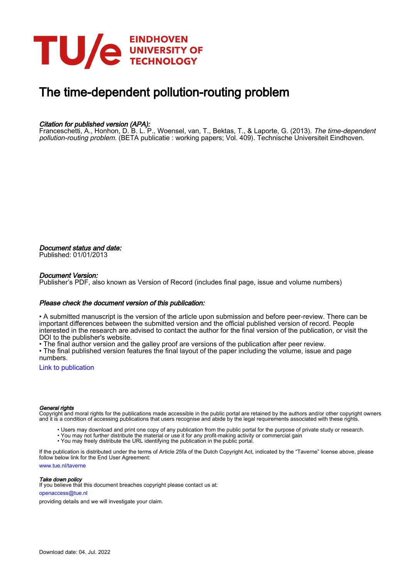

# The time-dependent pollution-routing problem

# Citation for published version (APA):

Franceschetti, A., Honhon, D. B. L. P., Woensel, van, T., Bektas, T., & Laporte, G. (2013). The time-dependent pollution-routing problem. (BETA publicatie : working papers; Vol. 409). Technische Universiteit Eindhoven.

Document status and date: Published: 01/01/2013

#### Document Version:

Publisher's PDF, also known as Version of Record (includes final page, issue and volume numbers)

#### Please check the document version of this publication:

• A submitted manuscript is the version of the article upon submission and before peer-review. There can be important differences between the submitted version and the official published version of record. People interested in the research are advised to contact the author for the final version of the publication, or visit the DOI to the publisher's website.

• The final author version and the galley proof are versions of the publication after peer review.

• The final published version features the final layout of the paper including the volume, issue and page numbers.

[Link to publication](https://research.tue.nl/en/publications/bd8c8b99-674b-42d9-aec0-1e89a962cf8d)

#### General rights

Copyright and moral rights for the publications made accessible in the public portal are retained by the authors and/or other copyright owners and it is a condition of accessing publications that users recognise and abide by the legal requirements associated with these rights.

- Users may download and print one copy of any publication from the public portal for the purpose of private study or research.
- You may not further distribute the material or use it for any profit-making activity or commercial gain
- You may freely distribute the URL identifying the publication in the public portal.

If the publication is distributed under the terms of Article 25fa of the Dutch Copyright Act, indicated by the "Taverne" license above, please follow below link for the End User Agreement:

www.tue.nl/taverne

**Take down policy**<br>If you believe that this document breaches copyright please contact us at:

openaccess@tue.nl

providing details and we will investigate your claim.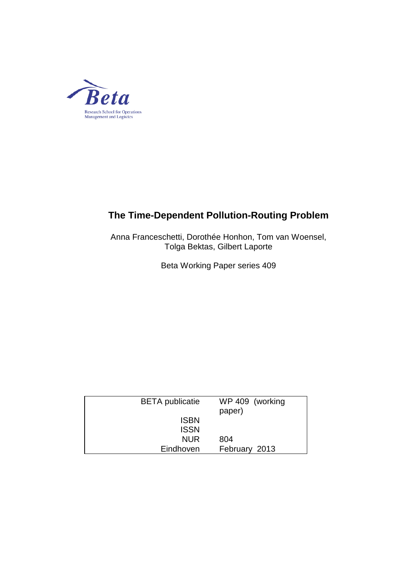

# **The Time-Dependent Pollution-Routing Problem**

Anna Franceschetti, Dorothée Honhon, Tom van Woensel, Tolga Bektas, Gilbert Laporte

Beta Working Paper series 409

| <b>BETA</b> publicatie | WP 409 (working<br>paper) |
|------------------------|---------------------------|
| <b>ISBN</b>            |                           |
| <b>ISSN</b>            |                           |
| <b>NUR</b>             | 804                       |
| Eindhoven              | February 2013             |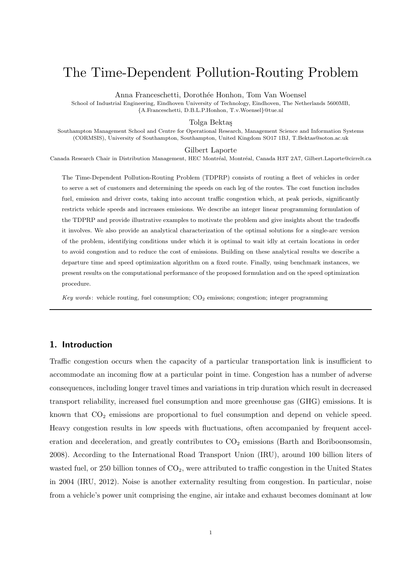# The Time-Dependent Pollution-Routing Problem

Anna Franceschetti, Dorothée Honhon, Tom Van Woensel

School of Industrial Engineering, Eindhoven University of Technology, Eindhoven, The Netherlands 5600MB, *{*A.Franceschetti, D.B.L.P.Honhon, T.v.Woensel*}*@tue.nl

Tolga Bekta¸s

Southampton Management School and Centre for Operational Research, Management Science and Information Systems (CORMSIS), University of Southampton, Southampton, United Kingdom SO17 1BJ, T.Bektas@soton.ac.uk

Gilbert Laporte

Canada Research Chair in Distribution Management, HEC Montréal, Montréal, Canada H3T 2A7, Gilbert.Laporte@cirrelt.ca

The Time-Dependent Pollution-Routing Problem (TDPRP) consists of routing a fleet of vehicles in order to serve a set of customers and determining the speeds on each leg of the routes. The cost function includes fuel, emission and driver costs, taking into account traffic congestion which, at peak periods, significantly restricts vehicle speeds and increases emissions. We describe an integer linear programming formulation of the TDPRP and provide illustrative examples to motivate the problem and give insights about the tradeoffs it involves. We also provide an analytical characterization of the optimal solutions for a single-arc version of the problem, identifying conditions under which it is optimal to wait idly at certain locations in order to avoid congestion and to reduce the cost of emissions. Building on these analytical results we describe a departure time and speed optimization algorithm on a fixed route. Finally, using benchmark instances, we present results on the computational performance of the proposed formulation and on the speed optimization procedure.

*Key words*: vehicle routing, fuel consumption; CO<sub>2</sub> emissions; congestion; integer programming

# **1. Introduction**

Traffic congestion occurs when the capacity of a particular transportation link is insufficient to accommodate an incoming flow at a particular point in time. Congestion has a number of adverse consequences, including longer travel times and variations in trip duration which result in decreased transport reliability, increased fuel consumption and more greenhouse gas (GHG) emissions. It is known that  $CO<sub>2</sub>$  emissions are proportional to fuel consumption and depend on vehicle speed. Heavy congestion results in low speeds with fluctuations, often accompanied by frequent acceleration and deceleration, and greatly contributes to  $CO<sub>2</sub>$  emissions (Barth and Boriboonsomsin, 2008). According to the International Road Transport Union (IRU), around 100 billion liters of wasted fuel, or 250 billion tonnes of  $CO<sub>2</sub>$ , were attributed to traffic congestion in the United States in 2004 (IRU, 2012). Noise is another externality resulting from congestion. In particular, noise from a vehicle's power unit comprising the engine, air intake and exhaust becomes dominant at low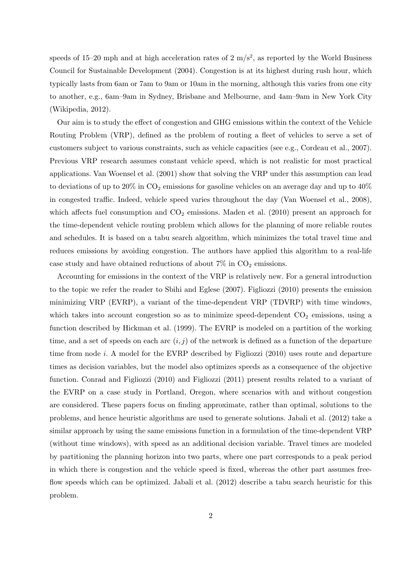speeds of 15–20 mph and at high acceleration rates of  $2 \text{ m/s}^2$ , as reported by the World Business Council for Sustainable Development (2004). Congestion is at its highest during rush hour, which typically lasts from 6am or 7am to 9am or 10am in the morning, although this varies from one city to another, e.g., 6am–9am in Sydney, Brisbane and Melbourne, and 4am–9am in New York City (Wikipedia, 2012).

Our aim is to study the effect of congestion and GHG emissions within the context of the Vehicle Routing Problem (VRP), defined as the problem of routing a fleet of vehicles to serve a set of customers subject to various constraints, such as vehicle capacities (see e.g., Cordeau et al., 2007). Previous VRP research assumes constant vehicle speed, which is not realistic for most practical applications. Van Woensel et al. (2001) show that solving the VRP under this assumption can lead to deviations of up to  $20\%$  in  $CO_2$  emissions for gasoline vehicles on an average day and up to  $40\%$ in congested traffic. Indeed, vehicle speed varies throughout the day (Van Woensel et al., 2008), which affects fuel consumption and  $CO<sub>2</sub>$  emissions. Maden et al. (2010) present an approach for the time-dependent vehicle routing problem which allows for the planning of more reliable routes and schedules. It is based on a tabu search algorithm, which minimizes the total travel time and reduces emissions by avoiding congestion. The authors have applied this algorithm to a real-life case study and have obtained reductions of about  $7\%$  in  $CO<sub>2</sub>$  emissions.

Accounting for emissions in the context of the VRP is relatively new. For a general introduction to the topic we refer the reader to Sbihi and Eglese (2007). Figliozzi (2010) presents the emission minimizing VRP (EVRP), a variant of the time-dependent VRP (TDVRP) with time windows, which takes into account congestion so as to minimize speed-dependent  $CO<sub>2</sub>$  emissions, using a function described by Hickman et al. (1999). The EVRP is modeled on a partition of the working time, and a set of speeds on each arc  $(i, j)$  of the network is defined as a function of the departure time from node *i*. A model for the EVRP described by Figliozzi (2010) uses route and departure times as decision variables, but the model also optimizes speeds as a consequence of the objective function. Conrad and Figliozzi (2010) and Figliozzi (2011) present results related to a variant of the EVRP on a case study in Portland, Oregon, where scenarios with and without congestion are considered. These papers focus on finding approximate, rather than optimal, solutions to the problems, and hence heuristic algorithms are used to generate solutions. Jabali et al. (2012) take a similar approach by using the same emissions function in a formulation of the time-dependent VRP (without time windows), with speed as an additional decision variable. Travel times are modeled by partitioning the planning horizon into two parts, where one part corresponds to a peak period in which there is congestion and the vehicle speed is fixed, whereas the other part assumes freeflow speeds which can be optimized. Jabali et al. (2012) describe a tabu search heuristic for this problem.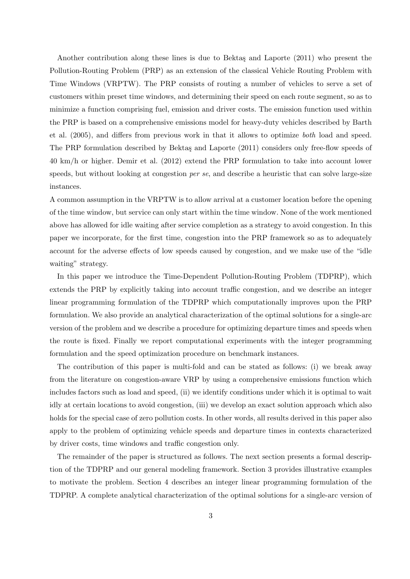Another contribution along these lines is due to Bektas and Laporte (2011) who present the Pollution-Routing Problem (PRP) as an extension of the classical Vehicle Routing Problem with Time Windows (VRPTW). The PRP consists of routing a number of vehicles to serve a set of customers within preset time windows, and determining their speed on each route segment, so as to minimize a function comprising fuel, emission and driver costs. The emission function used within the PRP is based on a comprehensive emissions model for heavy-duty vehicles described by Barth et al. (2005), and differs from previous work in that it allows to optimize *both* load and speed. The PRP formulation described by Bektaş and Laporte (2011) considers only free-flow speeds of 40 km/h or higher. Demir et al. (2012) extend the PRP formulation to take into account lower speeds, but without looking at congestion *per se*, and describe a heuristic that can solve large-size instances.

A common assumption in the VRPTW is to allow arrival at a customer location before the opening of the time window, but service can only start within the time window. None of the work mentioned above has allowed for idle waiting after service completion as a strategy to avoid congestion. In this paper we incorporate, for the first time, congestion into the PRP framework so as to adequately account for the adverse effects of low speeds caused by congestion, and we make use of the "idle waiting" strategy.

In this paper we introduce the Time-Dependent Pollution-Routing Problem (TDPRP), which extends the PRP by explicitly taking into account traffic congestion, and we describe an integer linear programming formulation of the TDPRP which computationally improves upon the PRP formulation. We also provide an analytical characterization of the optimal solutions for a single-arc version of the problem and we describe a procedure for optimizing departure times and speeds when the route is fixed. Finally we report computational experiments with the integer programming formulation and the speed optimization procedure on benchmark instances.

The contribution of this paper is multi-fold and can be stated as follows: (i) we break away from the literature on congestion-aware VRP by using a comprehensive emissions function which includes factors such as load and speed, (ii) we identify conditions under which it is optimal to wait idly at certain locations to avoid congestion, (iii) we develop an exact solution approach which also holds for the special case of zero pollution costs. In other words, all results derived in this paper also apply to the problem of optimizing vehicle speeds and departure times in contexts characterized by driver costs, time windows and traffic congestion only.

The remainder of the paper is structured as follows. The next section presents a formal description of the TDPRP and our general modeling framework. Section 3 provides illustrative examples to motivate the problem. Section 4 describes an integer linear programming formulation of the TDPRP. A complete analytical characterization of the optimal solutions for a single-arc version of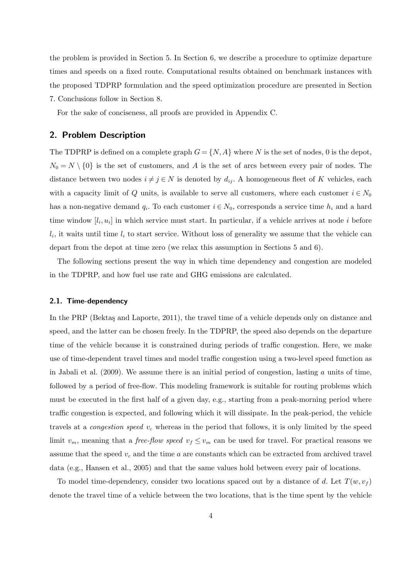the problem is provided in Section 5. In Section 6, we describe a procedure to optimize departure times and speeds on a fixed route. Computational results obtained on benchmark instances with the proposed TDPRP formulation and the speed optimization procedure are presented in Section 7. Conclusions follow in Section 8.

For the sake of conciseness, all proofs are provided in Appendix C.

# **2. Problem Description**

The TDPRP is defined on a complete graph  $G = \{N, A\}$  where N is the set of nodes, 0 is the depot,  $N_0 = N \setminus \{0\}$  is the set of customers, and *A* is the set of arcs between every pair of nodes. The distance between two nodes  $i \neq j \in N$  is denoted by  $d_{ij}$ . A homogeneous fleet of *K* vehicles, each with a capacity limit of *Q* units, is available to serve all customers, where each customer  $i \in N_0$ has a non-negative demand  $q_i$ . To each customer  $i \in N_0$ , corresponds a service time  $h_i$  and a hard time window  $[l_i, u_i]$  in which service must start. In particular, if a vehicle arrives at node *i* before  $l_i$ , it waits until time  $l_i$  to start service. Without loss of generality we assume that the vehicle can depart from the depot at time zero (we relax this assumption in Sections 5 and 6).

The following sections present the way in which time dependency and congestion are modeled in the TDPRP, and how fuel use rate and GHG emissions are calculated.

#### **2.1. Time-dependency**

In the PRP (Bektas and Laporte, 2011), the travel time of a vehicle depends only on distance and speed, and the latter can be chosen freely. In the TDPRP, the speed also depends on the departure time of the vehicle because it is constrained during periods of traffic congestion. Here, we make use of time-dependent travel times and model traffic congestion using a two-level speed function as in Jabali et al. (2009). We assume there is an initial period of congestion, lasting *a* units of time, followed by a period of free-flow. This modeling framework is suitable for routing problems which must be executed in the first half of a given day, e.g., starting from a peak-morning period where traffic congestion is expected, and following which it will dissipate. In the peak-period, the vehicle travels at a *congestion speed v<sup>c</sup>* whereas in the period that follows, it is only limited by the speed limit  $v_m$ , meaning that a *free-flow speed*  $v_f \le v_m$  can be used for travel. For practical reasons we assume that the speed *v<sup>c</sup>* and the time *a* are constants which can be extracted from archived travel data (e.g., Hansen et al., 2005) and that the same values hold between every pair of locations.

To model time-dependency, consider two locations spaced out by a distance of d. Let  $T(w, v_f)$ denote the travel time of a vehicle between the two locations, that is the time spent by the vehicle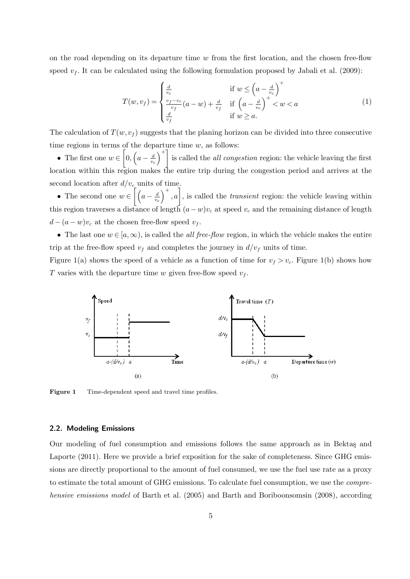on the road depending on its departure time *w* from the first location, and the chosen free-flow speed  $v_f$ . It can be calculated using the following formulation proposed by Jabali et al. (2009):

$$
T(w, v_f) = \begin{cases} \frac{d}{v_c} & \text{if } w \le \left(a - \frac{d}{v_c}\right)^+\\ \frac{v_f - v_c}{v_f}(a - w) + \frac{d}{v_f} & \text{if } \left(a - \frac{d}{v_c}\right)^+ < w < a\\ \frac{d}{v_f} & \text{if } w \ge a. \end{cases} \tag{1}
$$

The calculation of  $T(w, v_f)$  suggests that the planing horizon can be divided into three consecutive time regions in terms of the departure time *w*, as follows:

*•* The first one *w ∈*  $\sqrt{2}$  $0, (a - \frac{d}{a})$ *vc*  $\setminus^+$ is called the *all congestion* region: the vehicle leaving the first location within this region makes the entire trip during the congestion period and arrives at the second location after  $d/v_c$  units of time.

• The second one  $w \in \left[ \left( a - \frac{d}{w} \right) \right]$ *vc*  $\Big)^{+}$ , *a*<sup> $\Big]$ </sup>, is called the *transient* region: the vehicle leaving within this region traverses a distance of length  $(a-w)v_c$  at speed  $v_c$  and the remaining distance of length  $d - (a - w)v_c$  at the chosen free-flow speed  $v_f$ .

• The last one  $w \in [a,\infty)$ , is called the *all free-flow* region, in which the vehicle makes the entire trip at the free-flow speed  $v_f$  and completes the journey in  $d/v_f$  units of time.

Figure 1(a) shows the speed of a vehicle as a function of time for  $v_f > v_c$ . Figure 1(b) shows how *T* varies with the departure time *w* given free-flow speed  $v_f$ .



**Figure 1** Time-dependent speed and travel time profiles.

### **2.2. Modeling Emissions**

Our modeling of fuel consumption and emissions follows the same approach as in Bektas and Laporte (2011). Here we provide a brief exposition for the sake of completeness. Since GHG emissions are directly proportional to the amount of fuel consumed, we use the fuel use rate as a proxy to estimate the total amount of GHG emissions. To calculate fuel consumption, we use the *comprehensive emissions model* of Barth et al. (2005) and Barth and Boriboonsomsin (2008), according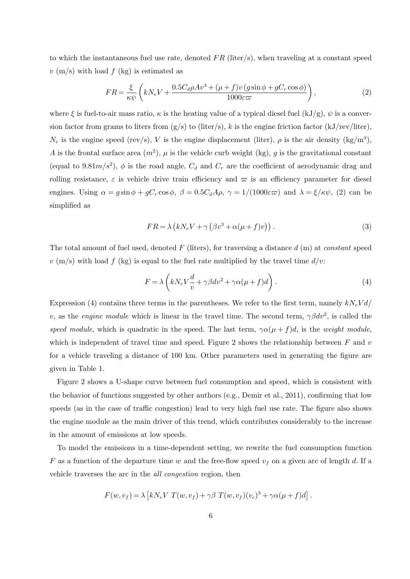to which the instantaneous fuel use rate, denoted *F R* (liter/s), when traveling at a constant speed *v* (m/s) with load *f* (kg) is estimated as

$$
FR = \frac{\xi}{\kappa \psi} \left( kN_e V + \frac{0.5 C_d \rho A v^3 + (\mu + f) v (g \sin \phi + g C_r \cos \phi)}{1000 \varepsilon \varpi} \right),\tag{2}
$$

where  $\xi$  is fuel-to-air mass ratio,  $\kappa$  is the heating value of a typical diesel fuel (kJ/g),  $\psi$  is a conversion factor from grams to liters from  $(g/s)$  to (liter/s), k is the engine friction factor (kJ/rev/liter),  $N_e$  is the engine speed (rev/s), *V* is the engine displacement (liter),  $\rho$  is the air density (kg/m<sup>3</sup>), *A* is the frontal surface area  $(m^2)$ ,  $\mu$  is the vehicle curb weight (kg), *g* is the gravitational constant (equal to 9.81 $m/s^2$ ),  $\phi$  is the road angle,  $C_d$  and  $C_r$  are the coefficient of aerodynamic drag and rolling resistance,  $\varepsilon$  is vehicle drive train efficiency and  $\varpi$  is an efficiency parameter for diesel engines. Using  $\alpha = g \sin \phi + gC_r \cos \phi$ ,  $\beta = 0.5 C_d A \rho$ ,  $\gamma = 1/(1000 \varepsilon \varpi)$  and  $\lambda = \xi/\kappa \psi$ , (2) can be simplified as

$$
FR = \lambda \left( kN_e V + \gamma \left( \beta v^3 + \alpha (\mu + f) v \right) \right). \tag{3}
$$

The total amount of fuel used, denoted *F* (liters), for traversing a distance *d* (m) at *constant* speed  $v \text{ (m/s)}$  with load  $f \text{ (kg)}$  is equal to the fuel rate multiplied by the travel time  $d/v$ :

$$
F = \lambda \left( kN_e V \frac{d}{v} + \gamma \beta dv^2 + \gamma \alpha (\mu + f) d \right). \tag{4}
$$

Expression (4) contains three terms in the parentheses. We refer to the first term, namely *kNeV d/ v*, as the *engine* module which is linear in the travel time. The second term,  $\gamma \beta dv^2$ , is called the *speed module*, which is quadratic in the speed. The last term,  $\gamma \alpha(\mu + f) d$ , is the *weight module*, which is independent of travel time and speed. Figure 2 shows the relationship between *F* and *v* for a vehicle traveling a distance of 100 km. Other parameters used in generating the figure are given in Table 1.

Figure 2 shows a U-shape curve between fuel consumption and speed, which is consistent with the behavior of functions suggested by other authors (e.g., Demir et al., 2011), confirming that low speeds (as in the case of traffic congestion) lead to very high fuel use rate. The figure also shows the engine module as the main driver of this trend, which contributes considerably to the increase in the amount of emissions at low speeds.

To model the emissions in a time-dependent setting, we rewrite the fuel consumption function *F* as a function of the departure time *w* and the free-flow speed  $v_f$  on a given arc of length *d*. If a vehicle traverses the arc in the *all congestion* region, then

$$
F(w, v_f) = \lambda \left[ k N_e V T(w, v_f) + \gamma \beta T(w, v_f)(v_c)^3 + \gamma \alpha (\mu + f) d \right].
$$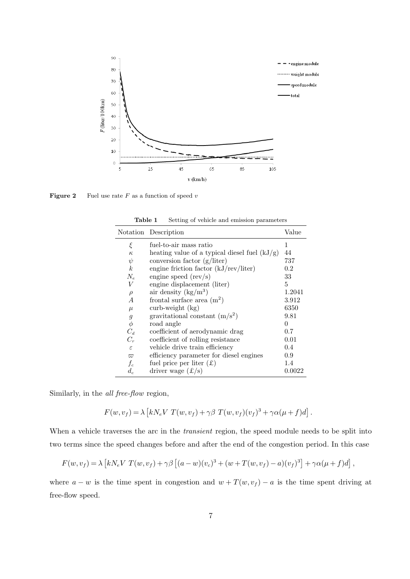

**Figure 2** Fuel use rate  $F$  as a function of speed  $v$ 

 $\overline{a}$ 

|                  | Notation Description                            | Value         |
|------------------|-------------------------------------------------|---------------|
| ξ                | fuel-to-air mass ratio                          | 1             |
| $\kappa$         | heating value of a typical diesel fuel $(kJ/g)$ | 44            |
| $\psi$           | conversion factor $(g/liter)$                   | 737           |
| k <sub>i</sub>   | engine friction factor $(kJ/rev/liter)$         | $0.2\,$       |
| $N_e$            | engine speed $(rev/s)$                          | 33            |
| V                | engine displacement (liter)                     | 5             |
| $\rho$           | air density $(kg/m^3)$                          | 1.2041        |
| А                | frontal surface area $(m^2)$                    | 3.912         |
| $\mu$            | $\text{curl}\text{-}\text{weight}$ (kg)         | 6350          |
| $\boldsymbol{g}$ | gravitational constant $(m/s^2)$                | 9.81          |
| $\phi$           | road angle                                      | 0             |
| $C_d$            | coefficient of aerodynamic drag                 | $0.7^{\circ}$ |
| $C_r$            | coefficient of rolling resistance               | 0.01          |
| $\varepsilon$    | vehicle drive train efficiency                  | 0.4           |
| $\varpi$         | efficiency parameter for diesel engines         | 0.9           |
| $f_c$            | fuel price per liter $(\pounds)$                | 1.4           |
| $d_c$            | driver wage $(\pounds/s)$                       | 0.0022        |

**Table 1** Setting of vehicle and emission parameters

Similarly, in the *all free-flow* region,

$$
F(w, v_f) = \lambda \left[ kN_e V T(w, v_f) + \gamma \beta T(w, v_f)(v_f)^3 + \gamma \alpha (\mu + f) d \right].
$$

When a vehicle traverses the arc in the *transient* region, the speed module needs to be split into two terms since the speed changes before and after the end of the congestion period. In this case

$$
F(w, v_f) = \lambda \left[ kN_e V T(w, v_f) + \gamma \beta \left[ (a - w)(v_c)^3 + (w + T(w, v_f) - a)(v_f)^3 \right] + \gamma \alpha (\mu + f) d \right],
$$

where  $a - w$  is the time spent in congestion and  $w + T(w, v_f) - a$  is the time spent driving at free-flow speed.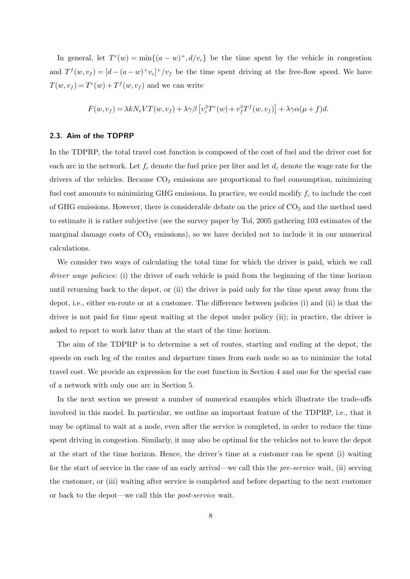In general, let  $T^c(w) = \min\{(a - w)^+, d/v_c\}$  be the time spent by the vehicle in congestion and  $T^f(w, v_f) = [d - (a - w)^+ v_c]^+ / v_f$  be the time spent driving at the free-flow speed. We have  $T(w, v_f) = T^c(w) + T^f(w, v_f)$  and we can write

$$
F(w, v_f) = \lambda k N_e V T(w, v_f) + \lambda \gamma \beta \left[ v_c^3 T^c(w) + v_f^3 T^f(w, v_f) \right] + \lambda \gamma \alpha (\mu + f) d.
$$

### **2.3. Aim of the TDPRP**

In the TDPRP, the total travel cost function is composed of the cost of fuel and the driver cost for each arc in the network. Let  $f_c$  denote the fuel price per liter and let  $d_c$  denote the wage rate for the drivers of the vehicles. Because  $CO<sub>2</sub>$  emissions are proportional to fuel consumption, minimizing fuel cost amounts to minimizing GHG emissions. In practice, we could modify *f<sup>c</sup>* to include the cost of GHG emissions. However, there is considerable debate on the price of  $CO<sub>2</sub>$  and the method used to estimate it is rather subjective (see the survey paper by Tol, 2005 gathering 103 estimates of the marginal damage costs of  $CO<sub>2</sub>$  emissions), so we have decided not to include it in our numerical calculations.

We consider two ways of calculating the total time for which the driver is paid, which we call *driver wage policies*: (i) the driver of each vehicle is paid from the beginning of the time horizon until returning back to the depot, or (ii) the driver is paid only for the time spent away from the depot, i.e., either en-route or at a customer. The difference between policies (i) and (ii) is that the driver is not paid for time spent waiting at the depot under policy (ii); in practice, the driver is asked to report to work later than at the start of the time horizon.

The aim of the TDPRP is to determine a set of routes, starting and ending at the depot, the speeds on each leg of the routes and departure times from each node so as to minimize the total travel cost. We provide an expression for the cost function in Section 4 and one for the special case of a network with only one arc in Section 5.

In the next section we present a number of numerical examples which illustrate the trade-offs involved in this model. In particular, we outline an important feature of the TDPRP, i.e., that it may be optimal to wait at a node, even after the service is completed, in order to reduce the time spent driving in congestion. Similarly, it may also be optimal for the vehicles not to leave the depot at the start of the time horizon. Hence, the driver's time at a customer can be spent (i) waiting for the start of service in the case of an early arrival—we call this the *pre-service* wait, (ii) serving the customer, or (iii) waiting after service is completed and before departing to the next customer or back to the depot—we call this the *post-service* wait.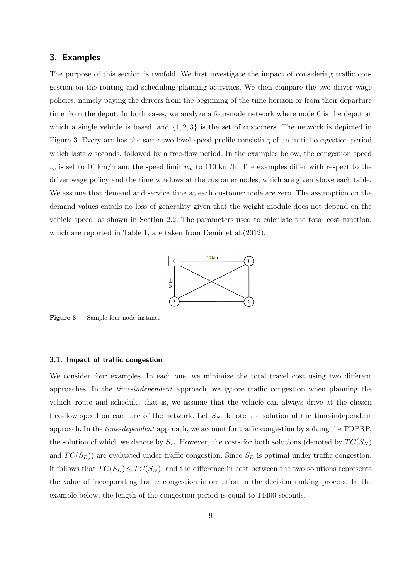#### **3. Examples**

The purpose of this section is twofold. We first investigate the impact of considering traffic congestion on the routing and scheduling planning activities. We then compare the two driver wage policies, namely paying the drivers from the beginning of the time horizon or from their departure time from the depot. In both cases, we analyze a four-node network where node 0 is the depot at which a single vehicle is based, and  $\{1,2,3\}$  is the set of customers. The network is depicted in Figure 3. Every arc has the same two-level speed profile consisting of an initial congestion period which lasts *a* seconds, followed by a free-flow period. In the examples below, the congestion speed  $v_c$  is set to 10 km/h and the speed limit  $v_m$  to 110 km/h. The examples differ with respect to the driver wage policy and the time windows at the customer nodes, which are given above each table. We assume that demand and service time at each customer node are zero. The assumption on the demand values entails no loss of generality given that the weight module does not depend on the vehicle speed, as shown in Section 2.2. The parameters used to calculate the total cost function, which are reported in Table 1, are taken from Demir et al.(2012).



**Figure 3** Sample four-node instance

#### **3.1. Impact of traffic congestion**

We consider four examples. In each one, we minimize the total travel cost using two different approaches. In the *time-independent* approach, we ignore traffic congestion when planning the vehicle route and schedule, that is, we assume that the vehicle can always drive at the chosen free-flow speed on each arc of the network. Let  $S_N$  denote the solution of the time-independent approach. In the *time-dependent* approach, we account for traffic congestion by solving the TDPRP, the solution of which we denote by  $S_D$ . However, the costs for both solutions (denoted by  $TC(S_N)$ and  $TC(S_D)$ ) are evaluated under traffic congestion. Since  $S_D$  is optimal under traffic congestion, it follows that  $TC(S_D) \leq TC(S_N)$ , and the difference in cost between the two solutions represents the value of incorporating traffic congestion information in the decision making process. In the example below, the length of the congestion period is equal to 14400 seconds.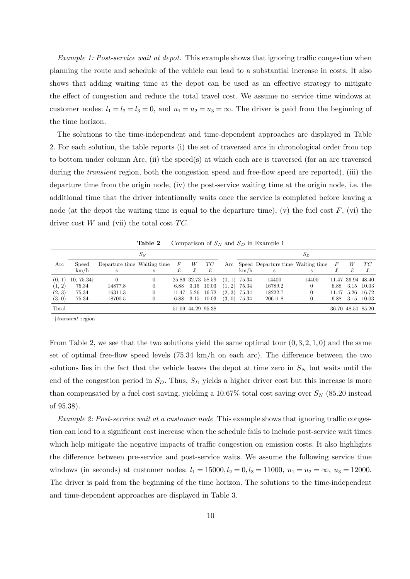*Example 1: Post-service wait at depot.* This example shows that ignoring traffic congestion when planning the route and schedule of the vehicle can lead to a substantial increase in costs. It also shows that adding waiting time at the depot can be used as an effective strategy to mitigate the effect of congestion and reduce the total travel cost. We assume no service time windows at customer nodes:  $l_1 = l_2 = l_3 = 0$ , and  $u_1 = u_2 = u_3 = \infty$ . The driver is paid from the beginning of the time horizon.

The solutions to the time-independent and time-dependent approaches are displayed in Table 2. For each solution, the table reports (i) the set of traversed arcs in chronological order from top to bottom under column Arc, (ii) the speed(s) at which each arc is traversed (for an arc traversed during the *transient* region, both the congestion speed and free-flow speed are reported), (iii) the departure time from the origin node, (iv) the post-service waiting time at the origin node, i.e. the additional time that the driver intentionally waits once the service is completed before leaving a node (at the depot the waiting time is equal to the departure time), (v) the fuel cost  $F$ , (vi) the driver cost  $W$  and (vii) the total cost  $TC$ .

|        |                        |                             | $S_N$ |                  |                   |                   |                |                | $S_D$                                 |       |        |                   |            |
|--------|------------------------|-----------------------------|-------|------------------|-------------------|-------------------|----------------|----------------|---------------------------------------|-------|--------|-------------------|------------|
| Arc    | Speed<br>km/h          | Departure time Waiting time |       | $\boldsymbol{F}$ | W                 | TC<br>£           |                | km/h           | Arc Speed Departure time Waiting time |       | $\top$ | W                 | TC         |
|        |                        |                             |       |                  |                   |                   |                |                |                                       |       |        |                   |            |
| (0, 1) | 10, 75.34 <sup>+</sup> |                             |       |                  |                   | 25.86 32.73 58.59 | $(0, 1)$ 75.34 |                | 14400                                 | 14400 |        | 11.47 36.94 48.40 |            |
| (1, 2) | 75.34                  | 14877.8                     |       |                  |                   | 6.88 3.15 10.03   |                | $(1, 2)$ 75.34 | 16789.2                               |       | 6.88   | 3.15 10.03        |            |
| (2, 3) | 75.34                  | 16311.3                     |       |                  |                   | 11.47 5.26 16.72  |                | $(2, 3)$ 75.34 | 18222.7                               |       | 11.47  |                   | 5.26 16.72 |
| (3, 0) | 75.34                  | 18700.5                     |       |                  |                   | 6.88 3.15 10.03   |                | $(3, 0)$ 75.34 | 20611.8                               |       | 6.88   | 3.15 10.03        |            |
| Total  |                        |                             |       |                  | 51.09 44.29 95.38 |                   |                |                |                                       |       |        | 36.70 48.50 85.20 |            |

**Table 2** Comparison of  $S_N$  and  $S_D$  in Example 1

*†transient* region

From Table 2, we see that the two solutions yield the same optimal tour (0*,* 3*,* 2*,* 1*,* 0) and the same set of optimal free-flow speed levels (75*.*34 km/h on each arc). The difference between the two solutions lies in the fact that the vehicle leaves the depot at time zero in  $S_N$  but waits until the end of the congestion period in  $S<sub>D</sub>$ . Thus,  $S<sub>D</sub>$  yields a higher driver cost but this increase is more than compensated by a fuel cost saving, yielding a  $10.67\%$  total cost saving over  $S_N$  (85.20 instead of 95*.*38).

*Example 2: Post-service wait at a customer node* This example shows that ignoring traffic congestion can lead to a significant cost increase when the schedule fails to include post-service wait times which help mitigate the negative impacts of traffic congestion on emission costs. It also highlights the difference between pre-service and post-service waits. We assume the following service time windows (in seconds) at customer nodes:  $l_1 = 15000, l_2 = 0, l_3 = 11000, u_1 = u_2 = \infty, u_3 = 12000$ . The driver is paid from the beginning of the time horizon. The solutions to the time-independent and time-dependent approaches are displayed in Table 3.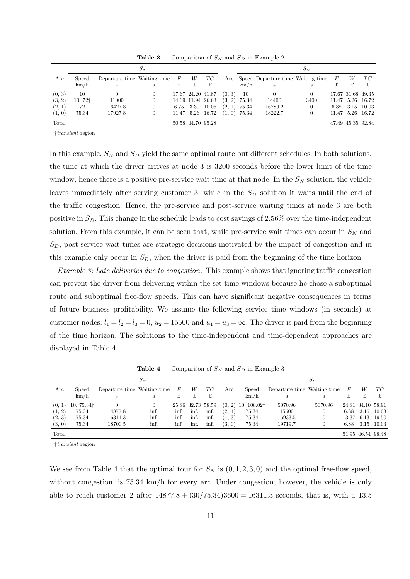|        |                    |                             | $S_N$          |      |                   |                  |        |       | $S_D$                                 |      |       |                   |            |
|--------|--------------------|-----------------------------|----------------|------|-------------------|------------------|--------|-------|---------------------------------------|------|-------|-------------------|------------|
| Arc    | Speed<br>km/h      | Departure time Waiting time | S              | F    | W<br>£            | TC<br>£          |        | km/h  | Arc Speed Departure time Waiting time |      |       | W                 | TC         |
| (0, 3) | 10                 |                             | $\overline{0}$ |      | 17.67 24.20 41.87 |                  | (0, 3) | -10   |                                       |      |       | 17.67 31.68 49.35 |            |
| (3, 2) | 10,72 <sup>†</sup> | 11000                       |                |      | 14.69 11.94 26.63 |                  | (3, 2) | 75.34 | 14400                                 | 3400 | 11.47 |                   | 5.26 16.72 |
| (2, 1) | 72                 | 16427.8                     |                | 6.75 | 3.30              | 10.05            | (2, 1) | 75.34 | 16789.2                               |      | 6.88  |                   | 3.15 10.03 |
| (1, 0) | 75.34              | 17927.8                     |                |      |                   | 11.47 5.26 16.72 | (1, 0) | 75.34 | 18222.7                               |      | 11.47 |                   | 5.26 16.72 |
| Total  |                    |                             |                |      | 50.58 44.70 95.28 |                  |        |       |                                       |      |       | 47.49 45.35 92.84 |            |

**Table 3** Comparison of  $S_N$  and  $S_D$  in Example 2

*†transient* region

In this example,  $S_N$  and  $S_D$  yield the same optimal route but different schedules. In both solutions, the time at which the driver arrives at node 3 is 3200 seconds before the lower limit of the time window, hence there is a positive pre-service wait time at that node. In the  $S_N$  solution, the vehicle leaves immediately after serving customer 3, while in the *S<sup>D</sup>* solution it waits until the end of the traffic congestion. Hence, the pre-service and post-service waiting times at node 3 are both positive in *SD*. This change in the schedule leads to cost savings of 2*.*56% over the time-independent solution. From this example, it can be seen that, while pre-service wait times can occur in  $S_N$  and *SD*, post-service wait times are strategic decisions motivated by the impact of congestion and in this example only occur in *SD*, when the driver is paid from the beginning of the time horizon.

*Example 3: Late deliveries due to congestion.* This example shows that ignoring traffic congestion can prevent the driver from delivering within the set time windows because he chose a suboptimal route and suboptimal free-flow speeds. This can have significant negative consequences in terms of future business profitability. We assume the following service time windows (in seconds) at customer nodes:  $l_1 = l_2 = l_3 = 0$ ,  $u_2 = 15500$  and  $u_1 = u_3 = \infty$ . The driver is paid from the beginning of the time horizon. The solutions to the time-independent and time-dependent approaches are displayed in Table 4.

|        |                   |                             | $S_N$ |       |      |                   |        |                                  |                             | $S_D$   |                  |                   |            |
|--------|-------------------|-----------------------------|-------|-------|------|-------------------|--------|----------------------------------|-----------------------------|---------|------------------|-------------------|------------|
| Arc    | Speed             | Departure time Waiting time |       | $\,F$ | W    | TC                | Arc    | Speed                            | Departure time Waiting time |         | $\boldsymbol{F}$ | W                 | TC         |
|        | km/h              |                             |       | £     | £    | £                 |        | km/h                             |                             | s       |                  |                   |            |
| (0, 1) | $10,75.34\dagger$ |                             |       |       |      | 25.86 32.73 58.59 |        | $(0, 2)$ 10, 106.02 <sup>+</sup> | 5070.96                     | 5070.96 |                  | 24.81 34.10 58.91 |            |
| (1, 2) | 75.34             | 14877.8                     | inf.  | inf.  | inf. | inf.              | (2, 1) | 75.34                            | 15500                       |         | 6.88             |                   | 3.15 10.03 |
| (2, 3) | 75.34             | 16311.3                     | inf.  | inf.  | inf. | inf.              | (1, 3) | 75.34                            | 16933.5                     |         | 13.37            |                   | 6.13 19.50 |
| (3, 0) | 75.34             | 18700.5                     | inf.  | inf.  | inf. | inf.              | (3, 0) | 75.34                            | 19719.7                     |         | 6.88             |                   | 3.15 10.03 |
| Total  |                   |                             |       |       |      |                   |        |                                  |                             |         |                  | 51.95 46.54 98.48 |            |

**Table 4** Comparison of  $S_N$  and  $S_D$  in Example 3

*†transient* region

We see from Table 4 that the optimal tour for  $S_N$  is  $(0,1,2,3,0)$  and the optimal free-flow speed, without congestion, is 75.34 km/h for every arc. Under congestion, however, the vehicle is only able to reach customer 2 after 14877*.*8 + (30*/*75*.*34)3600 = 16311*.*3 seconds, that is, with a 13*.*5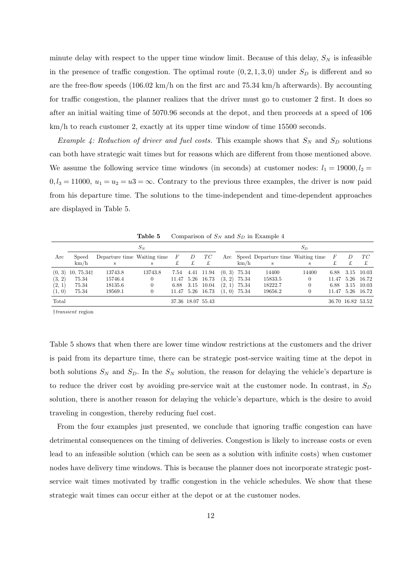minute delay with respect to the upper time window limit. Because of this delay,  $S_N$  is infeasible in the presence of traffic congestion. The optimal route  $(0, 2, 1, 3, 0)$  under  $S_D$  is different and so are the free-flow speeds (106*.*02 km/h on the first arc and 75*.*34 km/h afterwards). By accounting for traffic congestion, the planner realizes that the driver must go to customer 2 first. It does so after an initial waiting time of 5070*.*96 seconds at the depot, and then proceeds at a speed of 106 km/h to reach customer 2, exactly at its upper time window of time 15500 seconds.

*Example 4: Reduction of driver and fuel costs. This example shows that*  $S_N$  *and*  $S_D$  *solutions* can both have strategic wait times but for reasons which are different from those mentioned above. We assume the following service time windows (in seconds) at customer nodes:  $l_1 = 19000, l_2 =$  $0, l_3 = 11000, u_1 = u_2 = u_3 = \infty$ . Contrary to the previous three examples, the driver is now paid from his departure time. The solutions to the time-independent and time-dependent approaches are displayed in Table 5.

|        |                                 |                                 | $S_N$   |                |                   |                |                |                                       | $S_D$              |                |   |                   |
|--------|---------------------------------|---------------------------------|---------|----------------|-------------------|----------------|----------------|---------------------------------------|--------------------|----------------|---|-------------------|
| Arc    | Speed                           | Departure time Waiting time $F$ |         | $\overline{D}$ | TC                |                |                | Arc Speed Departure time Waiting time |                    | $\overline{F}$ | D | TC                |
|        | km/h                            |                                 | S       | £              | £                 |                | km/h           | S                                     |                    |                | £ |                   |
|        | $(0, 3)$ 10, 75.34 <sup>†</sup> | 13743.8                         | 13743.8 |                | 7.54 4.41 11.94   | $(0, 3)$ 75.34 |                | 14400                                 | 14400              | 6.88           |   | 3.15 10.03        |
| (3, 2) | 75.34                           | 15746.4                         | 0       |                | 11.47 5.26 16.73  |                | $(3, 2)$ 75.34 | 15833.5                               | $\left( 0 \right)$ |                |   | 11.47 5.26 16.72  |
| (2, 1) | 75.34                           | 18135.6                         | 0       |                | 6.88 3.15 10.04   |                | $(2, 1)$ 75.34 | 18222.7                               | 0                  | 6.88           |   | 3.15 10.03        |
| (1, 0) | 75.34                           | 19569.1                         |         |                | 11.47 5.26 16.73  |                | $(1, 0)$ 75.34 | 19656.2                               | 0                  |                |   | 11.47 5.26 16.72  |
| Total  |                                 |                                 |         |                | 37.36 18.07 55.43 |                |                |                                       |                    |                |   | 36.70 16.82 53.52 |

**Table 5** Comparison of  $S_N$  and  $S_D$  in Example 4

*†transient* region

Table 5 shows that when there are lower time window restrictions at the customers and the driver is paid from its departure time, there can be strategic post-service waiting time at the depot in both solutions  $S_N$  and  $S_D$ . In the  $S_N$  solution, the reason for delaying the vehicle's departure is to reduce the driver cost by avoiding pre-service wait at the customer node. In contrast, in *S<sup>D</sup>* solution, there is another reason for delaying the vehicle's departure, which is the desire to avoid traveling in congestion, thereby reducing fuel cost.

From the four examples just presented, we conclude that ignoring traffic congestion can have detrimental consequences on the timing of deliveries. Congestion is likely to increase costs or even lead to an infeasible solution (which can be seen as a solution with infinite costs) when customer nodes have delivery time windows. This is because the planner does not incorporate strategic postservice wait times motivated by traffic congestion in the vehicle schedules. We show that these strategic wait times can occur either at the depot or at the customer nodes.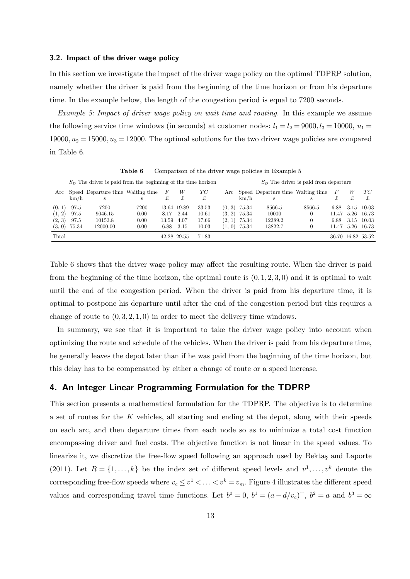#### **3.2. Impact of the driver wage policy**

In this section we investigate the impact of the driver wage policy on the optimal TDPRP solution, namely whether the driver is paid from the beginning of the time horizon or from his departure time. In the example below, the length of the congestion period is equal to 7200 seconds.

*Example 5: Impact of driver wage policy on wait time and routing.* In this example we assume the following service time windows (in seconds) at customer nodes:  $l_1 = l_2 = 9000, l_3 = 10000, u_1 =$  $19000, u_2 = 15000, u_3 = 12000$ . The optimal solutions for the two driver wage policies are compared in Table 6.

|        |                |                                                                | tavic v |       |             |       |                                        |                | Comparison of the driver wage policies in Example of |          |       |      |                   |
|--------|----------------|----------------------------------------------------------------|---------|-------|-------------|-------|----------------------------------------|----------------|------------------------------------------------------|----------|-------|------|-------------------|
|        |                | $SD$ The driver is paid from the beginning of the time horizon |         |       |             |       | $SD$ The driver is paid from departure |                |                                                      |          |       |      |                   |
| Arc    |                | Speed Departure time Waiting time                              |         | F     | W           | TC    |                                        |                | Arc Speed Departure time Waiting time                |          | F     | W    | TC                |
|        | km/h           | s                                                              |         |       | £           |       |                                        | km/h           |                                                      | s        |       |      | £                 |
| (0, 1) | 97.5           | 7200                                                           | 7200    |       | 13.64 19.89 | 33.53 |                                        | $(0, 3)$ 75.34 | 8566.5                                               | 8566.5   | 6.88  | 3.15 | 10.03             |
| (1, 2) | 97.5           | 9046.15                                                        | 0.00    | 8.17  | 2.44        | 10.61 | (3, 2)                                 | 75.34          | 10000                                                |          | 11.47 | 5.26 | - 16.73           |
| (2, 3) | 97.5           | 10153.8                                                        | 0.00    | 13.59 | 4.07        | 17.66 | (2, 1)                                 | 75.34          | 12389.2                                              | $\theta$ | 6.88  | 3.15 | 10.03             |
|        | $(3, 0)$ 75.34 | 12000.00                                                       | 0.00    | 6.88  | 3.15        | 10.03 |                                        | $(1, 0)$ 75.34 | 13822.7                                              |          | 11.47 |      | 5.26 16.73        |
| Total  |                |                                                                |         |       | 42.28 29.55 | 71.83 |                                        |                |                                                      |          |       |      | 36.70 16.82 53.52 |

**Table 6** Comparison of the driver wage policies in Example 5

Table 6 shows that the driver wage policy may affect the resulting route. When the driver is paid from the beginning of the time horizon, the optimal route is  $(0, 1, 2, 3, 0)$  and it is optimal to wait until the end of the congestion period. When the driver is paid from his departure time, it is optimal to postpone his departure until after the end of the congestion period but this requires a change of route to  $(0,3,2,1,0)$  in order to meet the delivery time windows.

In summary, we see that it is important to take the driver wage policy into account when optimizing the route and schedule of the vehicles. When the driver is paid from his departure time, he generally leaves the depot later than if he was paid from the beginning of the time horizon, but this delay has to be compensated by either a change of route or a speed increase.

# **4. An Integer Linear Programming Formulation for the TDPRP**

This section presents a mathematical formulation for the TDPRP. The objective is to determine a set of routes for the *K* vehicles, all starting and ending at the depot, along with their speeds on each arc, and then departure times from each node so as to minimize a total cost function encompassing driver and fuel costs. The objective function is not linear in the speed values. To linearize it, we discretize the free-flow speed following an approach used by Bektaş and Laporte (2011). Let  $R = \{1, \ldots, k\}$  be the index set of different speed levels and  $v^1, \ldots, v^k$  denote the corresponding free-flow speeds where  $v_c \le v^1 < \ldots < v^k = v_m$ . Figure 4 illustrates the different speed values and corresponding travel time functions. Let  $b^0 = 0$ ,  $b^1 = (a - d/v_c)^+$ ,  $b^2 = a$  and  $b^3 = \infty$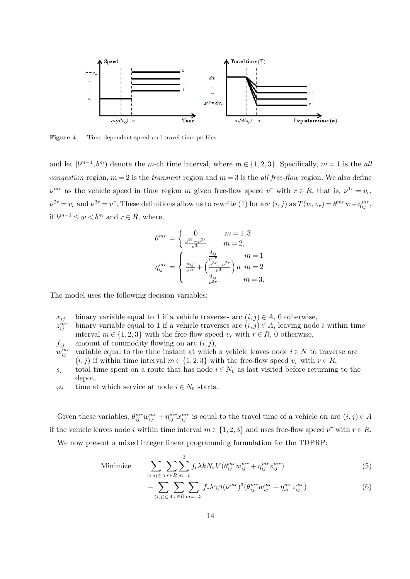

**Figure 4** Time-dependent speed and travel time profiles

and let  $[b^{m-1}, b^m]$  denote the *m*-th time interval, where  $m \in \{1, 2, 3\}$ . Specifically,  $m = 1$  is the *all congestion* region,  $m = 2$  is the *transient* region and  $m = 3$  is the *all free-flow* region. We also define  $\nu^{mr}$  as the vehicle speed in time region *m* given free-flow speed  $v^r$  with  $r \in R$ , that is,  $\nu^{1r} = v_c$ ,  $\nu^{2r} = v_c$  and  $\nu^{3r} = v^r$ . These definitions allow us to rewrite (1) for arc  $(i, j)$  as  $T(w, v_r) = \theta^{mr} w + \eta_{ij}^{mr}$ , if  $b^{m-1}$  ≤  $w$  <  $b^m$  and  $r$  ∈  $R$ , where,

$$
\theta^{mr} = \begin{cases} 0 & m = 1, 3 \\ \frac{\nu^{2r} - \nu^{3r}}{\nu^{3r}} & m = 2, \end{cases}
$$
  

$$
\eta_{ij}^{mr} = \begin{cases} \frac{d_{ij}}{\nu^{1r}} & m = 1 \\ \frac{d_{ij}}{\nu^{3r}} + \left(\frac{\nu^{3r} - \nu^{2r}}{\nu^{3r}}\right)a & m = 2 \\ \frac{d_{ij}}{\nu^{3r}} & m = 3. \end{cases}
$$

The model uses the following decision variables:

- *x*<sub>*ij*</sub> binary variable equal to 1 if a vehicle traverses arc  $(i, j) \in A$ , 0 otherwise,
- $z_{ii}^{mr}$ binary variable equal to 1 if a vehicle traverses arc  $(i, j) \in A$ , leaving node *i* within time interval *m* ∈ {1, 2, 3} with the free-flow speed  $v_r$  with  $r \in R$ , 0 otherwise,
- $f_{ij}$  amount of commodity flowing on arc  $(i, j)$ ,
- $w_{ii}^{mr}$ variable equal to the time instant at which a vehicle leaves node  $i \in N$  to traverse arc  $(i, j)$  if within time interval  $m \in \{1, 2, 3\}$  with the free-flow speed  $v_r$  with  $r \in R$ ,
- *s*<sup>*i*</sup> total time spent on a route that has node  $i \in N_0$  as last visited before returning to the depot,
- $\varphi_i$  time at which service at node  $i \in N_0$  starts.

Given these variables,  $\theta_{ij}^{mr}w_{ij}^{mr} + \eta_{ij}^{mr}x_{ij}^{mr}$  is equal to the travel time of a vehicle on arc  $(i, j) \in A$ if the vehicle leaves node *i* within time interval  $m \in \{1, 2, 3\}$  and uses free-flow speed  $v^r$  with  $r \in R$ . We now present a mixed integer linear programming formulation for the TDPRP:

Minimize 
$$
\sum_{(i,j)\in A} \sum_{r\in R} \sum_{m=1}^{3} f_c \lambda k N_e V(\theta_{ij}^{mr} w_{ij}^{mr} + \eta_{ij}^{mr} z_{ij}^{mr})
$$
(5)

$$
+\sum_{(i,j)\in A}\sum_{r\in R}\sum_{m=1,3}f_c\lambda\gamma\beta(\nu^{mr})^3(\theta_{ij}^{mr}w_{ij}^{mr}+\eta_{ij}^{mr}z_{ij}^{mr})
$$
\n(6)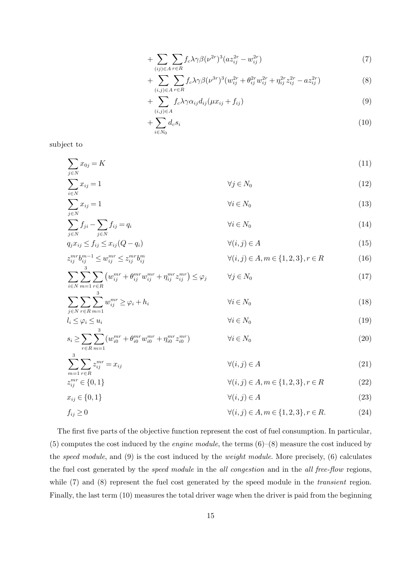$$
+\sum_{(ij)\in A}\sum_{r\in R}f_c\lambda\gamma\beta(\nu^{2r})^3(az_{ij}^{2r}-w_{ij}^{2r})
$$
\n
$$
(7)
$$

$$
+\sum_{(i,j)\in A}\sum_{r\in R}f_c\lambda\gamma\beta(\nu^{3r})^3(w_{ij}^{2r}+\theta_{ij}^{2r}w_{ij}^{2r}+\eta_{ij}^{2r}z_{ij}^{2r}-az_{ij}^{2r})
$$
\n(8)

$$
+\sum_{(i,j)\in A} f_c \lambda \gamma \alpha_{ij} d_{ij} (\mu x_{ij} + f_{ij}) \tag{9}
$$

$$
+\sum_{i\in N_0}d_c s_i\tag{10}
$$

subject to

$$
\sum_{j \in N} x_{0j} = K \tag{11}
$$

 $+$ 

 $\overline{a}$ 

$$
\sum_{i \in N} x_{ij} = 1 \qquad \qquad \forall j \in N_0 \tag{12}
$$
\n
$$
\sum_{j \in N} x_{ij} = 1 \qquad \qquad \forall i \in N_0 \tag{13}
$$

$$
\sum_{j \in N} f_{ji} - \sum_{j \in N} f_{ij} = q_i \qquad \qquad \forall i \in N_0
$$
\n(14)

$$
q_j x_{ij} \le f_{ij} \le x_{ij} (Q - q_i) \qquad \qquad \forall (i, j) \in A \tag{15}
$$

$$
z_{ij}^{mr}b_{ij}^{m-1} \le w_{ij}^{mr} \le z_{ij}^{mr}b_{ij}^{m} \qquad \qquad \forall (i,j) \in A, m \in \{1,2,3\}, r \in R \tag{16}
$$

$$
\sum_{i \in N} \sum_{m=1} \sum_{r \in R} \left( w_{ij}^{mr} + \theta_{ij}^{mr} w_{ij}^{mr} + \eta_{ij}^{mr} z_{ij}^{mr} \right) \le \varphi_j \qquad \forall j \in N_0
$$
\n
$$
(17)
$$

$$
\sum_{j \in N} \sum_{r \in R} \sum_{m=1}^{s} w_{ij}^{mr} \ge \varphi_i + h_i \qquad \forall i \in N_0
$$
\n(18)

$$
l_i \le \varphi_i \le u_i \qquad \qquad \forall i \in N_0
$$
\n
$$
s_i \ge \sum \sum_{i}^{3} (w_{i0}^{mr} + \theta_{i0}^{mr} w_{i0}^{mr} + \eta_{i0}^{mr} z_{i0}^{mr}) \qquad \qquad \forall i \in N_0
$$
\n
$$
(20)
$$

$$
s_i \le \sum_{r \in R} \sum_{m=1}^{m} (w_{i0} + \sigma_{i0} w_{i0} + \eta_{i0} z_{i0}) \qquad \forall i \in N_0
$$
\n
$$
(20)
$$

$$
\sum_{m=1}^{n} \sum_{r \in R} z_{ij}^{mr} = x_{ij} \qquad \forall (i, j) \in A \tag{21}
$$
\n
$$
z_{ii}^{mr} \in \{0, 1\} \qquad \forall (i, j) \in A, m \in \{1, 2, 3\}, r \in R \tag{22}
$$

$$
\forall (i,j) \in A, m \in \{1,2,3\}, r \in R \tag{22}
$$

$$
x_{ij} \in \{0, 1\} \qquad \qquad \forall (i, j) \in A \tag{23}
$$

$$
f_{ij} \ge 0 \t\t \forall (i, j) \in A, m \in \{1, 2, 3\}, r \in R. \t(24)
$$

The first five parts of the objective function represent the cost of fuel consumption. In particular, (5) computes the cost induced by the *engine module*, the terms (6)–(8) measure the cost induced by the *speed module*, and (9) is the cost induced by the *weight module*. More precisely, (6) calculates the fuel cost generated by the *speed module* in the *all congestion* and in the *all free-flow* regions, while (7) and (8) represent the fuel cost generated by the speed module in the *transient* region. Finally, the last term (10) measures the total driver wage when the driver is paid from the beginning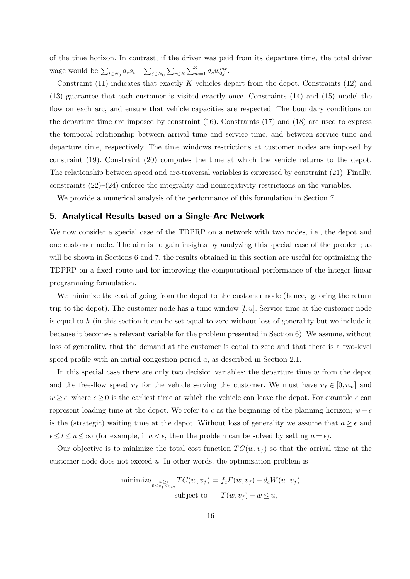of the time horizon. In contrast, if the driver was paid from its departure time, the total driver wage would be  $\sum_{i \in N_0} d_c s_i - \sum_{j \in N_0} \sum_{r \in R} \sum_{m=1}^3 d_c w_{0j}^{mr}$ .

Constraint (11) indicates that exactly *K* vehicles depart from the depot. Constraints (12) and (13) guarantee that each customer is visited exactly once. Constraints (14) and (15) model the flow on each arc, and ensure that vehicle capacities are respected. The boundary conditions on the departure time are imposed by constraint (16). Constraints (17) and (18) are used to express the temporal relationship between arrival time and service time, and between service time and departure time, respectively. The time windows restrictions at customer nodes are imposed by constraint (19). Constraint (20) computes the time at which the vehicle returns to the depot. The relationship between speed and arc-traversal variables is expressed by constraint (21). Finally, constraints (22)–(24) enforce the integrality and nonnegativity restrictions on the variables.

We provide a numerical analysis of the performance of this formulation in Section 7.

# **5. Analytical Results based on a Single-Arc Network**

We now consider a special case of the TDPRP on a network with two nodes, i.e., the depot and one customer node. The aim is to gain insights by analyzing this special case of the problem; as will be shown in Sections 6 and 7, the results obtained in this section are useful for optimizing the TDPRP on a fixed route and for improving the computational performance of the integer linear programming formulation.

We minimize the cost of going from the depot to the customer node (hence, ignoring the return trip to the depot). The customer node has a time window [*l, u*]. Service time at the customer node is equal to *h* (in this section it can be set equal to zero without loss of generality but we include it because it becomes a relevant variable for the problem presented in Section 6). We assume, without loss of generality, that the demand at the customer is equal to zero and that there is a two-level speed profile with an initial congestion period *a*, as described in Section 2.1.

In this special case there are only two decision variables: the departure time *w* from the depot and the free-flow speed  $v_f$  for the vehicle serving the customer. We must have  $v_f \in [0, v_m]$  and  $w \geq \epsilon$ , where  $\epsilon \geq 0$  is the earliest time at which the vehicle can leave the depot. For example  $\epsilon$  can represent loading time at the depot. We refer to  $\epsilon$  as the beginning of the planning horizon; *w* –  $\epsilon$ is the (strategic) waiting time at the depot. Without loss of generality we assume that  $a \geq \epsilon$  and  $\epsilon \leq l \leq u \leq \infty$  (for example, if  $a < \epsilon$ , then the problem can be solved by setting  $a = \epsilon$ ).

Our objective is to minimize the total cost function  $TC(w, v_f)$  so that the arrival time at the customer node does not exceed *u*. In other words, the optimization problem is

minimize 
$$
\underset{0 \le v_f \le v_m}{\text{minimize}} \, \underset{0 \le v_f \le v_m}{\text{max}} \, TC(w, v_f) = f_c F(w, v_f) + d_c W(w, v_f)
$$
\nsubject to 
$$
T(w, v_f) + w \le u,
$$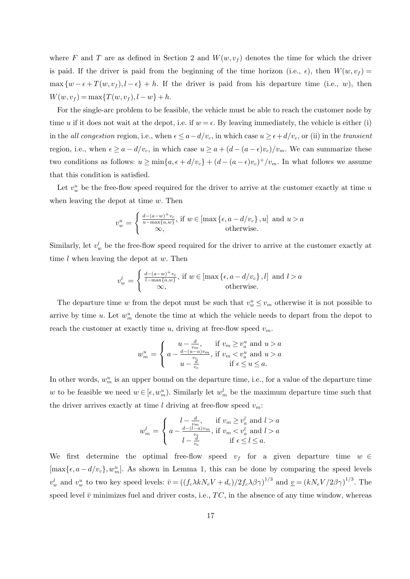where F and T are as defined in Section 2 and  $W(w, v_f)$  denotes the time for which the driver is paid. If the driver is paid from the beginning of the time horizon (i.e.,  $\epsilon$ ), then  $W(w, v_f)$  $\max \{w - \epsilon + T(w, v_f), l - \epsilon\} + h$ . If the driver is paid from his departure time (i.e., *w*), then  $W(w, v_f) = \max\{T(w, v_f), l - w\} + h.$ 

For the single-arc problem to be feasible, the vehicle must be able to reach the customer node by time *u* if it does not wait at the depot, i.e. if  $w = \epsilon$ . By leaving immediately, the vehicle is either (i) in the *all congestion* region, i.e., when  $\epsilon \le a - d/v_c$ , in which case  $u \ge \epsilon + d/v_c$ , or (ii) in the *transient* region, i.e., when  $\epsilon \ge a - d/v_c$ , in which case  $u \ge a + (d - (a - \epsilon)v_c)/v_m$ . We can summarize these two conditions as follows:  $u \ge \min\{a, \epsilon + d/v_c\} + (d - (a - \epsilon)v_c)^{+}/v_m$ . In what follows we assume that this condition is satisfied.

Let  $v_w^u$  be the free-flow speed required for the driver to arrive at the customer exactly at time  $u$ when leaving the depot at time *w*. Then

$$
v_w^u = \begin{cases} \frac{d - (a - w)^+ v_c}{u - \max\{a, w\}}, & \text{if } w \in [\max\{\epsilon, a - d/v_c\}, u] \text{ and } u > a \\ \infty, & \text{otherwise.} \end{cases}
$$

Similarly, let  $v_w^l$  be the free-flow speed required for the driver to arrive at the customer exactly at time *l* when leaving the depot at *w*. Then

$$
v_w^l = \begin{cases} \frac{d - (a - w)^+ v_c}{l - \max\{a, w\}}, & \text{if } w \in [\max\{\epsilon, a - d/v_c\}, l] \text{ and } l > a \\ \infty, & \text{otherwise.} \end{cases}
$$

The departure time *w* from the depot must be such that  $v_w^u \leq v_m$  otherwise it is not possible to arrive by time *u*. Let  $w_m^u$  denote the time at which the vehicle needs to depart from the depot to reach the customer at exactly time *u*, driving at free-flow speed  $v_m$ .

$$
w_m^u = \begin{cases} u - \frac{d}{v_m}, & \text{if } v_m \ge v_a^u \text{ and } u > a \\ a - \frac{d - (u - a)v_m}{v_c}, & \text{if } v_m < v_a^u \text{ and } u > a \\ u - \frac{d}{v_c} & \text{if } \epsilon \le u \le a. \end{cases}
$$

In other words,  $w_m^u$  is an upper bound on the departure time, i.e., for a value of the departure time *w* to be feasible we need  $w \in [\epsilon, w_m^u)$ . Similarly let  $w_m^l$  be the maximum departure time such that the driver arrives exactly at time *l* driving at free-flow speed  $v_m$ :

$$
w_m^l = \left\{ \begin{matrix} l - \frac{d}{v_m}, & \text{if } v_m \geq v_a^l \text{ and } l > a \\ a - \frac{d - (l - a)v_m}{v_c}, & \text{if } v_m < v_a^l \text{ and } l > a \\ l - \frac{d}{v_c} & \text{if } \epsilon \leq l \leq a. \end{matrix} \right.
$$

We first determine the optimal free-flow speed  $v_f$  for a given departure time  $w \in$  $[\max{\epsilon, a - d/v_c}, w_m^u]$ . As shown in Lemma 1, this can be done by comparing the speed levels  $v_w^l$  and  $v_w^u$  to two key speed levels:  $\bar{v} = ((f_c \lambda k N_e V + d_c)/2 f_c \lambda \beta \gamma)^{1/3}$  and  $\underline{v} = (k N_e V / 2 \beta \gamma)^{1/3}$ . The speed level  $\bar{v}$  minimizes fuel and driver costs, i.e.,  $TC$ , in the absence of any time window, whereas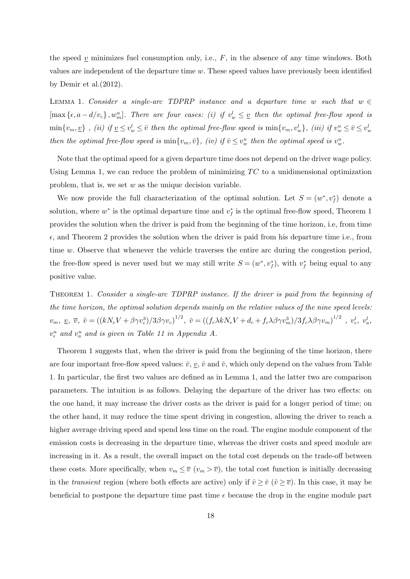the speed  $\underline{v}$  minimizes fuel consumption only, i.e.,  $F$ , in the absence of any time windows. Both values are independent of the departure time *w*. These speed values have previously been identified by Demir et al.(2012).

LEMMA 1. *Consider a single-arc TDPRP instance and a departure time w such that*  $w \in$  $[\max{\{\epsilon, a - d/v_c\}}, w_m^u]$ *. There are four cases: (i) if*  $v_w^l \leq \underline{v}$  then the optimal free-flow speed is  $\min\{v_m, \underline{v}\}\,$ , (ii) if  $\underline{v} \leq v_w^l \leq \overline{v}$  then the optimal free-flow speed is  $\min\{v_m, v_w^l\}$ , (iii) if  $v_w^u \leq \overline{v} \leq v_w^l$ then the optimal free-flow speed is  $\min\{v_m, \bar{v}\},\ (iv)\ \text{if}\ \bar{v}\leq v_w^u$  then the optimal speed is  $v_w^u$ .

Note that the optimal speed for a given departure time does not depend on the driver wage policy. Using Lemma 1, we can reduce the problem of minimizing TC to a unidimensional optimization problem, that is, we set *w* as the unique decision variable.

We now provide the full characterization of the optimal solution. Let  $S = (w^*, v_f^*)$  denote a solution, where  $w^*$  is the optimal departure time and  $v_f^*$  is the optimal free-flow speed, Theorem 1 provides the solution when the driver is paid from the beginning of the time horizon, i.e, from time *ϵ*, and Theorem 2 provides the solution when the driver is paid from his departure time i.e., from time *w*. Observe that whenever the vehicle traverses the entire arc during the congestion period, the free-flow speed is never used but we may still write  $S = (w^*, v_f^*)$ , with  $v_f^*$  being equal to any positive value.

Theorem 1. *Consider a single-arc TDPRP instance. If the driver is paid from the beginning of the time horizon, the optimal solution depends mainly on the relative values of the nine speed levels:*  $v_m, v_z, \bar{v}, \hat{v} = ((kN_eV + \beta\gamma v_c^3)/3\beta\gamma v_c)^{1/2}, \check{v} = ((f_c\lambda kN_eV + d_c + f_c\lambda\beta\gamma v_m^3)/3f_c\lambda\beta\gamma v_m)^{1/2}$ ,  $v_e^l, v_a^l$  $v_{\epsilon}^{u}$  and  $v_{a}^{u}$  and is given in Table 11 in Appendix A.

Theorem 1 suggests that, when the driver is paid from the beginning of the time horizon, there are four important free-flow speed values:  $\bar{v}$ ,  $\bar{v}$ ,  $\hat{v}$  and  $\tilde{v}$ , which only depend on the values from Table 1. In particular, the first two values are defined as in Lemma 1, and the latter two are comparison parameters. The intuition is as follows. Delaying the departure of the driver has two effects: on the one hand, it may increase the driver costs as the driver is paid for a longer period of time; on the other hand, it may reduce the time spent driving in congestion, allowing the driver to reach a higher average driving speed and spend less time on the road. The engine module component of the emission costs is decreasing in the departure time, whereas the driver costs and speed module are increasing in it. As a result, the overall impact on the total cost depends on the trade-off between these costs. More specifically, when  $v_m \leq \overline{v}$  ( $v_m > \overline{v}$ ), the total cost function is initially decreasing in the *transient* region (where both effects are active) only if  $\hat{v} \geq \tilde{v}$  ( $\hat{v} \geq \overline{v}$ ). In this case, it may be beneficial to postpone the departure time past time  $\epsilon$  because the drop in the engine module part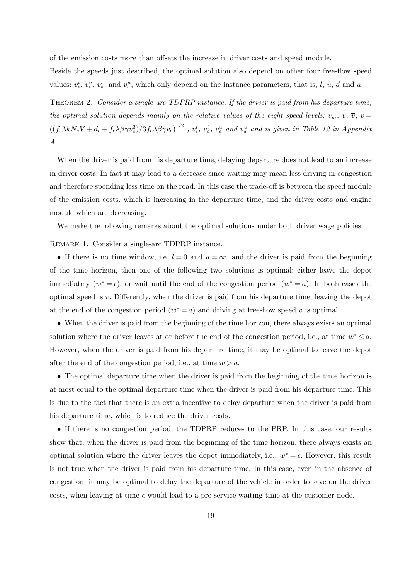of the emission costs more than offsets the increase in driver costs and speed module.

Beside the speeds just described, the optimal solution also depend on other four free-flow speed values:  $v_{\epsilon}^l$ ,  $v_{\epsilon}^u$ ,  $v_a^l$ , and  $v_a^u$ , which only depend on the instance parameters, that is, l, u, d and a.

Theorem 2. *Consider a single-arc TDPRP instance. If the driver is paid from his departure time, the optimal solution depends mainly on the relative values of the eight speed levels:*  $v_m$ ,  $v_r$ ,  $\bar{v}$ ,  $\bar{v}$  $((f_c \lambda k N_e V + d_c + f_c \lambda \beta \gamma v_c^3)/3f_c \lambda \beta \gamma v_c)^{1/2}$ ,  $v_c^l$ ,  $v_a^l$ ,  $v_e^u$  and  $v_a^u$  and is given in Table 12 in Appendix *A.*

When the driver is paid from his departure time, delaying departure does not lead to an increase in driver costs. In fact it may lead to a decrease since waiting may mean less driving in congestion and therefore spending less time on the road. In this case the trade-off is between the speed module of the emission costs, which is increasing in the departure time, and the driver costs and engine module which are decreasing.

We make the following remarks about the optimal solutions under both driver wage policies.

REMARK 1. Consider a single-arc TDPRP instance.

• If there is no time window, i.e.  $l = 0$  and  $u = \infty$ , and the driver is paid from the beginning of the time horizon, then one of the following two solutions is optimal: either leave the depot immediately  $(w^* = \epsilon)$ , or wait until the end of the congestion period  $(w^* = a)$ . In both cases the optimal speed is  $\bar{v}$ . Differently, when the driver is paid from his departure time, leaving the depot at the end of the congestion period  $(w^* = a)$  and driving at free-flow speed  $\overline{v}$  is optimal.

• When the driver is paid from the beginning of the time horizon, there always exists an optimal solution where the driver leaves at or before the end of the congestion period, i.e., at time  $w^* \leq a$ . However, when the driver is paid from his departure time, it may be optimal to leave the depot after the end of the congestion period, i.e., at time  $w > a$ .

• The optimal departure time when the driver is paid from the beginning of the time horizon is at most equal to the optimal departure time when the driver is paid from his departure time. This is due to the fact that there is an extra incentive to delay departure when the driver is paid from his departure time, which is to reduce the driver costs.

• If there is no congestion period, the TDPRP reduces to the PRP. In this case, our results show that, when the driver is paid from the beginning of the time horizon, there always exists an optimal solution where the driver leaves the depot immediately, i.e.,  $w^* = \epsilon$ . However, this result is not true when the driver is paid from his departure time. In this case, even in the absence of congestion, it may be optimal to delay the departure of the vehicle in order to save on the driver costs, when leaving at time  $\epsilon$  would lead to a pre-service waiting time at the customer node.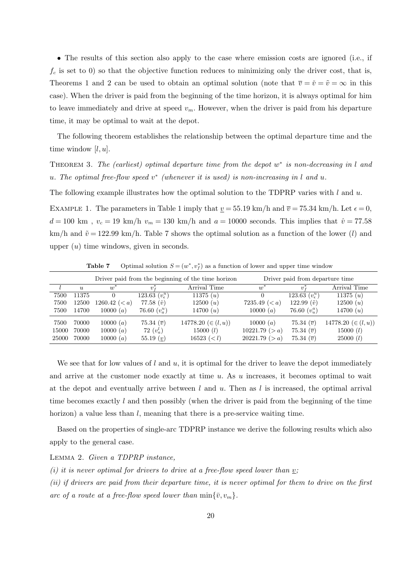• The results of this section also apply to the case where emission costs are ignored (i.e., if  $f_c$  is set to 0) so that the objective function reduces to minimizing only the driver cost, that is, Theorems 1 and 2 can be used to obtain an optimal solution (note that  $\overline{v} = \check{v} = \tilde{v} = \infty$  in this case). When the driver is paid from the beginning of the time horizon, it is always optimal for him to leave immediately and drive at speed  $v_m$ . However, when the driver is paid from his departure time, it may be optimal to wait at the depot.

The following theorem establishes the relationship between the optimal departure time and the time window [*l, u*].

THEOREM 3. *The (earliest) optimal departure time from the depot w<sup>\*</sup> is non-decreasing in l and u. The optimal free-flow speed v ∗ (whenever it is used) is non-increasing in l and u.*

The following example illustrates how the optimal solution to the TDPRP varies with *l* and *u*.

EXAMPLE 1. The parameters in Table 1 imply that  $v = 55.19 \text{ km/h}$  and  $\bar{v} = 75.34 \text{ km/h}$ . Let  $\epsilon = 0$ ,  $d = 100 \text{ km}$ ,  $v_c = 19 \text{ km/h}$   $v_m = 130 \text{ km/h}$  and  $a = 10000$  seconds. This implies that  $\hat{v} = 77.58$ km/h and  $\tilde{v} = 122.99$  km/h. Table 7 shows the optimal solution as a function of the lower (*l*) and upper (*u*) time windows, given in seconds.

|                        |                         |                                     |                                                    | Driver paid from the beginning of the time horizon     | Driver paid from departure time               |                                                                            |                                                   |  |  |
|------------------------|-------------------------|-------------------------------------|----------------------------------------------------|--------------------------------------------------------|-----------------------------------------------|----------------------------------------------------------------------------|---------------------------------------------------|--|--|
|                        | $\mathfrak{u}$          | $w^*$                               | $v_{\rm f}$                                        | Arrival Time                                           | $w^*$                                         | $v^*$                                                                      | Arrival Time                                      |  |  |
| 7500                   | 11375                   | $\theta$                            | 123.63 $(v_{\epsilon}^u)$                          | 11375 (u)                                              |                                               | 123.63 $(v_{\epsilon}^u)$                                                  | 11375 (u)                                         |  |  |
| 7500                   | 12500                   | 1260.42 $(< a)$                     | 77.58 $(\hat{v})$                                  | 12500 (u)                                              | 7235.49 ( $)$                                 | 122.99 $(\tilde{v})$                                                       | 12500 (u)                                         |  |  |
| 7500                   | 14700                   | 10000 $(a)$                         | 76.60 $(v_a^u)$                                    | 14700 $(u)$                                            | 10000 $(a)$                                   | 76.60 $(v_u^a)$                                                            | 14700 $(u)$                                       |  |  |
| 7500<br>15000<br>25000 | 70000<br>70000<br>70000 | 10000 (a)<br>10000 (a)<br>10000 (a) | 75.34 $(\overline{v})$<br>72 $(v_a^l)$<br>55.19(v) | 14778.20 $(\in (l, u))$<br>15000 (l)<br>$16523 \ (< l$ | 10000 $(a)$<br>10221.79 (>a)<br>20221.79 (>a) | 75.34 $(\overline{v})$<br>75.34 $(\overline{v})$<br>75.34 $(\overline{v})$ | 14778.20 $(\in (l, u))$<br>15000 (l)<br>25000 (l) |  |  |

**Table 7** Optimal solution  $S = (w^*, v_f^*)$  as a function of lower and upper time window

We see that for low values of *l* and *u*, it is optimal for the driver to leave the depot immediately and arrive at the customer node exactly at time *u*. As *u* increases, it becomes optimal to wait at the depot and eventually arrive between *l* and *u*. Then as *l* is increased, the optimal arrival time becomes exactly *l* and then possibly (when the driver is paid from the beginning of the time horizon) a value less than *l*, meaning that there is a pre-service waiting time.

Based on the properties of single-arc TDPRP instance we derive the following results which also apply to the general case.

### Lemma 2. *Given a TDPRP instance,*

*(i) it is never optimal for drivers to drive at a free-flow speed lower than*  $v$ *;* 

*(ii) if drivers are paid from their departure time, it is never optimal for them to drive on the first arc of a route at a free-flow speed lower than*  $\min{\bar{v}, v_m}$ .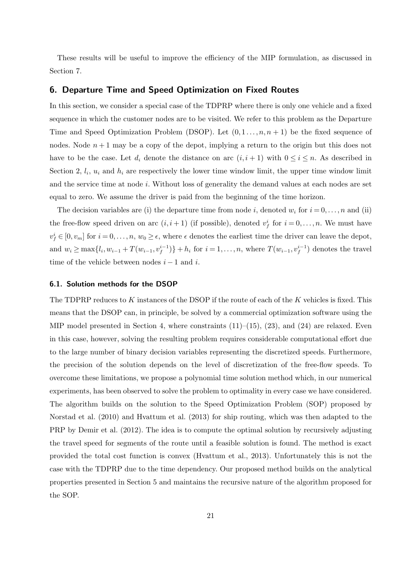These results will be useful to improve the efficiency of the MIP formulation, as discussed in Section 7.

# **6. Departure Time and Speed Optimization on Fixed Routes**

In this section, we consider a special case of the TDPRP where there is only one vehicle and a fixed sequence in which the customer nodes are to be visited. We refer to this problem as the Departure Time and Speed Optimization Problem (DSOP). Let  $(0, 1, \ldots, n, n+1)$  be the fixed sequence of nodes. Node  $n+1$  may be a copy of the depot, implying a return to the origin but this does not have to be the case. Let  $d_i$  denote the distance on arc  $(i, i + 1)$  with  $0 \le i \le n$ . As described in Section 2,  $l_i$ ,  $u_i$  and  $h_i$  are respectively the lower time window limit, the upper time window limit and the service time at node *i*. Without loss of generality the demand values at each nodes are set equal to zero. We assume the driver is paid from the beginning of the time horizon.

The decision variables are (i) the departure time from node *i*, denoted  $w_i$  for  $i = 0, \ldots, n$  and (ii) the free-flow speed driven on arc  $(i, i + 1)$  (if possible), denoted  $v_f^i$  for  $i = 0, \ldots, n$ . We must have  $v_f^i \in [0, v_m]$  for  $i = 0, \ldots, n, w_0 \geq \epsilon$ , where  $\epsilon$  denotes the earliest time the driver can leave the depot, and  $w_i \ge \max\{l_i, w_{i-1} + T(w_{i-1}, v_f^{i-1})\} + h_i$  for  $i = 1, ..., n$ , where  $T(w_{i-1}, v_f^{i-1})$  denotes the travel time of the vehicle between nodes  $i - 1$  and  $i$ .

#### **6.1. Solution methods for the DSOP**

The TDPRP reduces to *K* instances of the DSOP if the route of each of the *K* vehicles is fixed. This means that the DSOP can, in principle, be solved by a commercial optimization software using the MIP model presented in Section 4, where constraints  $(11)$ – $(15)$ ,  $(23)$ , and  $(24)$  are relaxed. Even in this case, however, solving the resulting problem requires considerable computational effort due to the large number of binary decision variables representing the discretized speeds. Furthermore, the precision of the solution depends on the level of discretization of the free-flow speeds. To overcome these limitations, we propose a polynomial time solution method which, in our numerical experiments, has been observed to solve the problem to optimality in every case we have considered. The algorithm builds on the solution to the Speed Optimization Problem (SOP) proposed by Norstad et al. (2010) and Hvattum et al. (2013) for ship routing, which was then adapted to the PRP by Demir et al. (2012). The idea is to compute the optimal solution by recursively adjusting the travel speed for segments of the route until a feasible solution is found. The method is exact provided the total cost function is convex (Hvattum et al., 2013). Unfortunately this is not the case with the TDPRP due to the time dependency. Our proposed method builds on the analytical properties presented in Section 5 and maintains the recursive nature of the algorithm proposed for the SOP.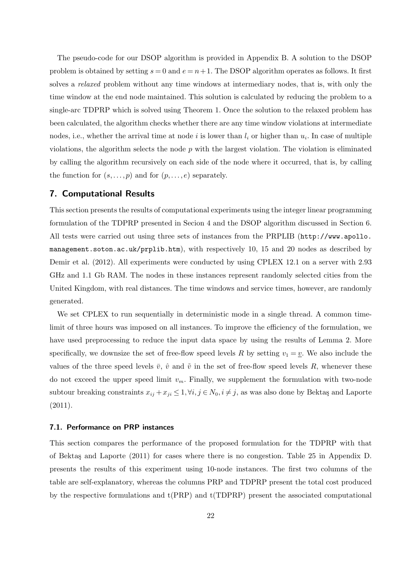The pseudo-code for our DSOP algorithm is provided in Appendix B. A solution to the DSOP problem is obtained by setting  $s = 0$  and  $e = n + 1$ . The DSOP algorithm operates as follows. It first solves a *relaxed* problem without any time windows at intermediary nodes, that is, with only the time window at the end node maintained. This solution is calculated by reducing the problem to a single-arc TDPRP which is solved using Theorem 1. Once the solution to the relaxed problem has been calculated, the algorithm checks whether there are any time window violations at intermediate nodes, i.e., whether the arrival time at node  $i$  is lower than  $l_i$  or higher than  $u_i$ . In case of multiple violations, the algorithm selects the node *p* with the largest violation. The violation is eliminated by calling the algorithm recursively on each side of the node where it occurred, that is, by calling the function for  $(s, \ldots, p)$  and for  $(p, \ldots, e)$  separately.

# **7. Computational Results**

This section presents the results of computational experiments using the integer linear programming formulation of the TDPRP presented in Secion 4 and the DSOP algorithm discussed in Section 6. All tests were carried out using three sets of instances from the PRPLIB (http://www.apollo. management.soton.ac.uk/prplib.htm), with respectively 10, 15 and 20 nodes as described by Demir et al. (2012). All experiments were conducted by using CPLEX 12.1 on a server with 2.93 GHz and 1.1 Gb RAM. The nodes in these instances represent randomly selected cities from the United Kingdom, with real distances. The time windows and service times, however, are randomly generated.

We set CPLEX to run sequentially in deterministic mode in a single thread. A common timelimit of three hours was imposed on all instances. To improve the efficiency of the formulation, we have used preprocessing to reduce the input data space by using the results of Lemma 2. More specifically, we downsize the set of free-flow speed levels R by setting  $v_1 = v$ . We also include the values of the three speed levels  $\bar{v}$ ,  $\hat{v}$  and  $\tilde{v}$  in the set of free-flow speed levels R, whenever these do not exceed the upper speed limit *vm*. Finally, we supplement the formulation with two-node subtour breaking constraints  $x_{ij} + x_{ji} \leq 1, \forall i, j \in N_0, i \neq j$ , as was also done by Bektaş and Laporte  $(2011).$ 

### **7.1. Performance on PRP instances**

This section compares the performance of the proposed formulation for the TDPRP with that of Bektas and Laporte  $(2011)$  for cases where there is no congestion. Table 25 in Appendix D. presents the results of this experiment using 10-node instances. The first two columns of the table are self-explanatory, whereas the columns PRP and TDPRP present the total cost produced by the respective formulations and t(PRP) and t(TDPRP) present the associated computational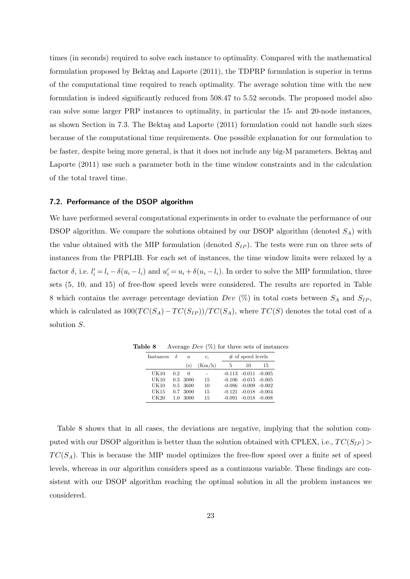times (in seconds) required to solve each instance to optimality. Compared with the mathematical formulation proposed by Bektaş and Laporte (2011), the TDPRP formulation is superior in terms of the computational time required to reach optimality. The average solution time with the new formulation is indeed significantly reduced from 508*.*47 to 5*.*52 seconds. The proposed model also can solve some larger PRP instances to optimality, in particular the 15- and 20-node instances, as shown Section in 7.3. The Bektas and Laporte (2011) formulation could not handle such sizes because of the computational time requirements. One possible explanation for our formulation to be faster, despite being more general, is that it does not include any big-M parameters. Bektas and Laporte (2011) use such a parameter both in the time window constraints and in the calculation of the total travel time.

#### **7.2. Performance of the DSOP algorithm**

We have performed several computational experiments in order to evaluate the performance of our DSOP algorithm. We compare the solutions obtained by our DSOP algorithm (denoted *SA*) with the value obtained with the MIP formulation (denoted *SIP* ). The tests were run on three sets of instances from the PRPLIB. For each set of instances, the time window limits were relaxed by a factor  $\delta$ , i.e.  $l'_i = l_i - \delta(u_i - l_i)$  and  $u'_i = u_i + \delta(u_i - l_i)$ . In order to solve the MIP formulation, three sets (5, 10, and 15) of free-flow speed levels were considered. The results are reported in Table 8 which contains the average percentage deviation *Dev*  $(\%)$  in total costs between  $S_A$  and  $S_{IP}$ , which is calculated as  $100(TC(S_A) - TC(S_{IP}))/TC(S_A)$ , where  $TC(S)$  denotes the total cost of a solution *S*.

| Instances |     | a.         | $v_{c}$ |          | $#$ of speed levels        |    |
|-----------|-----|------------|---------|----------|----------------------------|----|
|           |     | (s)        | (Km/h)  | 5        | 10                         | 15 |
| UK10      | 0.2 | $\Omega$   |         |          | $-0.113 - 0.011 - 0.005$   |    |
| UK10      | 0.3 | -3000      | 15      |          | $-0.106$ $-0.015$ $-0.005$ |    |
| UK10      |     | $0.5$ 3600 | 10      |          | $-0.086$ $-0.009$ $-0.002$ |    |
| UK15      | 0.7 | 3000       | 15      |          | $-0.121 - 0.018 - 0.004$   |    |
| UK20      | 1.0 | 3000       | 15      | $-0.091$ | $-0.018 - 0.008$           |    |

**Table 8** Average *Dev* (%) for three sets of instances

Table 8 shows that in all cases, the deviations are negative, implying that the solution computed with our DSOP algorithm is better than the solution obtained with CPLEX, i.e.,  $TC(S_{IP})$  $TC(S_A)$ . This is because the MIP model optimizes the free-flow speed over a finite set of speed levels, whereas in our algorithm considers speed as a continuous variable. These findings are consistent with our DSOP algorithm reaching the optimal solution in all the problem instances we considered.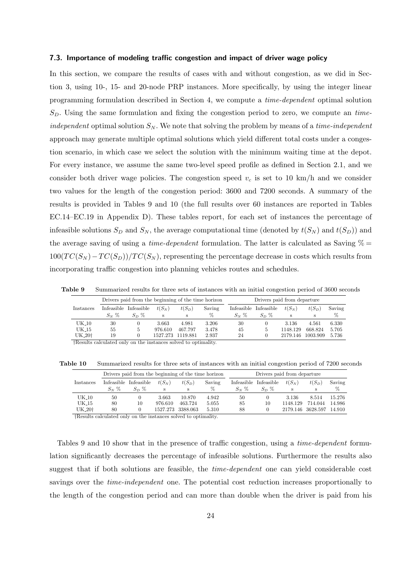#### **7.3. Importance of modeling traffic congestion and impact of driver wage policy**

In this section, we compare the results of cases with and without congestion, as we did in Section 3, using 10-, 15- and 20-node PRP instances. More specifically, by using the integer linear programming formulation described in Section 4, we compute a *time-dependent* optimal solution *SD*. Using the same formulation and fixing the congestion period to zero, we compute an *timeindependent* optimal solution *S<sup>N</sup>* . We note that solving the problem by means of a *time-independent* approach may generate multiple optimal solutions which yield different total costs under a congestion scenario, in which case we select the solution with the minimum waiting time at the depot. For every instance, we assume the same two-level speed profile as defined in Section 2.1, and we consider both driver wage policies. The congestion speed  $v_c$  is set to 10 km/h and we consider two values for the length of the congestion period: 3600 and 7200 seconds. A summary of the results is provided in Tables 9 and 10 (the full results over 60 instances are reported in Tables EC.14–EC.19 in Appendix D). These tables report, for each set of instances the percentage of infeasible solutions  $S_D$  and  $S_N$ , the average computational time (denoted by  $t(S_N)$  and  $t(S_D)$ ) and the average saving of using a *time-dependent* formulation. The latter is calculated as Saving  $\%$  =  $100(TC(S_N) - TC(S_D))/TC(S_N)$ , representing the percentage decrease in costs which results from incorporating traffic congestion into planning vehicles routes and schedules.

**Table 9** Summarized results for three sets of instances with an initial congestion period of 3600 seconds

|                                                                                                       |                                                                             | Drivers paid from the beginning of the time horizon |          |          |        |          | Drivers paid from departure |          |          |        |  |  |
|-------------------------------------------------------------------------------------------------------|-----------------------------------------------------------------------------|-----------------------------------------------------|----------|----------|--------|----------|-----------------------------|----------|----------|--------|--|--|
| Instances                                                                                             |                                                                             | Infeasible Infeasible                               | $t(S_N)$ | $t(S_D)$ | Saving |          | Infeasible Infeasible       | $t(S_N)$ | $t(S_D)$ | Saving |  |  |
|                                                                                                       | $S_N$ %                                                                     | $S_D \%$                                            | S        | S        | %      | $S_N \%$ | $S_D \%$                    | S        | S        | %      |  |  |
| $UK_10$                                                                                               | 30                                                                          | $\theta$                                            | 3.663    | 4.981    | 3.206  | 30       |                             | 3.136    | 4.561    | 6.330  |  |  |
| UK <sub>-15</sub>                                                                                     | 55                                                                          | 5                                                   | 976.610  | 467.797  | 3.478  | 45       |                             | 1148.129 | 668.824  | 5.705  |  |  |
| UK_20 <sup>+</sup><br>1119.881<br>19<br>1527.273<br>2.937<br>24<br>1003.909<br>5.736<br>2179.146<br>0 |                                                                             |                                                     |          |          |        |          |                             |          |          |        |  |  |
|                                                                                                       | <sup>†</sup> Results calculated only on the instances solved to optimality. |                                                     |          |          |        |          |                             |          |          |        |  |  |

**Table 10** Summarized results for three sets of instances with an initial congestion period of 7200 seconds

|                     |            | Drivers paid from the beginning of the time horizon |          |          | Drivers paid from departure |            |            |          |          |        |  |  |
|---------------------|------------|-----------------------------------------------------|----------|----------|-----------------------------|------------|------------|----------|----------|--------|--|--|
| Instances           | Infeasible | Infeasible                                          | $t(S_N)$ | $t(S_D)$ | Saving                      | Infeasible | Infeasible | $t(S_N)$ | $t(S_D)$ | Saving |  |  |
|                     | $S_N$ %    | $S_D \%$                                            | s        | s        | %                           | $S_N$ %    | $S_{D}$ %  | s        | s        | %      |  |  |
| $UK_10$             | 50         | $\theta$                                            | 3.663    | 10.870   | 4.942                       | 50         |            | 3.136    | 8.514    | 15.276 |  |  |
| UK 15               | 80         | 10                                                  | 976.610  | 463.724  | 5.055                       | 85         | 10         | 1148.129 | 714.044  | 14.986 |  |  |
| UK <sub>-20</sub> + | 80         |                                                     | 1527.273 | 3388.063 | 5.310                       | 88         |            | 2179.146 | 3628.597 | 14.910 |  |  |

*†*Results calculated only on the instances solved to optimality.

Tables 9 and 10 show that in the presence of traffic congestion, using a *time-dependent* formulation significantly decreases the percentage of infeasible solutions. Furthermore the results also suggest that if both solutions are feasible, the *time-dependent* one can yield considerable cost savings over the *time-independent* one. The potential cost reduction increases proportionally to the length of the congestion period and can more than double when the driver is paid from his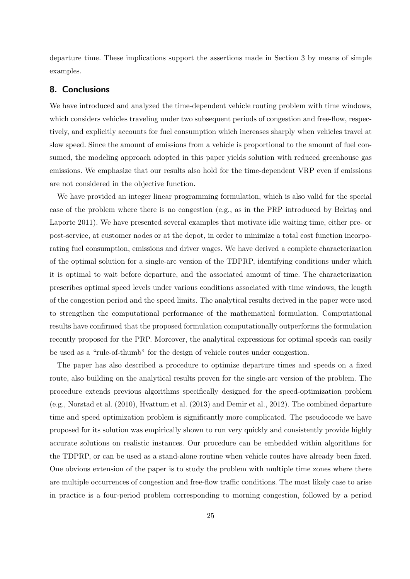departure time. These implications support the assertions made in Section 3 by means of simple examples.

# **8. Conclusions**

We have introduced and analyzed the time-dependent vehicle routing problem with time windows, which considers vehicles traveling under two subsequent periods of congestion and free-flow, respectively, and explicitly accounts for fuel consumption which increases sharply when vehicles travel at slow speed. Since the amount of emissions from a vehicle is proportional to the amount of fuel consumed, the modeling approach adopted in this paper yields solution with reduced greenhouse gas emissions. We emphasize that our results also hold for the time-dependent VRP even if emissions are not considered in the objective function.

We have provided an integer linear programming formulation, which is also valid for the special case of the problem where there is no congestion (e.g., as in the PRP introduced by Bektaş and Laporte 2011). We have presented several examples that motivate idle waiting time, either pre- or post-service, at customer nodes or at the depot, in order to minimize a total cost function incorporating fuel consumption, emissions and driver wages. We have derived a complete characterization of the optimal solution for a single-arc version of the TDPRP, identifying conditions under which it is optimal to wait before departure, and the associated amount of time. The characterization prescribes optimal speed levels under various conditions associated with time windows, the length of the congestion period and the speed limits. The analytical results derived in the paper were used to strengthen the computational performance of the mathematical formulation. Computational results have confirmed that the proposed formulation computationally outperforms the formulation recently proposed for the PRP. Moreover, the analytical expressions for optimal speeds can easily be used as a "rule-of-thumb" for the design of vehicle routes under congestion.

The paper has also described a procedure to optimize departure times and speeds on a fixed route, also building on the analytical results proven for the single-arc version of the problem. The procedure extends previous algorithms specifically designed for the speed-optimization problem (e.g., Norstad et al. (2010), Hvattum et al. (2013) and Demir et al., 2012). The combined departure time and speed optimization problem is significantly more complicated. The pseudocode we have proposed for its solution was empirically shown to run very quickly and consistently provide highly accurate solutions on realistic instances. Our procedure can be embedded within algorithms for the TDPRP, or can be used as a stand-alone routine when vehicle routes have already been fixed. One obvious extension of the paper is to study the problem with multiple time zones where there are multiple occurrences of congestion and free-flow traffic conditions. The most likely case to arise in practice is a four-period problem corresponding to morning congestion, followed by a period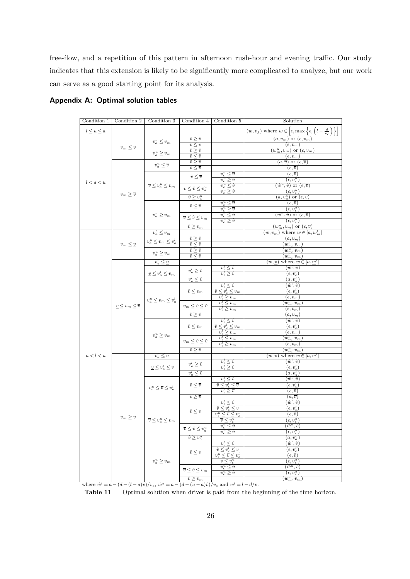free-flow, and a repetition of this pattern in afternoon rush-hour and evening traffic. Our study indicates that this extension is likely to be significantly more complicated to analyze, but our work can serve as a good starting point for its analysis.

| Condition 1     | Condition 2                    | Condition 3                                                                                                         | Condition 4                                | Condition 5                                                                      | Solution                                                                                                    |
|-----------------|--------------------------------|---------------------------------------------------------------------------------------------------------------------|--------------------------------------------|----------------------------------------------------------------------------------|-------------------------------------------------------------------------------------------------------------|
|                 |                                |                                                                                                                     |                                            |                                                                                  |                                                                                                             |
| $l\leq u\leq a$ |                                |                                                                                                                     |                                            |                                                                                  | $(w, v_f)$ where $w \in \left[\epsilon, \max\left\{\epsilon, \left(l - \frac{d}{v_c}\right)\right\}\right]$ |
|                 |                                | $v^u_a \leq v_m$                                                                                                    | $\hat{v} \geq \check{v}$                   |                                                                                  | $(a, v_m)$ or $(\epsilon, v_m)$                                                                             |
|                 | $v_m \leq \overline{v}$        |                                                                                                                     | $\hat{v} \leq \check{v}$                   |                                                                                  | $(\epsilon, v_m)$                                                                                           |
|                 |                                | $v^u_a \geq v_m$                                                                                                    | $\hat{v} \geq \check{v}$                   |                                                                                  | $(w_m^u, v_m)$ or $(\epsilon, v_m)$                                                                         |
|                 |                                |                                                                                                                     | $\hat{v} \leq \check{v}$                   |                                                                                  | $(\epsilon, v_m)$                                                                                           |
|                 |                                |                                                                                                                     | $\hat{v} \geq \overline{v}$                |                                                                                  | $(a,\overline{v})$ or $(\epsilon,\overline{v})$                                                             |
|                 |                                | $v^{\scriptscriptstyle u}_{{\scriptscriptstyle a}} \le \overline{v}$                                                | $\hat{v} \leq \overline{v}$                |                                                                                  | $(\epsilon, \overline{v})$                                                                                  |
|                 |                                |                                                                                                                     | $\hat{v} \leq \overline{v}$                | $v_{\epsilon}^u \leq \overline{v}$                                               | $(\epsilon, \overline{v})$                                                                                  |
| l < a < u       |                                |                                                                                                                     |                                            | $\overline{v^u_{\epsilon}\geq \overline{v}}$                                     | $(\epsilon, v_{\epsilon}^u)$                                                                                |
|                 |                                | $\overline{v} \leq v_a^u \leq v_m$                                                                                  |                                            | $v_{\epsilon}^u \leq \hat{v}$                                                    | $(\hat{w}^u, \hat{v})$ or $(\epsilon, \overline{v})$                                                        |
|                 |                                |                                                                                                                     | $\overline{v} \leq \hat{v} \leq v_a^u$     | $v_{\epsilon}^u \geq \hat{v}$                                                    | $(\epsilon, v_{\epsilon}^{u})$                                                                              |
|                 | $v_m\geq \overline{v}$         |                                                                                                                     | $\hat{v} \geq v_a^u$                       |                                                                                  | $(a, v_u^a) \text{ or } (\epsilon, \overline{v})$                                                           |
|                 |                                |                                                                                                                     |                                            | $\overline{v_\epsilon^u} \leq \overline{v}$                                      | $(\epsilon, \overline{v})$                                                                                  |
|                 |                                |                                                                                                                     | $\hat{v} \leq \overline{v}$                | $v_{\epsilon}^u \geq \overline{v}$                                               | $(\epsilon, v_{\epsilon}^u)$                                                                                |
|                 |                                | $v^u_a \geq v_m$                                                                                                    |                                            | $v_{\epsilon}^u \leq \hat{v}$                                                    | $(\hat{w}^u, \hat{v})$ or $(\epsilon, \overline{v})$                                                        |
|                 |                                |                                                                                                                     | $\overline{v} \leq \hat{v} \leq v_m$       | $v_{\epsilon}^u \geq \hat{v}$                                                    | $(\epsilon, v_{\epsilon}^{u})$                                                                              |
|                 |                                |                                                                                                                     | $\hat{v} \geq v_m$                         |                                                                                  | $\overline{(w_m^u, v_m)}$ or $\overline{(\epsilon, \overline{v})}$                                          |
|                 |                                | $v_a^l \leq v_m$                                                                                                    |                                            |                                                                                  | $(w, v_m)$ where $w \in [a, w_m]$                                                                           |
|                 |                                |                                                                                                                     | $\hat{v} \geq \check{v}$                   |                                                                                  | $(a,v_m)$                                                                                                   |
|                 | $v_m \leq \underline{v}$       | $v^u_a \leq v_m \leq v^l_a$                                                                                         | $\hat{v} \leq \check{v}$                   |                                                                                  | $(w_m^l,v_m)$                                                                                               |
|                 |                                |                                                                                                                     | $\hat{v} \geq \check{v}$                   |                                                                                  | $(w_m^u,v_m)$                                                                                               |
|                 |                                | $v^u_a \geq v_m$                                                                                                    | $\hat{v} \leq \check{v}$                   |                                                                                  | $(w^l_m,v_m)$                                                                                               |
|                 |                                | $v_a^l \leq v_a^l$                                                                                                  |                                            |                                                                                  | $(w, \underline{v})$ where $w \in [a, \underline{w}^l]$                                                     |
|                 |                                |                                                                                                                     |                                            | $v_{\epsilon}^l \leq \hat{v}$                                                    | $(\hat{w}^l, \hat{v})$                                                                                      |
|                 |                                | $\underline{v} \leq v_a^l \leq v_m$                                                                                 | $v_a^l \geq \hat{v}$                       | $v_{\epsilon}^l \geq \hat{v}$                                                    | $(\epsilon, v_{\epsilon}^{\iota})$                                                                          |
|                 |                                |                                                                                                                     | $v_a^l \leq \hat{v}$                       |                                                                                  | $(a, v_a^l)$                                                                                                |
|                 |                                |                                                                                                                     |                                            | $v_{\epsilon}^l \leq \hat{v}$                                                    | $(\widehat{w}^l, \hat{v})$                                                                                  |
|                 |                                | $v_a^u \leq v_m \leq v_a^l$                                                                                         | $\hat{v} \leq v_m$                         | $\hat{v} \leq v_{\epsilon}^l \leq v_m$                                           | $(\epsilon, v_{\epsilon}^l)$                                                                                |
|                 | $v \leq v_m \leq \overline{v}$ |                                                                                                                     |                                            | $v_{\epsilon}^l \geq v_m$                                                        | $(\epsilon, v_m)$                                                                                           |
|                 |                                |                                                                                                                     |                                            | $v_{\epsilon}^l \leq v_m$                                                        | $(w^l_m,v_m)$                                                                                               |
|                 |                                |                                                                                                                     | $v_m \leq \hat{v} \leq \check{v}$          | $\overline{v^l_\epsilon\geq v_m}$                                                | $(\epsilon, v_m)$                                                                                           |
|                 |                                |                                                                                                                     | $\hat{v} > \check{v}$                      |                                                                                  | $(a,v_m)$                                                                                                   |
|                 |                                |                                                                                                                     |                                            | $v_{\epsilon}^l \leq \hat{v}$                                                    | $(\hat{w}^l, \hat{v})$                                                                                      |
|                 |                                |                                                                                                                     | $\hat{v} \leq v_m$                         | $\hat{v} \leq v_{\epsilon}^l \leq v_m$                                           | $(\epsilon, v_{\epsilon}^l)$                                                                                |
|                 |                                |                                                                                                                     |                                            | $v_{\epsilon}^l \geq v_m$                                                        | $(\epsilon, v_m)$                                                                                           |
|                 |                                | $v^u_a \geq v_m$                                                                                                    |                                            | $v_{\epsilon}^l \leq v_m$                                                        | $(w^l_m,v_m)$                                                                                               |
|                 |                                |                                                                                                                     | $v_m \leq \hat{v} \leq \check{v}$          | $v_{e}^{l} \geq v_{m}$                                                           | $(\epsilon, v_m)$                                                                                           |
|                 |                                |                                                                                                                     | $\hat{v} \geq \check{v}$                   |                                                                                  | $(w_m^u,v_m)$                                                                                               |
| a < l < u       |                                | $v_a^l \leq \underline{v}$                                                                                          |                                            |                                                                                  | $(w, v)$ where $w \in [a, w]$                                                                               |
|                 |                                |                                                                                                                     |                                            | $v_{\epsilon}^l \leq \hat{v}$                                                    | $(\hat{w}^{\iota}, \hat{v})$                                                                                |
|                 |                                | $\underline{v} \leq v_a^l \leq \overline{v}$                                                                        | $v_a^l \geq \hat{v}$                       | $v_{\epsilon}^{\tilde{l}} \geq \hat{v}$                                          | $(\epsilon, v_{\epsilon}^l)$                                                                                |
|                 |                                |                                                                                                                     | $v_a^l \leq \hat{v}$                       |                                                                                  | $(a,v_a^l)$                                                                                                 |
|                 |                                |                                                                                                                     |                                            |                                                                                  | $(\hat{w}^l, \hat{v})$                                                                                      |
|                 |                                |                                                                                                                     |                                            | $v_{\epsilon}^l \leq \hat{v}$<br>$\hat{v} \leq v_{\epsilon}^l \leq \overline{v}$ |                                                                                                             |
|                 |                                | $v_a^u \leq \overline{v} \leq v_a^l$                                                                                | $\hat{v} \leq \overline{v}$                | $v_{\epsilon}^l \geq \overline{v}$                                               | $(\epsilon, v_{\epsilon}^t)$                                                                                |
|                 |                                |                                                                                                                     |                                            |                                                                                  | $(\epsilon, \overline{v})$                                                                                  |
|                 |                                |                                                                                                                     | $\hat{v} \geq \overline{v}$                |                                                                                  | $(a,\overline{v})$                                                                                          |
|                 |                                |                                                                                                                     |                                            | $v_{\epsilon}^l \leq \hat{v}$<br>$\hat{v} \leq v_{\epsilon}^l \leq \overline{v}$ | $(\hat{w}^l, \hat{v})$                                                                                      |
|                 |                                |                                                                                                                     | $\hat{v} \leq \overline{v}$                |                                                                                  | $(\epsilon, v_{\epsilon}^l)$                                                                                |
|                 | $v_m\geq \overline{v}$         |                                                                                                                     |                                            | $v_{\epsilon}^u \leq \overline{v} \leq v_{\epsilon}^l$                           | $(\epsilon, \overline{v})$                                                                                  |
|                 |                                | $\overline{v} \leq v_a^u \leq v_m$                                                                                  |                                            | $\overline{v} \leq v_{\epsilon}^u$<br>$v^u \leq \hat{v}$                         | $(\epsilon, v_{\epsilon}^u)$                                                                                |
|                 |                                |                                                                                                                     | $\overline{v} \leq \hat{v} \leq v^{u}_{a}$ |                                                                                  | $(\hat{w}^u, \hat{v})$                                                                                      |
|                 |                                |                                                                                                                     |                                            | $v_{\epsilon}^u \geq \hat{v}$                                                    | $(\epsilon, v_{\epsilon}^u)$                                                                                |
|                 |                                |                                                                                                                     | $\hat{v} \geq v_a^u$                       |                                                                                  | $(a,v_a^u)$                                                                                                 |
|                 |                                |                                                                                                                     |                                            | $v_{\epsilon}^l \leq \hat{v}$                                                    | $(\hat{w}^l, \hat{v})$                                                                                      |
|                 |                                |                                                                                                                     | $\hat{v} \leq \overline{v}$                | $\hat{v} \leq v_{\epsilon}^l \leq \overline{v}$                                  | $(\epsilon, v^l_\epsilon)$                                                                                  |
|                 |                                |                                                                                                                     |                                            | $\overline{v^u_\epsilon \leq \overline{v} \leq v^l_\epsilon}$                    | $(\epsilon, \overline{v})$                                                                                  |
|                 |                                | $v_a^u \geq v_m$                                                                                                    |                                            | $\overline{v} \leq v_{\epsilon}^u$                                               | $(\epsilon, v_{\epsilon}^u)$                                                                                |
|                 |                                |                                                                                                                     | $\overline{v} \leq \hat{v} \leq v_m$       | $\overline{v_{\epsilon}^u} \leq \hat{v}$                                         | $(\hat{w}^u, \hat{v})$                                                                                      |
|                 |                                |                                                                                                                     |                                            | $v_{\epsilon}^u \geq \hat{v}$                                                    | $(\epsilon, v_{\epsilon}^u)$                                                                                |
|                 |                                |                                                                                                                     | $\hat{v} \geq v_m$                         |                                                                                  | $(w_m^u,v_m)$                                                                                               |
|                 |                                | where $\hat{w}^l = a - (d - (l - a)\hat{v})/v_c$ , $\hat{w}^u = a - (d - (u - a)\hat{v})/v_c$ and $w^l = l - d/v$ . |                                            |                                                                                  |                                                                                                             |

**Appendix A: Optimal solution tables**

Table 11 Optimal solution when driver is paid from the beginning of the time horizon.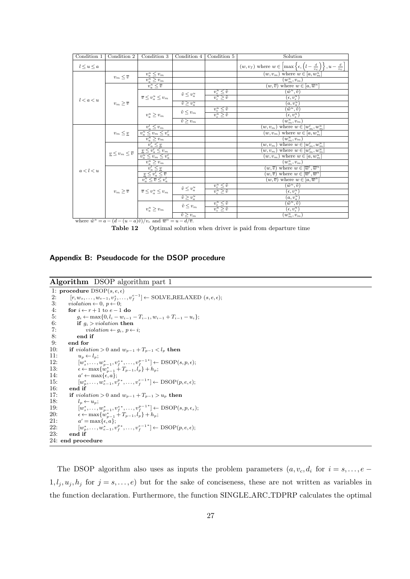| Condition 1       | Condition 2                                | Condition 3                                                                                                                                                                                                                                                                                                                                                | Condition 4                     | Condition 5                                                       | Solution                                                                                                         |
|-------------------|--------------------------------------------|------------------------------------------------------------------------------------------------------------------------------------------------------------------------------------------------------------------------------------------------------------------------------------------------------------------------------------------------------------|---------------------------------|-------------------------------------------------------------------|------------------------------------------------------------------------------------------------------------------|
| $l \leq u \leq a$ |                                            |                                                                                                                                                                                                                                                                                                                                                            |                                 |                                                                   | $(w, v_f)$ where $w \in \left[\max\left\{\epsilon, \left(l-\frac{d}{v_c}\right)\right\}, u-\frac{d}{v_c}\right]$ |
|                   | $v_m \leq \overline{v}$                    | $\begin{array}{c} \displaystyle v^u_a\leq v_m\\ \displaystyle v^u_a\geq v_m \end{array}$                                                                                                                                                                                                                                                                   |                                 |                                                                   | where $w \in [a, w_m^u]$<br>$(w,v_m)$                                                                            |
|                   |                                            |                                                                                                                                                                                                                                                                                                                                                            |                                 |                                                                   | $(\overline{w}^u_m,v_m)$                                                                                         |
|                   |                                            | $v_a^u \leq \overline{v}$                                                                                                                                                                                                                                                                                                                                  |                                 |                                                                   | $(w, \overline{v})$ where $w \in [a, \overline{w}^u]$                                                            |
|                   |                                            |                                                                                                                                                                                                                                                                                                                                                            | $\tilde{v} \leq v_a^u$          | $\frac{v^u_\epsilon \leq \tilde{v}}{v^u_\epsilon \geq \tilde{v}}$ | $(\tilde w^u, \tilde v)$                                                                                         |
| l < a < u         |                                            | $\overline{v} \leq v_a^u \leq v_m$                                                                                                                                                                                                                                                                                                                         |                                 |                                                                   | $(\epsilon, v_{\epsilon}^u)$                                                                                     |
|                   | $v_m \geq \overline{v}$                    |                                                                                                                                                                                                                                                                                                                                                            | $\tilde{v} \geq v_a^u$          |                                                                   | $(a,v_a^u)$                                                                                                      |
|                   |                                            |                                                                                                                                                                                                                                                                                                                                                            | $\tilde{v} \leq v_m$            | $\frac{v^u_\epsilon \leq \tilde{v}}{v^u_\epsilon \geq \tilde{v}}$ | $(\overline{\tilde{w}^u},\tilde{v})$                                                                             |
|                   |                                            | $v^u_a \geq v_m$                                                                                                                                                                                                                                                                                                                                           |                                 |                                                                   | $(\epsilon, v_{\epsilon}^u)$                                                                                     |
|                   |                                            |                                                                                                                                                                                                                                                                                                                                                            | $\overline{\tilde{v} \geq v_m}$ |                                                                   | $(w_m^u,v_m)$                                                                                                    |
|                   |                                            |                                                                                                                                                                                                                                                                                                                                                            |                                 |                                                                   | where $w \in [w_m^l, w_m^u]$<br>$(w,v_m)$                                                                        |
|                   | $v_m \leq v$                               |                                                                                                                                                                                                                                                                                                                                                            |                                 |                                                                   | where $w \in [a, w_m^u]$<br>$(w,v_m)$                                                                            |
|                   |                                            |                                                                                                                                                                                                                                                                                                                                                            |                                 |                                                                   | $\overline{(w_m^u,v_m)}$                                                                                         |
|                   |                                            |                                                                                                                                                                                                                                                                                                                                                            |                                 |                                                                   | where $w \in [w_m^l, w_m^u]$<br>$(w,v_m)$                                                                        |
|                   | $\underline{v} \leq v_m \leq \overline{v}$ |                                                                                                                                                                                                                                                                                                                                                            |                                 |                                                                   | where $w \in [w_m^l, w_m^u]$<br>$(w,v_m)$                                                                        |
|                   |                                            | $\begin{array}{c} \hline v_a^l \leq v_m \\ \hline v_a^u \leq v_m \leq v_a^l \\ \hline v_a^u \geq v_m \\ \hline v_a^l \leq \underline{v} \\ \hline v_a^l \leq v_m \leq v_m \\ \hline v_a^u \geq v_m \\ \hline v_a^u \geq v_m \\ \hline v_a^l \leq \underline{v} \\ \hline v_a^l \leq \overline{v} \\ \hline v_a^u \leq \overline{v} \leq v_a^l \end{array}$ |                                 |                                                                   | where $w \in [a, w_m^u]$<br>$(w,v_m)$                                                                            |
|                   |                                            |                                                                                                                                                                                                                                                                                                                                                            |                                 |                                                                   | $(w_m^u,v_m)$                                                                                                    |
| $a < l < u$       |                                            |                                                                                                                                                                                                                                                                                                                                                            |                                 |                                                                   | where $w \in [\overline{w}^l, \overline{w}^u]$<br>$(w,\overline{v})$                                             |
|                   |                                            |                                                                                                                                                                                                                                                                                                                                                            |                                 |                                                                   | where $w \in [\overline{w}^l, \overline{w}^u]$<br>$(w,\overline{v})$                                             |
|                   |                                            |                                                                                                                                                                                                                                                                                                                                                            |                                 |                                                                   | $(w, \overline{v})$ where $w \in [a, \overline{w}^u]$                                                            |
|                   |                                            |                                                                                                                                                                                                                                                                                                                                                            | $\tilde{v} \leq v_a^u$          | $v_{\epsilon}^u \leq \tilde{v}$                                   | $(\tilde w^u, \tilde v)$                                                                                         |
|                   | $v_m \geq \overline{v}$                    | $\overline{v} \leq v_a^u \leq v_m$                                                                                                                                                                                                                                                                                                                         |                                 | $\overline{v^u_{\epsilon} \geq \tilde{v}}$                        | $(\epsilon, v_{\epsilon}^u)$                                                                                     |
|                   |                                            |                                                                                                                                                                                                                                                                                                                                                            | $\tilde{v} \geq v_a^u$          |                                                                   | $\frac{\left(a,v_a^u\right)}{\left(\tilde{w}^u,\tilde{v}\right)}$                                                |
|                   |                                            |                                                                                                                                                                                                                                                                                                                                                            | $\tilde{v} \leq v_m$            | $\frac{v^u_\epsilon \leq \tilde{v}}{v^u_\epsilon \geq \tilde{v}}$ |                                                                                                                  |
|                   |                                            | $v_a^u \ge v_m$                                                                                                                                                                                                                                                                                                                                            |                                 |                                                                   | $(\epsilon, v^{\overline{u}}_\epsilon)$                                                                          |
|                   |                                            |                                                                                                                                                                                                                                                                                                                                                            | $\overline{\tilde{v}\geq v_m}$  |                                                                   | $\left[w_{m}^{u},v_{m}\right]$                                                                                   |
|                   |                                            | where $\tilde{w}^u = a - (d - (u - a)\tilde{v})/v_c$ and $\overline{w}^u = u - d/\overline{v}$ .                                                                                                                                                                                                                                                           |                                 |                                                                   |                                                                                                                  |



**Appendix B: Pseudocode for the DSOP procedure**

```
Algorithm DSOP algorithm part 1
1: procedure DSOP(s, e, \epsilon)<br>2: [r, w_s, \ldots, w_{e-1}, v_s^s, \ldots]2: [r, w_s, \ldots, w_{e-1}, v_f^s, \ldots, v_f^{e-1}] ← SOLVE<sub>-RELAXED</sub> (s, e, \epsilon);
3: violation \leftarrow 0, p \leftarrow 0;4: for i ← r + 1 to e − 1 do<br>5: q_i ← max{0, l_i – w_{i-1}5: g_i \leftarrow \max\{0, l_i - w_{i-1} - T_{i-1}, w_{i-1} + T_{i-1} - u_i\};<br>6: if g_i > violation then
 6: if g_i > violation then<br>7: violation \leftarrow a_i, p \leftarrow7: violation \leftarrow g_i, p \leftarrow i;<br>8: end if
8: end if
9: end for
10: if violation > 0 and w_{p-1} + T_{p-1} < l_p then 11: u \leftarrow l:
                 u_p \leftarrow l_p;
12: [w_s^*, \ldots, w_{p-1}^*, v_f^{s*}, \ldots, v_f^{p-1*}] ← DSOP(s, p, ε);
13: \epsilon \leftarrow \max\{w_{p-1}^* + T_{p-1}, l_p^* + h_p;14: a
                 a' \leftarrow \max\{\epsilon, a\};15: [w_p^*, \ldots, w_{e-1}^*, v_f^{p*}, \ldots, v_f^{e-1*}] \leftarrow \text{DSOP}(p, e, \epsilon);16: end if
17: if violation > 0 and w_{p-1} + T_{p-1} > u_p then 18: l_p \leftarrow u_p;
18: l_p \leftarrow u_p;<br>19· \left[w^* \right]19: [w_s^*, \ldots, w_{p-1}^*, v_f^{s*}, \ldots, v_f^{p-1*}] ← DSOP(s, p, \epsilon_s);
20: \epsilon \leftarrow \max\{w_{p-1}^* + T_{p-1}, l_p^* \} + h_p;<br>
21: a' = \max\{\epsilon, a\};21: a
22: [w_p^*, \ldots, w_{e-1}^*, v_f^{p*}, \ldots, v_f^{e-1*}] \leftarrow \text{DSOP}(p, e, \epsilon);23: end if
24: end procedure
```
The DSOP algorithm also uses as inputs the problem parameters  $(a, v_c, d_i$  for  $i = s, \ldots, e 1, l_j, u_j, h_j$  for  $j = s, \ldots, e$ ) but for the sake of conciseness, these are not written as variables in the function declaration. Furthermore, the function SINGLE ARC TDPRP calculates the optimal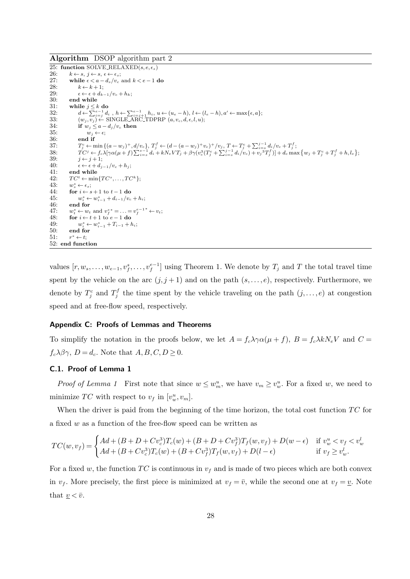**Algorithm** DSOP algorithm part 2

25: **function** SOLVE RELAXED( $s, e, \epsilon_s$ )<br>26:  $k \leftarrow s, i \leftarrow s, \epsilon \leftarrow \epsilon$ . 26:  $k \leftarrow s, j \leftarrow s, \epsilon \leftarrow \epsilon_s;$ <br>27: while  $\epsilon < a - d_s/v_c$ 27: **while**  $\epsilon < a - d_s/v_c$  and  $k < e - 1$  **do** 28:  $k \leftarrow k + 1$ ; 28:  $k \leftarrow k+1;$ <br>29:  $\epsilon \leftarrow \epsilon + d$ 29:  $\epsilon \leftarrow \epsilon + d_{k-1}/v_c + h_k;$ <br>30: end while 30: **end while**<br>31: **while**  $i < j$ while  $j \leq k$  do 32:  $d \leftarrow \sum_{i=j}^{e-1} d_i, h \leftarrow \sum_{i=j+1}^{e-1} h_i, u \leftarrow (u_e - h), l \leftarrow (l_e - h), a' \leftarrow \max\{\epsilon, a\};$ <br>33:  $(w_j, v_j) \leftarrow \text{SINGLE-ARC\_TDPRP } (a, v_c, d, \epsilon, l, u);$ 34: **if**  $w_j \le a - d_j/v_c$  then<br>35:  $w_j \leftarrow \epsilon$ ; 35:  $w_j \leftarrow \epsilon$ ;<br>36: end if 36: **end if** 37: *T*  $T_j^c \leftarrow \min \left\{ (a - w_j)^+, d/v_c \right\}, T_j^f \leftarrow (d - (a - w_j)^+ v_c)^+ / v_j, T \leftarrow T_j^c + \sum_{i=s}^{j-1} d_i / v_c + T_j^f;$ 38:  $TC^j \leftarrow f_c \lambda [\gamma \alpha (\mu + f) \sum_{i=s}^{e-1} d_i + k N_e V T_j + \beta \gamma (v_c^3 (T_f^c + \sum_{i=s}^{j-1} d_i/v_c) + v_j^3 T_j^f)] + d_c \max \{w_j + T_j^c + T_j^f + h, l_e\};$ 39:  $j \leftarrow j + 1;$ 40:  $\epsilon \leftarrow \epsilon + d_{j-1}/v_c + h_j;$ <br>41: end while end while  $TC^t \leftarrow \min\{TC^s, \ldots, TC^k\};$ 43: *w<sup>∗</sup>*  $w_s^* \leftarrow \epsilon_s$ ;  $\int_0^{\infty} i \leftarrow s + 1$  to  $t - 1$  do 45: *w<sup>∗</sup>*  $\sum_{i=1}^{n}$  ←  $w_{i-1}^{*}$  +  $d_{i-1}/v_c$  +  $h_i$ ; 46: **end for** 47:  $w_t^* \leftarrow w_t$  and  $v_f^{s*} = \ldots = v_f^{e-1*} \leftarrow v_t$ ; 48: **for**  $i \leftarrow t + 1$  to  $e - 1$  do<br>49:  $w^* \leftarrow w^*$ ,  $+T_{i-1} + l$ 49:  $w_i^* \leftarrow w_{i-1}^* + T_{i-1} + h_i;$ 50: **end for** 51: *r <sup>∗</sup> ← t*; 52: **end function**

values  $[r, w_s, \ldots, w_{e-1}, v_f^s, \ldots, v_f^{e-1}]$  using Theorem 1. We denote by  $T_j$  and  $T$  the total travel time spent by the vehicle on the arc  $(j, j + 1)$  and on the path  $(s, \ldots, e)$ , respectively. Furthermore, we denote by  $T_j^c$  and  $T_j^f$  the time spent by the vehicle traveling on the path  $(j,\ldots,e)$  at congestion speed and at free-flow speed, respectively.

#### **Appendix C: Proofs of Lemmas and Theorems**

To simplify the notation in the proofs below, we let  $A = f_c \lambda \gamma \alpha (\mu + f)$ ,  $B = f_c \lambda k N_e V$  and  $C =$  $f_c \lambda \beta \gamma$ ,  $D = d_c$ . Note that  $A, B, C, D \geq 0$ .

### **C.1. Proof of Lemma 1**

*Proof of Lemma 1* First note that since  $w \leq w_m^u$ , we have  $v_m \geq v_w^u$ . For a fixed *w*, we need to minimize *TC* with respect to  $v_f$  in  $[v_w^u, v_m]$ .

When the driver is paid from the beginning of the time horizon, the total cost function TC for a fixed *w* as a function of the free-flow speed can be written as

$$
TC(w, v_f) = \begin{cases} Ad + (B + D + Cv_c^3)T_c(w) + (B + D + Cv_f^3)T_f(w, v_f) + D(w - \epsilon) & \text{if } v_w^u < v_f < v_w^l \\ Ad + (B + Cv_c^3)T_c(w) + (B + Cv_f^3)T_f(w, v_f) + D(l - \epsilon) & \text{if } v_f \ge v_w^l. \end{cases}
$$

For a fixed *w*, the function  $TC$  is continuous in  $v_f$  and is made of two pieces which are both convex in  $v_f$ . More precisely, the first piece is minimized at  $v_f = \overline{v}$ , while the second one at  $v_f = \underline{v}$ . Note that  $v < \bar{v}$ .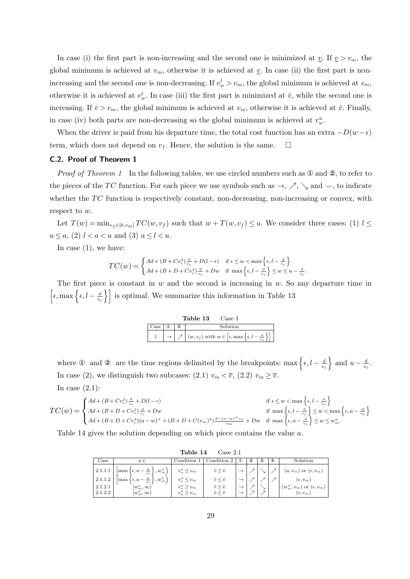In case (i) the first part is non-increasing and the second one is minimized at *v*. If  $v > v_m$ , the global minimum is achieved at  $v_m$ , otherwise it is achieved at  $v_m$ . In case (ii) the first part is nonincreasing and the second one is non-decreasing. If  $v_w^l > v_m$ , the global minimum is achieved at  $v_m$ , otherwise it is achieved at  $v_w^l$ . In case (iii) the first part is minimized at  $\bar{v}$ , while the second one is increasing. If  $\bar{v} > v_m$ , the global minimum is achieved at  $v_m$ , otherwise it is achieved at  $\bar{v}$ . Finally, in case (iv) both parts are non-decreasing so the global minimum is achieved at  $v_w^u$ .

When the driver is paid from his departure time, the total cost function has an extra  $-D(w - \epsilon)$ term, which does not depend on  $v_f$ . Hence, the solution is the same.  $\Box$ 

# **C.2. Proof of Theorem 1**

*Proof of Theorem 1* In the following tables, we use circled numbers such as  $\mathcal{D}$  and  $\mathcal{D}$ , to refer to the pieces of the *TC* function. For each piece we use symbols such as  $\rightarrow$ ,  $\nearrow$ ,  $\searrow$  and  $\sim$ , to indicate whether the *TC* function is respectively constant, non-decreasing, non-increasing or convex, with respect to *w*.

Let  $T(w) = \min_{v_f \in [0, v_m]} TC(w, v_f)$  such that  $w + T(w, v_f) \leq u$ . We consider three cases: (1)  $l \leq$ *u*  $\leq a$ , (2) *l*  $< a < u$  and (3) *a*  $\leq l < u$ .

In case  $(1)$ , we have:

$$
TC(w) = \begin{cases} Ad + (B + Cv_c^3) \frac{d}{v_c} + D(l - \epsilon) & \text{if } \epsilon \le w < \max\left\{\epsilon, l - \frac{d}{v_c}\right\} \\ Ad + (B + D + Cv_c^3) \frac{d}{v_c} + Dw & \text{if } \max\left\{\epsilon, l - \frac{d}{v_c}\right\} \le w \le u - \frac{d}{v_c}. \end{cases}
$$

The first piece is constant in *w* and the second is increasing in *w*. So any departure time in  $\left[\epsilon, \max\left\{\epsilon, l-\frac{d}{n}\right\}\right]$  $\left\{\frac{d}{v_c}\right\}$  is optimal. We summarize this information in Table 13

|      |   | Table 13<br>Case 1                                                  |
|------|---|---------------------------------------------------------------------|
| Case | 2 | Solution                                                            |
|      |   | $(w, v_f)$ with $w \in [\epsilon, \max{\epsilon, l - \frac{d}{w}}]$ |

where ① and ② are the time regions delimited by the breakpoints: max  $\left\{ \epsilon, l - \frac{d}{dt} \right\}$ *vc* } and  $u - \frac{d}{dx}$  $\frac{d}{v_c}$ . In case (2), we distinguish two subcases: (2.1)  $v_m < \overline{v}$ , (2.2)  $v_m \geq \overline{v}$ .

In case  $(2.1)$ :

$$
TC(w) = \begin{cases} Ad + (B + Cv_c^3) \frac{d}{v_c} + D(l - \epsilon) & \text{if } \epsilon \le w < \max\left\{\epsilon, l - \frac{d}{v_c}\right\} \\ Ad + (B + D + Cv_c^3) \frac{d}{v_c} + Dw & \text{if } \max\left\{\epsilon, l - \frac{d}{v_c}\right\} \le w < \max\left\{\epsilon, a - \frac{d}{v_c}\right\} \\ Ad + (B + D + Cv_c^3)(a - w)^+ + (B + D + C(v_m)^3) \frac{d - (a - w)^+ v_c}{v_m} + Dw & \text{if } \max\left\{\epsilon, a - \frac{d}{v_c}\right\} \le w \le w_m^u. \end{cases}
$$

Table 14 gives the solution depending on which piece contains the value *a*.

|                               | Table 14<br>Case 2.1                                                                                                                                                                          |                                                                              |                                                                                                              |          |               |               |               |                                                                                                                  |  |  |  |
|-------------------------------|-----------------------------------------------------------------------------------------------------------------------------------------------------------------------------------------------|------------------------------------------------------------------------------|--------------------------------------------------------------------------------------------------------------|----------|---------------|---------------|---------------|------------------------------------------------------------------------------------------------------------------|--|--|--|
| Case                          | $a \in$                                                                                                                                                                                       | Condition 1                                                                  | Condition 2                                                                                                  | $\bf(1)$ | $\circled{2}$ | $\circled{3}$ | $\circledast$ | Solution                                                                                                         |  |  |  |
| 2.1.1.2<br>2.1.2.1<br>2.1.2.2 | 2.1.1.1 $\left[\max\left\{\epsilon, a-\frac{d}{v_c}\right\}, w_m^u\right)\right]$<br>$\left(\max\left\{\epsilon,a-\frac{d}{v_c}\right\},w_m^u\right)$<br>$[w_m^u,\infty)$<br>$[w_m^u,\infty)$ | $v_a^u \leq v_m$<br>$v_a^u \leq v_m$<br>$v_a^u \geq v_m$<br>$v_a^u \geq v_m$ | $\hat{v} \geq \check{v}$<br>$\hat{v} \leq \check{v}$<br>$\hat{v} \geq \check{v}$<br>$\hat{v} \leq \check{v}$ |          |               |               |               | $(a, v_m)$ or $(\epsilon, v_m)$<br>$(\epsilon, v_m)$<br>$(w_m^u, v_m)$ or $(\epsilon, v_m)$<br>$(\epsilon, v_m)$ |  |  |  |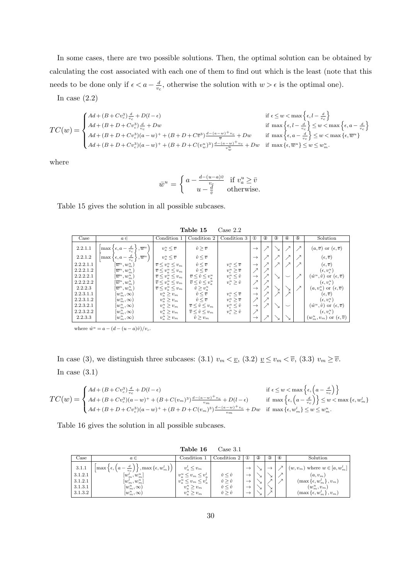In some cases, there are two possible solutions. Then, the optimal solution can be obtained by calculating the cost associated with each one of them to find out which is the least (note that this needs to be done only if  $\epsilon < a - \frac{d}{dx}$  $\frac{d}{v_c}$ , otherwise the solution with  $w > \epsilon$  is the optimal one).

In case  $(2.2)$ 

$$
TC(w) = \begin{cases} Ad + (B + Cv_c^3) \frac{d}{v_c} + D(l - \epsilon) & \text{if } \epsilon \leq w < \max\left\{\epsilon, l - \frac{d}{v_c}\right\} \\ Ad + (B + D + Cv_c^3) \frac{d}{v_c} + Dw & \text{if } \max\left\{\epsilon, l - \frac{d}{v_c}\right\} \leq w < \max\left\{\epsilon, a - \frac{d}{v_c}\right\} \\ Ad + (B + D + Cv_c^3)(a - w)^+ + (B + D + Cv_c^3) \frac{d - (a - w)^+ v_c}{\overline{v}} + Dw & \text{if } \max\left\{\epsilon, a - \frac{d}{v_c}\right\} \leq w < \max\left\{\epsilon, \overline{w}^u\right\} \\ Ad + (B + D + Cv_c^3)(a - w)^+ + (B + D + C(v_w^u)^3) \frac{d - (a - w)^+ v_c}{\overline{v_w^u}} + Dw & \text{if } \max\left\{\epsilon, \overline{w}^u\right\} \leq w \leq w_m^u. \end{cases}
$$

where

$$
\bar{w}^u = \begin{cases} a - \frac{d - (u - a)\bar{v}}{v_c} & \text{if } v_a^u \ge \bar{v} \\ u - \frac{d}{\bar{v}} & \text{otherwise.} \end{cases}
$$

Table 15 gives the solution in all possible subcases.

| Table 15<br>Case 2.2 |                                                                |                                    |                                        |                                    |                          |            |   |                          |             |                                                      |
|----------------------|----------------------------------------------------------------|------------------------------------|----------------------------------------|------------------------------------|--------------------------|------------|---|--------------------------|-------------|------------------------------------------------------|
| Case                 | $a \in$                                                        | Condition 1                        | Condition 2                            | Condition 3                        | $^{\circledR}$           | $^{\circ}$ | 3 | ⊕                        | $\circledS$ | Solution                                             |
| 2.2.1.1              | $\frac{d}{v_c}$<br>$\overline{w}^u$<br>$\max \{ \epsilon, a -$ | $v_a^u \leq \overline{v}$          | $\hat{v} > \overline{v}$               |                                    | $\rightarrow$            |            |   | ↗                        |             | $(a,\overline{v})$ or $(\epsilon,\overline{v})$      |
| 2.2.1.2              | $\overline{w}^u$<br>$\max \{$<br>$\epsilon$ , $a$              | $v_a^u \leq \overline{v}$          | $\hat{v} \leq \overline{v}$            |                                    | $\rightarrow$            |            |   |                          |             | $(\epsilon, \overline{v})$                           |
| 2.2.2.1.1            | $[\overline{w}^u, w^u_m]$                                      | $\overline{v} \leq v_a^u \leq v_m$ | $\hat{v} \leq \overline{v}$            | $v_{\epsilon}^u \leq \overline{v}$ | $\rightarrow$            |            |   |                          |             | $(\epsilon, \overline{v})$                           |
| 2.2.2.1.2            | $[\overline{w}^u, w^u_m)$                                      | $\overline{v} \leq v_a^u \leq v_m$ | $\hat{v}\leq \overline{v}$             | $v_{\epsilon}^u \geq \overline{v}$ | $\overline{\phantom{1}}$ |            |   |                          |             | $(\epsilon, v_{\epsilon}^u)$                         |
| 2.2.2.2.1            | $[\overline{w}^u, w^u_m)$                                      | $\overline{v} \leq v_a^u \leq v_m$ | $\overline{v} \leq \hat{v} \leq v_a^u$ | $v_{\epsilon}^u \leq \hat{v}$      | $\rightarrow$            |            |   | $\overline{\phantom{0}}$ |             | $(\hat{w}^u, \hat{v})$ or $(\epsilon, \overline{v})$ |
| 2.2.2.2.2            | $[\overline{w}^u, w^u_m)$                                      | $\overline{v} \leq v_a^u \leq v_m$ | $\overline{v} \leq \hat{v} \leq v_a^u$ | $v_{\epsilon}^u \geq \hat{v}$      |                          |            |   |                          |             | $(\epsilon, v_{\epsilon}^u)$                         |
| 2.2.2.3              | $[\overline{w}^u,w^u_m)$                                       | $\overline{v} \leq v_a^u \leq v_m$ | $\hat{v} \geq v_a^u$                   |                                    | $\rightarrow$            |            |   |                          |             | $(a, v_u^a)$ or $(\epsilon, \overline{v})$           |
| 2.2.3.1.1            | $[w^u_m,\infty)$                                               | $v_a^u \ge v_m$                    | $\hat{v} \leq \overline{v}$            | $v_{\epsilon}^u \leq \overline{v}$ | $\rightarrow$            |            |   |                          |             | $(\epsilon, \overline{v})$                           |
| 2.2.3.1.2            | $[w_m^u,\infty)$                                               | $v_a^u \geq v_m$                   | $\hat{v} \leq \overline{v}$            | $v_{\epsilon}^u \geq \overline{v}$ | $\overline{\lambda}$     |            |   |                          |             | $(\epsilon, v_{\epsilon}^u)$                         |
| 2.2.3.2.1            | $[w_m^u,\infty)$                                               | $v_a^u \geq v_m$                   | $\overline{v} \leq \hat{v} \leq v_m$   | $v_{\epsilon}^u \leq \hat{v}$      | $\rightarrow$            |            |   | $\overline{\phantom{0}}$ |             | $(\hat{w}^u, \hat{v})$ or $(\epsilon, \overline{v})$ |
| 2.2.3.2.2            | $[w^u_m,\infty)$                                               | $v_a^u \geq v_m$                   | $\overline{v} \leq \hat{v} \leq v_m$   | $v_{\epsilon}^u \geq \hat{v}$      |                          |            |   |                          |             | $(\epsilon, v_{\epsilon}^u)$                         |
| 2.2.3.3              | $[w^u_m,\infty)$                                               | $v_a^u \geq v_m$                   | $\hat{v} \geq v_m$                     |                                    | $\rightarrow$            |            |   |                          |             | $(w_m^u, v_m)$ or $(\epsilon, \overline{v})$         |

where  $\hat{w}^u = a - (d - (u - a)\hat{v})/v_c$ .

In case (3), we distinguish three subcases: (3.1)  $v_m < v_s$ , (3.2)  $v \leq v_m < v_s$ , (3.3)  $v_m \geq \overline{v}$ . In case  $(3.1)$ 

$$
TC(w) = \begin{cases} Ad + (B + Cv_c^3) \frac{d}{v_c} + D(l - \epsilon) & \text{if } \epsilon \le w < \max\left\{\epsilon, \left(a - \frac{d}{v_c}\right)\right\} \\ Ad + (B + Cv_c^3)(a - w)^+ + (B + C(v_m)^3) \frac{d - (a - w)^+ v_c}{v_m} + D(l - \epsilon) & \text{if } \max\left\{\epsilon, \left(a - \frac{d}{v_c}\right)\right\} \le w < \max\left\{\epsilon, w_m^l\right\} \\ Ad + (B + D + Cv_c^3)(a - w)^+ + (B + D + C(v_m)^3) \frac{d - (a - w)^+ v_c}{v_m} + Dw & \text{if } \max\left\{\epsilon, w_m^l\right\} \le w \le w_m^u. \end{cases}
$$

Table 16 gives the solution in all possible subcases.

|                                                   |                                                                                                                                                                                           | Table 16                                                                                                            | $\text{Case } 3.1$                                                                                        |          |               |                              |          |                                                                                                                                                                   |
|---------------------------------------------------|-------------------------------------------------------------------------------------------------------------------------------------------------------------------------------------------|---------------------------------------------------------------------------------------------------------------------|-----------------------------------------------------------------------------------------------------------|----------|---------------|------------------------------|----------|-------------------------------------------------------------------------------------------------------------------------------------------------------------------|
| Case                                              | $a \in$                                                                                                                                                                                   | Condition 1                                                                                                         | Condition 2                                                                                               | $\bf(1)$ | $\circled{2}$ | $\circled{3}$                | $\bf{4}$ | Solution                                                                                                                                                          |
| 3.1.1<br>3.1.2.1<br>3.1.2.1<br>3.1.3.1<br>3.1.3.2 | $\left \max\left\{\epsilon,\left(a-\frac{d}{v_c}\right)\right\},\max\left\{\epsilon,w^l_m\right\}\right)$<br>$[w_m^l, w_m^u]$<br>$[w_m^l, w_m^u]$<br>$[w_m^u,\infty)$<br>$[w_m^u,\infty)$ | $v_a^l \leq v_m$<br>$v_a^u \leq v_m \leq v_a^l$<br>$v_a^u \leq v_m \leq v_a^l$<br>$v_a^u > v_m$<br>$v_a^u \geq v_m$ | $\check{v} \leq \hat{v}$<br>$\check{v} \geq \hat{v}$<br>$\check{v} \leq \hat{v}$<br>$\check{v} > \hat{v}$ |          |               | $\mathsf{x}$<br>$\mathbf{r}$ |          | $(w, v_m)$ where $w \in [a, w_m^l]$<br>$(a, v_m)$<br>$(\max\left\{\epsilon, w_m^l\right\}, v_m)$<br>$(w_m^u, v_m)$<br>$(\max\left\{\epsilon, w_m^l\right\}, v_m)$ |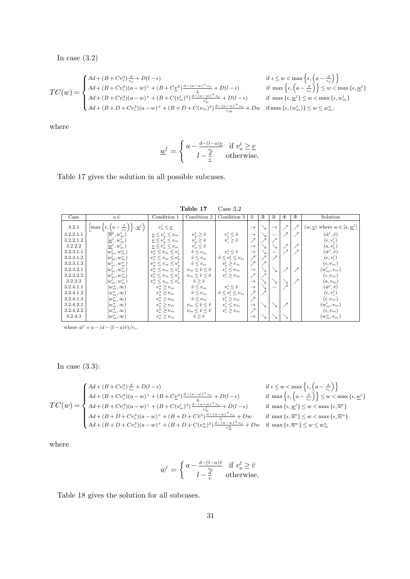In case (3.2)

$$
TC(w) = \begin{cases} A d + (B + Cv_c^3) \frac{d}{v_c} + D(l - \epsilon) & \text{if } \epsilon \le w < \max \left\{ 4d + (B + Cv_c^3)(a - w)^+ + (B + C \underline{v}^3) \frac{d - (a - w)^+ v_c}{\underline{v}} + D(l - \epsilon) & \text{if } \max \left\{ \epsilon, \left( a - \frac{1}{c} \right) \right\} \\ A d + (B + Cv_c^3)(a - w)^+ + (B + C(v_w^l))^3 \frac{d - (a - w)^+ v_c}{v_w^{l_v}} + D(l - \epsilon) & \text{if } \max \left\{ \epsilon, \underline{w}^l \right\} \le \frac{1}{c} \\ A d + (B + D + Cv_c^3)(a - w)^+ + (B + D + C(v_m)^3) \frac{d - (a - w)^+ v_c}{v_m} + Dw & \text{if } \max \left\{ \epsilon, (w_m^l) \right\} \end{cases}
$$

$$
\begin{aligned}\n\text{if } \epsilon \leq w < \max\left\{\epsilon, \left(a - \frac{d}{v_c}\right)\right\} \\
\text{if } \max\left\{\epsilon, \left(a - \frac{d}{v_c}\right)\right\} \leq w < \max\left\{\epsilon, \underline{w}^l\right\} \\
&+ D(l - \epsilon) \qquad \text{if } \max\left\{\epsilon, \underline{w}^l\right\} \leq w < \max\left\{\epsilon, w_m^l\right\} \\
\frac{(a - w)^+ v_c}{w} + Dw & \text{if } \max\left\{\epsilon, (w_m^l)\right\} \leq w \leq w_m^u,\n\end{aligned}
$$

where

$$
\underline{w}^l = \begin{cases} a - \frac{d - (l - a)\underline{v}}{\underline{v}_c} & \text{if } v_a^l \ge \underline{v} \\ l - \frac{d}{\underline{v}} & \text{otherwise.} \end{cases}
$$

Table 17 gives the solution in all possible subcases.

| Table 17<br>Case 3.2 |                                                                                                 |                                                                                                                                          |                                   |                                                                                     |                          |            |               |                          |             |                                             |
|----------------------|-------------------------------------------------------------------------------------------------|------------------------------------------------------------------------------------------------------------------------------------------|-----------------------------------|-------------------------------------------------------------------------------------|--------------------------|------------|---------------|--------------------------|-------------|---------------------------------------------|
| Case                 | $a \in$                                                                                         | Condition 1                                                                                                                              | Condition 2                       | Condition 3                                                                         | $^{\circ}$               | $^{\circ}$ | 3             | ⊕                        | $\circledS$ | Solution                                    |
| 3.2.1                | $\frac{d}{v_c}$<br>$\langle , \underline{w}^l \rangle$<br>$\vert \max \{ \epsilon, \epsilon \}$ | $v_a^l \leq v$                                                                                                                           |                                   |                                                                                     | $\rightarrow$            |            | $\rightarrow$ | ↗                        |             | $(w, v)$ where $w \in [a, \underline{w}^l]$ |
| 3.2.2.1.1            | $[\overline{w}^{\iota},w_{m}^{\iota}]$                                                          | $\underline{v} \leq v_a^{\iota} \leq v_m$                                                                                                | $v_a^l \geq \hat{v}$              |                                                                                     | $\rightarrow$            |            |               | $\overline{\phantom{a}}$ |             | $(\hat{w}^l, \hat{v})$                      |
| 3.2.2.1.2            | $[\underline{w}^{\iota},w_{m}^{\iota}]$                                                         | $\underline{v} \leq v_a^{\iota} \leq v_m$                                                                                                | $v_a^l \geq \hat{v}$              | $\begin{array}{c} v^l_\epsilon \leq \hat v \\ v^l_\epsilon \geq \hat v \end{array}$ | ↗                        |            |               |                          |             | $(\epsilon, v_{\epsilon}^l)$                |
| 3.2.2.2              | $[\underline{w}^l,w^l_m)$                                                                       | $v \leq v_a^{\iota} \leq v_m$                                                                                                            | $v_a^{\bar{i}} \leq \hat{v}$      |                                                                                     | $\rightarrow$            |            |               |                          |             | $(a, v_a^l)$                                |
| 3.2.3.1.1            | $[w_m^l,w_m^u]$                                                                                 | $v_a^u \leq v_m \leq v_a^{\iota}$                                                                                                        | $\hat{v} \leq v_m$                | $v_{\epsilon}^l \leq \hat{v}$                                                       | $\rightarrow$            |            |               |                          |             | $(\hat{w}^l, \hat{v})$                      |
| 3.2.3.1.2            | $[w_m^l, w_m^u]$                                                                                | $v_a^u \leq v_m \leq v_a^t$                                                                                                              | $\hat{v} \leq v_m$                | $\hat{v} \leq v_{\epsilon}^l \leq v_m$                                              | $\overline{\wedge}$      |            |               |                          |             | $(\epsilon, v_{\epsilon}^l)$                |
| 3.2.3.1.3            | $[w^l_m,w^u_m)$                                                                                 | $v_a^u \leq v_m \leq v_a^l$                                                                                                              | $\hat{v} \leq v_m$                | $v_{\epsilon}^l \geq v_m$                                                           |                          |            |               |                          |             | $(\epsilon, v_m)$                           |
| 3.2.3.2.1            | $[w^l_m,w^u_m]$                                                                                 | $v^{\scriptscriptstyle u}_{{\scriptscriptstyle a}} \leq v_{\scriptscriptstyle m} \leq v^{\scriptscriptstyle l}_{{\scriptscriptstyle a}}$ | $v_m \leq \hat{v} \leq \check{v}$ | $v^l_\epsilon \leq v_m$                                                             | $\rightarrow$            |            | ↘             | $\overline{\phantom{a}}$ |             | $(w^l_m,v_m)$                               |
| 3.2.3.2.2            | $[w_m^l,w_m^u)$                                                                                 | $v^u_a \leq v_m \leq v^l_a$                                                                                                              | $v_m \leq \hat{v} \leq \check{v}$ | $v_{\epsilon}^l \geq v_m$                                                           | $\overline{\phantom{1}}$ |            |               |                          |             | $(\epsilon, v_m)$                           |
| 3.2.3.3              | $[w^l_m,w^u_m)$                                                                                 | $v_a^u \le v_m \le v_a^l$                                                                                                                | $\hat{v} \geq \check{v}$          |                                                                                     | $\rightarrow$            |            | ↘             | ↘                        |             | $(a,v_m)$                                   |
| 3.2.4.1.1            | $[w_m^u,\infty)$                                                                                | $v_a^u \ge v_m$                                                                                                                          | $\hat{v} \leq v_m$                | $v_{\epsilon}^l \leq \hat{v}$                                                       | $\rightarrow$            |            |               |                          |             | $(\hat{w}^l, \hat{v})$                      |
| 3.2.4.1.2            | $[w^u_m,\infty)$                                                                                | $v_a^u \geq v_m$                                                                                                                         | $\hat{v} \leq v_m$                | $\hat{v} \leq v_{\epsilon}^l \leq v_m$                                              | $\overline{\mathbf{X}}$  |            |               |                          |             | $(\epsilon, v_{\epsilon}^l)$                |
| 3.2.4.1.3            | $[w^u_m,\infty)$                                                                                | $v_a^u \ge v_m$                                                                                                                          | $\hat{v} \leq v_m$                | $v_{\epsilon}^l \geq v_m$                                                           | $\lambda$                |            |               |                          |             | $(\epsilon, v_m)$                           |
| 3.2.4.2.1            | $[w_m^u,\infty)$                                                                                | $v_a^u \geq v_m$                                                                                                                         | $v_m \leq \hat{v} \leq \check{v}$ | $v_{\epsilon}^l \leq v_m$                                                           | $\rightarrow$            | ↘          |               |                          |             | $(w_m^l,v_m)$                               |
| 3.2.4.2.2            | $[w^u_m,\infty)$                                                                                | $v_a^u \geq v_m$                                                                                                                         | $v_m \leq \hat{v} \leq \check{v}$ | $v_{\epsilon}^l \geq v_m$                                                           |                          |            |               |                          |             | $(\epsilon, v_m)$                           |
| 3.2.4.3              | $[w^u_m,\infty)$                                                                                | $v_a^u \geq v_m$                                                                                                                         | $\hat{v} > \check{v}$             |                                                                                     | $\rightarrow$            |            |               |                          |             | $(w_m^u,v_m)$                               |

where  $\hat{w}^l = a - (d - (l - a)\hat{v})/v_c.$ 

In case (3.3):

$$
TC(w) = \begin{cases} Ad + (B + Cv_c^3) \frac{d}{v_c} + D(l - \epsilon) & \text{if } \epsilon \le w < \max\left\{\epsilon, \left(a - \frac{d}{v_c}\right)\right\} \\ Ad + (B + Cv_c^3)(a - w)^+ + (B + Cv_c^3) \frac{\frac{v}{c} - (a - w)^+ v_c}{v_c} + D(l - \epsilon) & \text{if } \max\left\{\epsilon, \left(a - \frac{d}{v_c}\right)\right\} \le w < 1 \\ Ad + (B + Cv_c^3)(a - w)^+ + (B + C(v_w^l)^3) \frac{d - (a - w)^+ v_c}{v_w^l} + D(l - \epsilon) & \text{if } \max\left\{\epsilon, \frac{w^l}{c}\right\} \le w < \max\left\{\epsilon, \frac{d}{c}, \frac{d}{c}\right\} \\ Ad + (B + D + Cv_c^3)(a - w)^+ + (B + D + Cv_c^3) \frac{d - (a - w)^+ v_c}{v_w^u} + Dw & \text{if } \max\left\{\epsilon, \overline{w}^l\right\} \le w < \max\left\{\epsilon, \frac{d}{c}\right\} \\ Ad + (B + D + Cv_c^3)(a - w)^+ + (B + D + C(v_w^u)^3) \frac{d - (a - w)^+ v_c}{v_w^u} + Dw & \text{if } \max\left\{\epsilon, \overline{w}^l\right\} \le w \le w_m^u \end{cases}
$$

 $\left\{ \frac{w}{2} + w + D(l - \epsilon) \right\}$  if max  $\left\{ \epsilon, \left( a - \frac{d}{v_c} \right) \right\} \leq w < \max \left\{ \epsilon, \underline{w}^l \right\}$  $+ D(l - \epsilon)$  if max  $\{\epsilon, \underline{w}^l\} \leq w < \max\{\epsilon, \overline{w}^l\}$  $\{ \epsilon, \overline{w}^l \} \leq w < \max \{ \epsilon, \overline{w}^u \}$  $+ Dw$  if  $\max{\{\epsilon, \overline{w}^u\}} \leq w \leq w_m^u$ 

where

$$
\bar{w}^l = \begin{cases} a - \frac{d - (l - a)\bar{v}}{v_c} & \text{if } v_a^l \ge \bar{v} \\ l - \frac{d}{\bar{v}} & \text{otherwise.} \end{cases}
$$

Table 18 gives the solution for all subcases.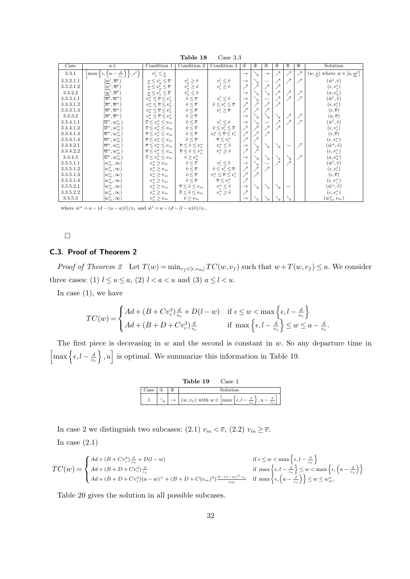| Table 18<br>Case $3.3$ |                                                               |                                                                                                                            |                                                                                            |                                                                                                       |               |            |               |                          |             |               |                                                         |
|------------------------|---------------------------------------------------------------|----------------------------------------------------------------------------------------------------------------------------|--------------------------------------------------------------------------------------------|-------------------------------------------------------------------------------------------------------|---------------|------------|---------------|--------------------------|-------------|---------------|---------------------------------------------------------|
| Case                   | $a \in$                                                       | Condition 1                                                                                                                | Condition 2                                                                                | Condition 3                                                                                           | $^{\circ}$    | $^{\circ}$ | $^{\circ}$    | ⊕                        | $\circledS$ | $\circledast$ | Solution                                                |
| 3.3.1                  | $\frac{d}{v_c}$<br>$\epsilon^{l}$<br>$\max \{ \epsilon, (a -$ | $v_a^l \leq \underline{v}$                                                                                                 |                                                                                            |                                                                                                       | $\rightarrow$ |            | $\rightarrow$ | ↗                        |             |               | $(w, \underline{v})$ where $w \in [a, \underline{w}^l]$ |
| 3.3.2.1.1              | $\cdot \overline{w}^l$<br>$w^{\iota}$                         | $\underline{v} \leq v_a^l \leq \overline{v}$                                                                               | $\begin{array}{c} v^l_a \geq \hat v \\ v^l_a \geq \hat v \\ v^l_a \leq \hat v \end{array}$ | $\begin{array}{c} \!\!\! v^l_\epsilon \leq \hat v \\ \!\!\! v^l_\epsilon \geq \hat v \end{array}$     | $\rightarrow$ |            |               | λ                        |             |               | $(\hat{w}^l, \hat{v})$                                  |
| 3.3.2.1.2              | $(\underline{w}^l,\overline{w}^l)$                            | $\overline{\underline{v}} \leq v_a^l \leq \overline{v}$                                                                    |                                                                                            |                                                                                                       | ↗             |            |               |                          |             |               | $(\epsilon, v_{\epsilon}^l)$                            |
| 3.3.2.2                | $(\underline{w}^l, \overline{w}^l)$                           | $\overline{v} \leq v_a^{\overline{i}} \leq \overline{v}$                                                                   |                                                                                            |                                                                                                       | $\rightarrow$ |            |               |                          |             |               | $(a, v_a^l)$                                            |
| 3.3.3.1.1              | $[\overline{w}^l,\overline{w}^u)$                             | $v^{\scriptscriptstyle u}_{{\scriptscriptstyle a}} \le \overline{v} \le v^{\scriptscriptstyle l}_{{\scriptscriptstyle a}}$ | $\vec{\hat{v}} \leq \overline{v}$                                                          | $\begin{array}{c} v^l_\epsilon \leq \hat v \\ \hat v \leq v^l_\epsilon \leq \overline{v} \end{array}$ | $\rightarrow$ |            |               | $\overline{\phantom{1}}$ |             |               | $(\hat{w}^l, \hat{v})$                                  |
| 3.3.3.1.2              | $[\overline{w}^l,\overline{w}^u)$                             | $v^u_a \leq \overline{v} \leq v^l_a$                                                                                       | $\hat{v} \leq \overline{v}$<br>$\hat{v} \leq \overline{v}$<br>$\hat{v} \geq \overline{v}$  |                                                                                                       | ↗             |            |               | $\overline{\mathcal{X}}$ |             |               | $(\epsilon, v^l_\epsilon)$                              |
| 3.3.3.1.3              | $[\overline{w}^{\iota},\overline{w}^u)$                       | $v_a^u \leq \overline{v} \leq v_a^l$                                                                                       |                                                                                            | $\overline{v}_{\epsilon}^l \geq \overline{\overline{v}}$                                              | ↗             |            |               |                          |             |               | $(\epsilon, \overline{v})$                              |
| 3.3.3.2                | $[\overline{w}^l,\overline{w}^u)$                             | $v_a^u \leq \overline{v} \leq v_a^l$                                                                                       |                                                                                            |                                                                                                       | $\rightarrow$ |            |               |                          |             |               | $(a,\overline{v})$                                      |
| 3.3.4.1.1              | $[\overline{w}^u, w^u_m)$                                     | $\overline{v} \leq v_a^u \leq v_m$                                                                                         | $\hat{v} \leq \overline{v}$                                                                |                                                                                                       | $\rightarrow$ |            |               | $\overline{\mathbf{z}}$  |             |               | $(\hat{w}^l, \hat{v})$                                  |
| 3.3.4.1.2              | $[\overline{w}^u, w^u_m)$                                     | $\overline{v} \leq v_a^u \leq v_m$                                                                                         | $\hat{v} \leq \overline{v}$                                                                | $\begin{array}{c} v^l_\epsilon \leq \hat v \\ \hat v \leq v^l_\epsilon \leq \overline{v} \end{array}$ | ↗             |            |               | $\overline{\phantom{a}}$ |             |               | $(\epsilon, v^l_\epsilon)$                              |
| 3.3.4.1.3              | $\left[\overline{w}^u,w^u_m\right)$                           | $\overline{v} \leq v_a^u \leq v_m$                                                                                         | $\begin{array}{c} \hat{v} \leq \overline{v} \\ \hat{v} \leq \overline{v} \end{array}$      | $v_{\epsilon}^u \leq \overline{v} \leq v_{\epsilon}^l$                                                | ↗             |            |               |                          |             |               | $(\epsilon, \overline{v})$                              |
| 3.3.4.1.4              | $[\overline{w}^u, w^u_m)$                                     | $\overline{v} \leq v_a^u \leq v_m$                                                                                         |                                                                                            | $\overline{v} \leq v_{\epsilon}^u$                                                                    | $\nearrow$    |            |               |                          |             |               | $(\epsilon, v_{\epsilon}^u)$                            |
| 3.3.4.2.1              | $[\overline{w}^u, w^u_m)$                                     | $\overline{v} \leq v_a^u \leq v_m$                                                                                         | $\overline{v} \leq \hat{v} \leq v^u_a$                                                     | $v_{\epsilon}^u \leq \hat{v}$                                                                         | $\rightarrow$ |            |               | ↘                        |             |               | $(\hat{w}^u, \hat{v})$                                  |
| 3.3.4.2.2              | $[\overline{w}^u, w_m^u)$                                     | $\overline{v} \leq v_a^u \leq v_m$                                                                                         | $\overline{v} \leq \hat{v} \leq v_a^u$                                                     | $v_{\epsilon}^u \geq \hat{v}$                                                                         | ↗             |            |               |                          |             |               | $(\epsilon, v_{\epsilon}^u)$                            |
| 3.3.4.3                | $[\overline{w}^u, w_m^u)$                                     | $\overline{v} \leq v_a^u \leq v_m$                                                                                         | $\hat{v} \geq v_a^u$                                                                       |                                                                                                       | $\rightarrow$ |            |               |                          | ↘           |               | $(a,v_a^u)$                                             |
| 3.3.5.1.1              | $[w_m^u,\infty)$                                              | $v_a^u \geq v_m$                                                                                                           | $\hat{v} \leq \overline{v}$                                                                | $\begin{array}{c} v^l_\epsilon \leq \hat v \\ \hat v \leq v^l_\epsilon \leq \overline{v} \end{array}$ | $\rightarrow$ |            |               |                          |             |               | $(\hat{w}^l, \hat{v})$                                  |
| 3.3.5.1.2              | $[w_m^u,\infty)$                                              | $v^u_a \geq v_m$                                                                                                           | $\hat{v} \leq \overline{v}$                                                                |                                                                                                       | ↗             |            |               |                          |             |               | $(\epsilon, v^l_\epsilon)$                              |
| 3.3.5.1.3              | $[w_m^u,\infty)$                                              | $v_a^u \ge v_m$                                                                                                            | $\hat{v} \leq \overline{v}$<br>$\hat{v} \leq \overline{v}$                                 | $v_{\epsilon}^u \leq \overline{v} \leq v_{\epsilon}^l$                                                | ↗             |            |               |                          |             |               | $(\epsilon, \overline{v})$                              |
| 3.3.5.1.4              | $[w_m^u,\infty)$                                              | $v_a^u \geq v_m$                                                                                                           |                                                                                            | $\overline{v} \leq \overline{v^u_\epsilon}$                                                           | $\nearrow$    |            |               |                          |             |               | $(\epsilon, v_{\epsilon}^u)$                            |
| 3.3.5.2.1              | $[w^u_m,\infty)$                                              | $v_a^u \ge v_m$                                                                                                            | $\overline{v} \leq \hat{v} \leq v_m$                                                       | $v_{\scriptscriptstyle \epsilon}^u \leq \hat v$                                                       | $\rightarrow$ |            |               | ↘                        |             |               | $(\hat{w}^u, \hat{v})$                                  |
| 3.3.5.2.2              | $[w^u_m,\infty)$                                              | $v_a^u \geq v_m$                                                                                                           | $\overline{v} \leq \hat{v} \leq v_m$                                                       | $v_{\epsilon}^u \geq \hat{v}$                                                                         | ↗             |            |               |                          |             |               | $(\epsilon, v_{\epsilon}^u)$                            |
| 3.3.5.3                | $[w_m^u,\infty)$                                              | $v_a^u \ge v_m$                                                                                                            | $\hat{v} \geq \underline{v_m}$                                                             |                                                                                                       | $\rightarrow$ |            |               |                          |             |               | $(w_m^u,v_m)$                                           |

where  $\hat{w}^u = a - (d - (u - a)\hat{v})/v_c$  and  $\hat{w}^l = a - (d - (l - a)\hat{v})/v_c$ .

#### $\Box$

# **C.3. Proof of Theorem 2**

*Proof of Theorem 2* Let  $T(w) = \min_{v_f \in [\epsilon, v_m]} TC(w, v_f)$  such that  $w + T(w, v_f) \leq u$ . We consider three cases: (1)  $l \le u \le a$ , (2)  $l < a < u$  and (3)  $a \le l < u$ .

In case  $(1)$ , we have

$$
TC(w) = \begin{cases} Ad + (B + Cv_c^3) \frac{d}{v_c} + D(l - w) & \text{if } \epsilon \le w < \max\left\{\epsilon, l - \frac{d}{v_c}\right\} \\ Ad + (B + D + Cv_c^3) \frac{d}{v_c} & \text{if } \max\left\{\epsilon, l - \frac{d}{v_c}\right\} \le w \le u - \frac{d}{v_c}. \end{cases}
$$

The first piece is decreasing in *w* and the second is constant in *w*. So any departure time in  $\left[\max\left\{\epsilon, l-\frac{d}{n}\right\}\right]$ *vc*  $\}$ ,  $u$ <sup> $\]$ </sup> is optimal. We summarize this information in Table 19.

|      |              | Table 19 | Case 1                                                                            |
|------|--------------|----------|-----------------------------------------------------------------------------------|
| Case | $\rm ^{(2)}$ |          | Solution                                                                          |
|      |              |          | $(w, v_f)$ with $w \in \left[\max\left\{\epsilon, l - \frac{d}{w}\right\}\right]$ |

In case 2 we distinguish two subcases: (2.1)  $v_m < \overline{v}$ , (2.2)  $v_m \geq \overline{v}$ . In case  $(2.1)$ 

$$
TC(w) = \begin{cases} Ad + (B + Cv_c^3) \frac{d}{v_c} + D(l - w) & \text{if } \epsilon \le w < \max\left\{\epsilon, l - \frac{d}{v_c}\right\} \\ Ad + (B + D + Cv_c^3) \frac{d}{v_c} & \text{if } \max\left\{\epsilon, l - \frac{d}{v_c}\right\} \le w < \max\left\{\epsilon, \left(a - \frac{d}{v_c}\right)\right\} \\ Ad + (B + D + Cv_c^3)(a - w) + (B + D + C(v_m)^3) \frac{d - (a - w)^+ v_c}{v_m} & \text{if } \max\left\{\epsilon, \left(a - \frac{d}{v_c}\right)\right\} \le w \le w_m^u. \end{cases}
$$

Table 20 gives the solution in all possible subcases.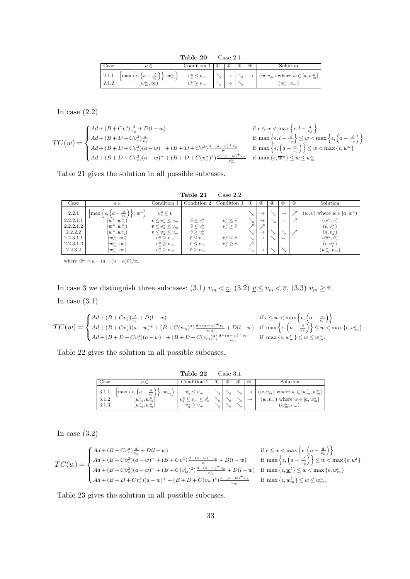**Table 20** Case 2.1

| $\cup$ ase     | $a \in$                                                                                                       | Condition           | ധ | ➁ | 3      | ⊕ | $_{\rm Solution}$                                     |
|----------------|---------------------------------------------------------------------------------------------------------------|---------------------|---|---|--------|---|-------------------------------------------------------|
| 2.1.1<br>2.1.2 | $\left\lfloor\max\left\{\epsilon,\left(a-\frac{d}{v_c}\right)\right\},w^u_m\right\rfloor$<br>$[w_m^u,\infty]$ | $\leq v_m$<br>$v_m$ | ∽ |   | ∽<br>∽ |   | $(w, v_m)$ where $w \in [a, w_m^u]$<br>$(w_m^u, v_m)$ |

In case  $(2.2)$ 

$$
TC(w) = \begin{cases} Ad + (B + Cv_c^3) \frac{d}{v_c} + D(l - w) & \text{if } \epsilon \le w < \max\left\{\epsilon, l - \frac{d}{v_c}\right\} \\ Ad + (B + D + Cv_c^3) \frac{d}{v_c} & \text{if } \max\left\{\epsilon, l - \frac{d}{v_c}\right\} \le w < \max\left\{\epsilon, \left(a - \frac{d}{v_c}\right)\right\} \\ Ad + (B + D + Cv_c^3)(a - w)^+ + (B + D + Cv_c^3) \frac{d - (a - w)^+ v_c}{\overline{v}} & \text{if } \max\left\{\epsilon, \left(a - \frac{d}{v_c}\right)\right\} \le w < \max\left\{\epsilon, \overline{w}^u\right\} \\ Ad + (B + D + Cv_c^3)(a - w)^+ + (B + D + C(v_w^u)^3) \frac{d - (a - w)^+ v_c}{\overline{w}} & \text{if } \max\left\{\epsilon, \overline{w}^u\right\} \le w \le w_m^u. \end{cases}
$$

Table 21 gives the solution in all possible subcases.

|                                                                      |                                                                                                                                                                                                                        | Case 2.2                                                                                                                                                                            |                                                                                                                            |                                                                                                                                                                                    |          |                                                      |   |                                                          |             |                                                                                                                                                                                              |
|----------------------------------------------------------------------|------------------------------------------------------------------------------------------------------------------------------------------------------------------------------------------------------------------------|-------------------------------------------------------------------------------------------------------------------------------------------------------------------------------------|----------------------------------------------------------------------------------------------------------------------------|------------------------------------------------------------------------------------------------------------------------------------------------------------------------------------|----------|------------------------------------------------------|---|----------------------------------------------------------|-------------|----------------------------------------------------------------------------------------------------------------------------------------------------------------------------------------------|
| Case                                                                 | $a \in$                                                                                                                                                                                                                | Condition 1                                                                                                                                                                         | Condition 2                                                                                                                | Condition 3                                                                                                                                                                        | $\omega$ | ➁                                                    | ③ | $\circledast$                                            | $\circledS$ | Solution                                                                                                                                                                                     |
| 2.2.1<br>2.2.2.1.1<br>2.2.2.1.2<br>2.2.2.2<br>2.2.3.1.1<br>2.2.3.1.2 | $\left[\max\left\{\epsilon,\left(a-\frac{d}{v_c}\right)\right\},\overline{w}^u\right]$<br>$[\overline{w}^u, w^u_m]$<br>$[\overline{w}^u, w^u_m)$<br>$[\overline{w}^u, w^u_m)$<br>$[w_m^u, \infty)$<br>$[w_m^u,\infty)$ | $v_a^u \leq \overline{v}$<br>$\overline{v} \leq v_a^u \leq v_m$<br>$\overline{v} \leq v_a^u \leq v_m$<br>$\overline{v} \leq v_a^u \leq v_m$<br>$v_a^u \geq v_m$<br>$v_a^u \geq v_m$ | $\tilde{v} \leq v_a^u$<br>$\tilde{v} \leq v_a^u$<br>$\tilde{v} \geq v_a^u$<br>$\tilde{v} \leq v_m$<br>$\tilde{v} \leq v_m$ | $v_{\epsilon}^u \leq \tilde{v}$<br>$v_{\epsilon}^{\mathbf{u}} \geq \tilde{v}$<br>$\begin{array}{c} v_{\epsilon}^{u} \leq \tilde{v} \\ v_{\epsilon}^{u} \geq \tilde{v} \end{array}$ |          | $\rightarrow$<br>$\rightarrow$<br>$\rightarrow$<br>─ |   | $\rightarrow$<br>$\check{ }$<br>$\overline{\phantom{0}}$ |             | $(w,\overline{v})$ where $w \in [a,\overline{w}^u)$<br>$(\tilde{w}^u, \tilde{v})$<br>$(\epsilon, v_{\epsilon}^u)$<br>$(a,v_a^u)$<br>$(\tilde w^u, \tilde v)$<br>$(\epsilon, v_{\epsilon}^u)$ |
| 2.2.3.2                                                              | $[w_m^u,\infty)$                                                                                                                                                                                                       | $v_a^u \geq v_m$                                                                                                                                                                    | $\tilde{v} \geq v_m$                                                                                                       |                                                                                                                                                                                    |          | $\rightarrow$                                        |   |                                                          |             | $(w_m^u,v_m)$                                                                                                                                                                                |

where  $\tilde{w}^u = a - (d - (u - a)\tilde{v})/v_c$ .

In case 3 we distinguish three subcases: (3.1)  $v_m < v_p$ , (3.2)  $v \leq v_m < v$ , (3.3)  $v_m \geq \overline{v}$ . In case (3.1)

$$
TC(w) = \begin{cases} Ad + (B + Cv_c^3) \frac{d}{v_c} + D(l - w) & \text{if } \epsilon \le w < \max\left\{\epsilon, \left(a - \frac{d}{v_c}\right)\right\} \\ Ad + (B + Cv_c^3)(a - w)^+ + (B + C(v_m)^3) \frac{d - (a - w)^+ v_c}{v_m} + D(l - w) & \text{if } \max\left\{\epsilon, \left(a - \frac{d}{v_c}\right)\right\} \le w < \max\left\{\epsilon, w_m^l\right\} \\ Ad + (B + D + Cv_c^3)(a - w)^+ + (B + D + C(v_m)^3) \frac{d - (a - w)^+ v_c}{v_m} & \text{if } \max\left\{\epsilon, w_m^l\right\} \le w \le w_m^u. \end{cases}
$$

Table 22 gives the solution in all possible subcases.

|                                       |                                                                                                                                          | Table 22                                                                               |          | Case 3.1 |                  |   |                                                                                                    |
|---------------------------------------|------------------------------------------------------------------------------------------------------------------------------------------|----------------------------------------------------------------------------------------|----------|----------|------------------|---|----------------------------------------------------------------------------------------------------|
| Case                                  | $a \in$                                                                                                                                  | Condition 1                                                                            | $\omega$ | $^{(2)}$ | $\left(3\right)$ | ⊕ | Solution                                                                                           |
| $\vert 3.1.1 \vert$<br>3.1.2<br>3.1.3 | $\mid \left\lfloor \max\left\{ \epsilon,\left(a-\frac{d}{v_c}\right)\right\},w_m^l \right)\mid.$<br>$[w_m^l, w_m^u)$<br>$[w_m^l, w_m^u)$ | $v_a^{\iota} \leq v_m$<br>$\leq v_a^{\iota}$<br>$v_a^u \leq v_m \leq$<br>$v_a^u > v_m$ |          |          |                  |   | $(w, v_m)$ where $w \in [w_m^l, w_m^u]$<br>$(w, v_m)$ where $w \in [a, w_m^u]$<br>$(w_m^u, v_m)$ . |

In case  $(3.2)$ 

$$
TC(w) = \begin{cases} Ad + (B + Cv_c^3) \frac{d}{v_c} + D(l - w) & \text{if } \epsilon \le w < \max \left\{ 4d + (B + Cv_c^3)(a - w)^+ + (B + C\underline{v}^3) \frac{d - (a - w)^+ v_c}{\underline{v}} + D(l - w) & \text{if } \max \left\{ \epsilon, \left( a - \frac{c}{c} \right) \epsilon, \left( a - \frac{c}{c} \right) \epsilon \right\}, \\ Ad + (B + Cv_c^3)(a - w)^+ + (B + C(v_w^l)^3) \frac{d - (a - w)^+ v_c}{v_w^l} + D(l - w) & \text{if } \max \left\{ \epsilon, \underline{w}^l \right\} \le \epsilon \right\}, \\ Ad + (B + D + Cv_c^3)(a - w)^+ + (B + D + C(v_m)^3) \frac{d - (a - w)^+ v_c}{v_m} & \text{if } \max \left\{ \epsilon, w_m^l \right\} \le \epsilon \end{cases}
$$

$$
\begin{aligned}\n\text{if } \epsilon \leq w < \max\left\{\epsilon, \left(a - \frac{d}{v_c}\right)\right\} \\
\text{if } \max\left\{\epsilon, \left(a - \frac{d}{v_c}\right)\right\} \leq w < \max\left\{\epsilon, \underline{w}^l\right\} \\
&+ D(l - w) \quad \text{if } \max\left\{\epsilon, \underline{w}^l\right\} \leq w < \max\left\{\epsilon, w_m^l\right\} \\
\frac{(a - w)^+ v_c}{w_m} \quad \text{if } \max\left\{\epsilon, w_m^l\right\} \leq w \leq w_m^u.\n\end{aligned}
$$

Table 23 gives the solution in all possible subcases.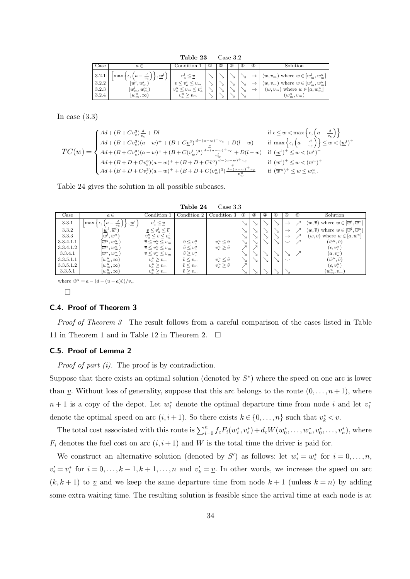**Table 23** Case 3.2

| Case                             | $a \in$                                                                                               | Condition                                                   | Φ | 2 | $_{\circledS}$ | $_{\circledast}$ | ⊕ | Solution                                                                                                                                     |
|----------------------------------|-------------------------------------------------------------------------------------------------------|-------------------------------------------------------------|---|---|----------------|------------------|---|----------------------------------------------------------------------------------------------------------------------------------------------|
| 3.2.1<br>3.2.2<br>3.2.3<br>3.2.4 | $\max \{ \epsilon,$<br>, w'<br>$ w^{\iota} $<br>$w_m^{\iota}$<br>$[w_m^l, w_m^u]$<br>$[w_m^u,\infty)$ | $\leq v_a^{\iota}$<br>$v_a^u$<br>$v_{m}$<br>$v_a^u \ge v_m$ |   |   |                |                  |   | $(w, v_m)$ where $w \in [w_m^l, w_m^u]$<br>$(w, v_m)$ where $w \in [w_m^l, w_m^u]$<br>where $w \in [a, w_m^u]$<br>$(w,v_m)$<br>$(w_m^u,v_m)$ |

In case  $(3.3)$ 

$$
TC(w) = \begin{cases} Ad + (B + Cv_c^3) \frac{d}{v_c} + Dl & \text{if } \epsilon \leq w < \max\left\{\epsilon, \left(a - \frac{d}{v_c}\right)\right\} \\ Ad + (B + Cv_c^3)(a - w)^+ + (B + Cv_c^3) \frac{\frac{d}{2} - (a - w)^+ v_c}{\frac{v}{w}} + D(l - w) & \text{if } \max\left\{\epsilon, \left(a - \frac{d}{v_c}\right)\right\} \leq w < (\underline{w}^l)^+ \\ Ad + (B + Cv_c^3)(a - w)^+ + (B + C(v_w^l)^3) \frac{d - (a - w)^+ v_c}{v_w^l} + D(l - w) & \text{if } (\underline{w}^l)^+ \leq w < (\overline{w}^l)^+ \\ Ad + (B + D + Cv_c^3)(a - w)^+ + (B + D + C\overline{v}_\vartheta^3) \frac{d - (a - w)^+ v_c}{\frac{v}{w}} & \text{if } (\overline{w}^l)^+ \leq w < (\overline{w}^u)^+ \\ Ad + (B + D + Cv_c^3)(a - w)^+ + (B + D + C(v_w^u)^3) \frac{d - (a - w)^+ v_c}{\frac{v}{w_w^u}} & \text{if } (\overline{w}^u)^+ \leq w \leq w_m^u. \end{cases}
$$

Table 24 gives the solution in all possible subcases.

**Table 24** Case 3.3

| Case      | $a \in$                                                               | Condition 1                                  | Condition 2            | Condition 3                     | $^{\circ}$ | $^{\circ}$ | $^{\circledR}$ | ⊕ | $\circledS$   | $^{\circ}$ | Solution                                                           |
|-----------|-----------------------------------------------------------------------|----------------------------------------------|------------------------|---------------------------------|------------|------------|----------------|---|---------------|------------|--------------------------------------------------------------------|
| 3.3.1     | $\frac{a}{a}$<br>$, \underline{w}$<br> max ∢<br>$\epsilon$ ,<br>$v_c$ | $v_a^l \leq \underline{v}$                   |                        |                                 |            |            |                |   | $\rightarrow$ |            | $(w, \overline{v})$ where $w \in [\overline{w}^l, \overline{w}^u]$ |
| 3.3.2     | $\overline{w}^l$<br>$w^{\iota}$                                       | $\underline{v} \leq v_a^l \leq \overline{v}$ |                        |                                 |            |            |                |   | $\rightarrow$ |            | $(w, \overline{v})$ where $w \in [\overline{w}^l, \overline{w}^u]$ |
| 3.3.3     | $[\overline{w}^l,\overline{w}^u]$                                     | $v_a^u \leq \overline{v} \leq v_a^l$         |                        |                                 |            |            |                |   | $\rightarrow$ |            | $(w, \overline{v})$ where $w \in [a, \overline{w}^u]$              |
| 3.3.4.1.1 | $\left[\overline{w}^u,w^u_m\right)$                                   | $\overline{v} \leq v_a^u \leq v_m$           | $\tilde{v} \leq v_a^u$ | $v_{\epsilon}^u \leq \tilde{v}$ |            |            |                |   | $\check{ }$   |            | $(\tilde{w}^u, \tilde{v})$                                         |
| 3.3.4.1.2 | $[\overline{w}^u, w^u_m)$                                             | $\overline{v} \leq v_a^u \leq v_m$           | $\tilde{v} \leq v_a^u$ | $v_{\epsilon}^u \geq \tilde{v}$ |            |            |                |   |               |            | $(\epsilon, v_{\epsilon}^u)$                                       |
| 3.3.4.1   | $[\overline{w}^u, w^u_m)$                                             | $\overline{v} \leq v_a^u \leq v_m$           | $\tilde{v} \geq v_a^u$ |                                 |            |            |                |   | ↘             |            | $(a,v_a^u)$                                                        |
| 3.3.5.1.1 | $[w^u_m,\infty)$                                                      | $v_a^u \geq v_m$                             | $\tilde{v} \leq v_m$   | $v_{\epsilon}^u \leq \tilde{v}$ |            |            |                |   | $\check{~}$   |            | $(\tilde{w}^u, \tilde{v})$                                         |
| 3.3.5.1.2 | $[w_m^u,\infty)$                                                      | $v_a^u \geq v_m$                             | $\tilde{v} \leq v_m$   | $v_{\epsilon}^u \geq \tilde{v}$ |            |            |                |   |               |            | $(\epsilon, v_{\epsilon}^u)$                                       |
| 3.3.5.1   | $[w_m^u,\infty)$                                                      | $v_a^u \geq v_m$                             | $\tilde{v} \geq v_m$   |                                 |            |            |                |   |               |            | $(w_m^u,v_m)$                                                      |
|           |                                                                       |                                              |                        |                                 |            |            |                |   |               |            |                                                                    |

where  $\tilde{w}^u = a - (d - (u - a)\hat{v})/v_c$ .

 $\Box$ 

#### **C.4. Proof of Theorem 3**

*Proof of Theorem 3* The result follows from a careful comparison of the cases listed in Table 11 in Theorem 1 and in Table 12 in Theorem 2.  $\Box$ 

#### **C.5. Proof of Lemma 2**

*Proof of part (i).* The proof is by contradiction.

Suppose that there exists an optimal solution (denoted by *S ∗* ) where the speed on one arc is lower than  $\underline{v}$ . Without loss of generality, suppose that this arc belongs to the route  $(0,\ldots,n+1)$ , where  $n+1$  is a copy of the depot. Let  $w_i^*$  denote the optimal departure time from node *i* and let  $v_i^*$ denote the optimal speed on arc  $(i, i + 1)$ . So there exists  $k \in \{0, \ldots, n\}$  such that  $v_k^* < \underline{v}$ .

The total cost associated with this route is  $\sum_{i=0}^{n} f_c F_i(w_i^*, v_i^*) + d_c W(w_0^*, \ldots, w_n^*, v_0^*, \ldots, v_n^*)$ , where  $F_i$  denotes the fuel cost on arc  $(i, i + 1)$  and *W* is the total time the driver is paid for.

We construct an alternative solution (denoted by *S'*) as follows: let  $w'_i = w^*_i$  for  $i = 0, \ldots, n$ ,  $v'_{i} = v_{i}^{*}$  for  $i = 0, \ldots, k - 1, k + 1, \ldots, n$  and  $v'_{k} = \underline{v}$ . In other words, we increase the speed on arc  $(k, k + 1)$  to <u>v</u> and we keep the same departure time from node  $k + 1$  (unless  $k = n$ ) by adding some extra waiting time. The resulting solution is feasible since the arrival time at each node is at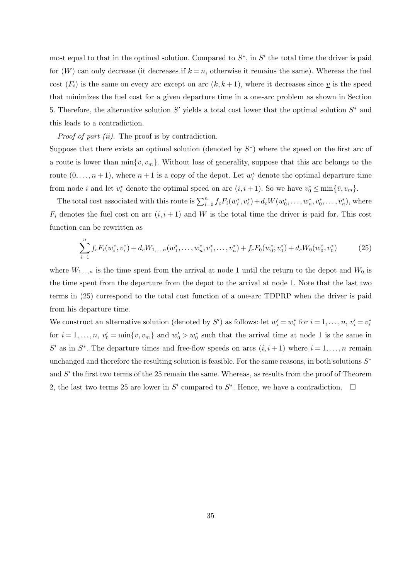most equal to that in the optimal solution. Compared to  $S^*$ , in  $S'$  the total time the driver is paid for  $(W)$  can only decrease (it decreases if  $k = n$ , otherwise it remains the same). Whereas the fuel cost  $(F_i)$  is the same on every arc except on arc  $(k, k+1)$ , where it decreases since v is the speed that minimizes the fuel cost for a given departure time in a one-arc problem as shown in Section 5. Therefore, the alternative solution *S ′* yields a total cost lower that the optimal solution *S <sup>∗</sup>* and this leads to a contradiction.

*Proof of part (ii).* The proof is by contradiction.

Suppose that there exists an optimal solution (denoted by *S ∗* ) where the speed on the first arc of a route is lower than  $\min{\{\bar{v}, v_m\}}$ . Without loss of generality, suppose that this arc belongs to the route  $(0, \ldots, n+1)$ , where  $n+1$  is a copy of the depot. Let  $w_i^*$  denote the optimal departure time from node *i* and let  $v_i^*$  denote the optimal speed on arc  $(i, i + 1)$ . So we have  $v_0^* \le \min\{\bar{v}, v_m\}$ .

The total cost associated with this route is  $\sum_{i=0}^{n} f_c F_i(w_i^*, v_i^*) + d_c W(w_0^*, \ldots, w_n^*, v_0^*, \ldots, v_n^*)$ , where  $F_i$  denotes the fuel cost on arc  $(i, i + 1)$  and *W* is the total time the driver is paid for. This cost function can be rewritten as

$$
\sum_{i=1}^{n} f_c F_i(w_i^*, v_i^*) + d_c W_{1,\dots,n}(w_1^*, \dots, w_n^*, v_1^*, \dots, v_n^*) + f_c F_0(w_0^*, v_0^*) + d_c W_0(w_0^*, v_0^*)
$$
\n(25)

where  $W_{1,\dots,n}$  is the time spent from the arrival at node 1 until the return to the depot and  $W_0$  is the time spent from the departure from the depot to the arrival at node 1. Note that the last two terms in (25) correspond to the total cost function of a one-arc TDPRP when the driver is paid from his departure time.

We construct an alternative solution (denoted by S') as follows: let  $w'_i = w^*_i$  for  $i = 1, ..., n$ ,  $v'_i = v^*_i$ for  $i = 1, \ldots, n$ ,  $v'_0 = \min\{\bar{v}, v_m\}$  and  $w'_0 > w_0^*$  such that the arrival time at node 1 is the same in *S*<sup> $\prime$ </sup> as in *S*<sup> $*$ </sup>. The departure times and free-flow speeds on arcs  $(i, i + 1)$  where  $i = 1, \ldots, n$  remain unchanged and therefore the resulting solution is feasible. For the same reasons, in both solutions *S ∗* and  $S'$  the first two terms of the 25 remain the same. Whereas, as results from the proof of Theorem 2, the last two terms 25 are lower in *S'* compared to  $S^*$ . Hence, we have a contradiction.  $\Box$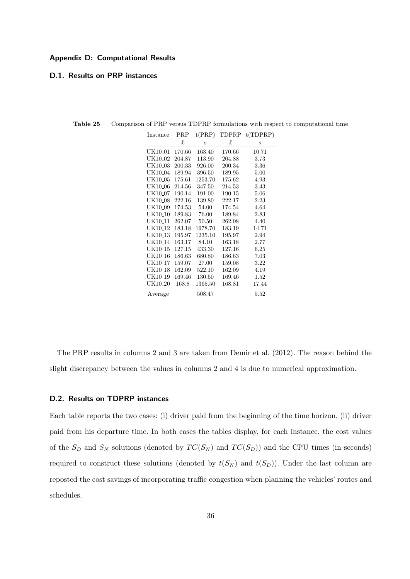### **Appendix D: Computational Results**

#### **D.1. Results on PRP instances**

| Instance            | PRP    | t(PRP)  | TDPRP  | t(TDPRP) |
|---------------------|--------|---------|--------|----------|
|                     | £      | S       | £      | S        |
| UK10_01             | 170.66 | 163.40  | 170.66 | 10.71    |
| UK10 <sub>-02</sub> | 204.87 | 113.90  | 204.88 | 3.73     |
| UK10_03             | 200.33 | 926.00  | 200.34 | 3.36     |
| UK10_04             | 189.94 | 396.50  | 189.95 | 5.00     |
| UK10 <sub>-05</sub> | 175.61 | 1253.70 | 175.62 | 4.93     |
| UK10 <sub>-06</sub> | 214.56 | 347.50  | 214.53 | 3.43     |
| UK10_07             | 190.14 | 191.00  | 190.15 | 5.06     |
| UK10 <sub>-08</sub> | 222.16 | 139.80  | 222.17 | 2.23     |
| UK10 <sub>-09</sub> | 174.53 | 54.00   | 174.54 | 4.64     |
| UK10 <sub>-10</sub> | 189.83 | 76.00   | 189.84 | 2.83     |
| UK10 <sub>-11</sub> | 262.07 | 50.50   | 262.08 | 4.40     |
| UK10 <sub>-12</sub> | 183.18 | 1978.70 | 183.19 | 14.71    |
| UK10 <sub>-13</sub> | 195.97 | 1235.10 | 195.97 | 2.94     |
| UK10 <sub>-14</sub> | 163.17 | 84.10   | 163.18 | 2.77     |
| UK10 <sub>-15</sub> | 127.15 | 433.30  | 127.16 | 6.25     |
| UK10 <sub>-16</sub> | 186.63 | 680.80  | 186.63 | 7.03     |
| UK10 <sub>-17</sub> | 159.07 | 27.00   | 159.08 | 3.22     |
| UK10 <sub>-18</sub> | 162.09 | 522.10  | 162.09 | 4.19     |
| UK10 <sub>-19</sub> | 169.46 | 130.50  | 169.46 | 1.52     |
| UK10 <sub>-20</sub> | 168.8  | 1365.50 | 168.81 | 17.44    |
| Average             |        | 508.47  |        | $5.52\,$ |

**Table 25** Comparison of PRP versus TDPRP formulations with respect to computational time

The PRP results in columns 2 and 3 are taken from Demir et al. (2012). The reason behind the slight discrepancy between the values in columns 2 and 4 is due to numerical approximation.

# **D.2. Results on TDPRP instances**

Each table reports the two cases: (i) driver paid from the beginning of the time horizon, (ii) driver paid from his departure time. In both cases the tables display, for each instance, the cost values of the  $S_D$  and  $S_N$  solutions (denoted by  $TC(S_N)$  and  $TC(S_D)$ ) and the CPU times (in seconds) required to construct these solutions (denoted by  $t(S_N)$  and  $t(S_D)$ ). Under the last column are reposted the cost savings of incorporating traffic congestion when planning the vehicles' routes and schedules.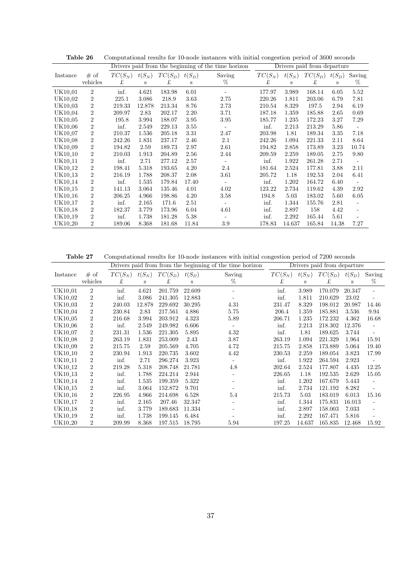|                     |                |           | Drivers paid from the beginning of the time horizon |           |          |        |           | Drivers paid from departure |           |          |                          |  |
|---------------------|----------------|-----------|-----------------------------------------------------|-----------|----------|--------|-----------|-----------------------------|-----------|----------|--------------------------|--|
| Instance            | # of           | $TC(S_N)$ | $t(S_N)$                                            | $TC(S_D)$ | $t(S_D)$ | Saving | $TC(S_N)$ | $t(S_N)$                    | $TC(S_D)$ | $t(S_D)$ | Saving                   |  |
|                     | vehicles       | £         | S                                                   | £         | S        | %      | £         | S                           | £         | S        | %                        |  |
| UK10_01             | $\overline{2}$ | inf.      | 4.621                                               | 183.98    | 6.01     |        | 177.97    | 3.989                       | 168.14    | 6.05     | 5.52                     |  |
| UK10_02             | $\overline{2}$ | 225.1     | 3.086                                               | 218.9     | 3.63     | 2.75   | 220.26    | 1.811                       | 203.06    | 6.79     | 7.81                     |  |
| UK10 <sub>-03</sub> | $\overline{2}$ | 219.33    | 12.878                                              | 213.34    | 8.76     | 2.73   | 210.54    | 8.329                       | 197.5     | 2.94     | 6.19                     |  |
| UK10 <sub>-04</sub> | $\overline{2}$ | 209.97    | 2.83                                                | 202.17    | 2.20     | 3.71   | 187.18    | 1.359                       | 185.88    | 2.65     | 0.69                     |  |
| UK10 <sub>-05</sub> | $\overline{2}$ | 195.8     | 3.994                                               | 188.07    | 3.95     | 3.95   | 185.77    | 1.235                       | 172.23    | 3.27     | 7.29                     |  |
| UK10 <sub>-06</sub> | $\overline{2}$ | inf.      | 2.549                                               | 229.13    | 3.55     |        | inf.      | 2.213                       | 213.29    | 5.86     |                          |  |
| UK10 <sub>-07</sub> | $\overline{2}$ | 210.37    | 1.536                                               | 205.18    | 3.31     | 2.47   | 203.98    | 1.81                        | 189.34    | 3.35     | 7.18                     |  |
| <b>UK10_08</b>      | $\overline{2}$ | 242.26    | 1.831                                               | 237.17    | 2.46     | 2.1    | 242.26    | 1.094                       | 221.33    | 2.11     | 8.64                     |  |
| UK10_09             | $\overline{2}$ | 194.82    | 2.59                                                | 189.73    | 2.97     | 2.61   | 194.82    | 2.858                       | 173.89    | 3.23     | 10.74                    |  |
| UK10 <sub>-10</sub> | $\overline{2}$ | 210.03    | 1.913                                               | 204.89    | 2.56     | 2.44   | 209.59    | 2.259                       | 189.05    | 2.75     | 9.80                     |  |
| UK10 <sub>-11</sub> | $\overline{2}$ | inf.      | 2.71                                                | 277.12    | 2.57     |        | inf.      | 1.922                       | 261.28    | 2.71     | $\overline{\phantom{a}}$ |  |
| UK10 <sub>-12</sub> | $\overline{2}$ | 198.41    | 5.318                                               | 193.65    | 4.20     | 2.4    | 181.64    | 2.524                       | 177.81    | 3.88     | 2.11                     |  |
| UK10 <sub>-13</sub> | $\overline{2}$ | 216.19    | 1.788                                               | 208.37    | 2.08     | 3.61   | 205.72    | 1.18                        | 192.53    | 2.04     | 6.41                     |  |
| UK10 <sub>-14</sub> | $\overline{2}$ | inf.      | 1.535                                               | 179.84    | 17.40    |        | inf.      | 1.202                       | 164.72    | 6.40     |                          |  |
| UK10 <sub>-15</sub> | $\overline{2}$ | 141.13    | 3.064                                               | 135.46    | 4.01     | 4.02   | 123.22    | 2.734                       | 119.62    | 4.39     | 2.92                     |  |
| UK10 <sub>-16</sub> | $\overline{2}$ | 206.25    | 4.966                                               | 198.86    | 4.20     | 3.58   | 194.8     | 5.03                        | 183.02    | 5.60     | 6.05                     |  |
| UK10 <sub>-17</sub> | $\overline{2}$ | inf.      | 2.165                                               | 171.6     | 2.51     |        | inf.      | 1.344                       | 155.76    | 2.81     |                          |  |
| UK10 <sub>-18</sub> | $\overline{2}$ | 182.37    | 3.779                                               | 173.96    | 6.04     | 4.61   | inf.      | 2.897                       | 158       | 4.42     | $\overline{\phantom{a}}$ |  |
| UK10 <sub>-19</sub> | $\overline{2}$ | inf.      | 1.738                                               | 181.28    | 5.38     |        | inf.      | 2.292                       | 165.44    | 5.61     |                          |  |
| UK10 <sub>-20</sub> | $\overline{2}$ | 189.06    | 8.368                                               | 181.68    | 11.84    | 3.9    | 178.83    | 14.637                      | 165.84    | 14.38    | 7.27                     |  |

Table 26 Computational results for 10-node instances with initial congestion period of 3600 seconds

**Table 27** Computational results for 10-node instances with initial congestion period of 7200 seconds

|                     |                |           | Drivers paid from from the beginning of the time horizon |           |          |        |           |          | Drivers paid from departure |          |                          |
|---------------------|----------------|-----------|----------------------------------------------------------|-----------|----------|--------|-----------|----------|-----------------------------|----------|--------------------------|
| Instance            | # of           | $TC(S_N)$ | $t(S_N)$                                                 | $TC(S_D)$ | $t(S_D)$ | Saving | $TC(S_N)$ | $t(S_N)$ | $TC(S_D)$                   | $t(S_D)$ | Saving                   |
|                     | vehicles       | £         | S                                                        | £         | S        | %      | £         | S        | £                           | s        | %                        |
| UK10 <sub>-01</sub> | $\overline{2}$ | inf.      | 4.621                                                    | 201.759   | 22.609   |        | inf.      | 3.989    | 170.079                     | 20.347   | $\overline{\phantom{a}}$ |
| UK10_02             | $\overline{2}$ | inf.      | 3.086                                                    | 241.305   | 12.883   |        | inf.      | 1.811    | 210.629                     | 23.02    |                          |
| UK10_03             | $\overline{2}$ | 240.03    | 12.878                                                   | 229.692   | 30.295   | 4.31   | 231.47    | 8.329    | 198.012                     | 20.987   | 14.46                    |
| UK10_04             | $\overline{2}$ | 230.84    | 2.83                                                     | 217.561   | 4.886    | 5.75   | 206.4     | 1.359    | 185.881                     | 3.536    | 9.94                     |
| UK10_05             | $\overline{2}$ | 216.68    | 3.994                                                    | 203.912   | 4.323    | 5.89   | 206.71    | 1.235    | 172.232                     | 4.362    | 16.68                    |
| UK10 <sub>-06</sub> | $\overline{2}$ | inf.      | 2.549                                                    | 249.982   | 6.606    |        | inf.      | 2.213    | 218.302                     | 12.376   | $\overline{\phantom{m}}$ |
| UK10 <sub>-07</sub> | $\overline{2}$ | 231.31    | 1.536                                                    | 221.305   | 5.895    | 4.32   | inf.      | 1.81     | 189.625                     | 3.744    |                          |
| UK10 <sub>-08</sub> | $\overline{2}$ | 263.19    | 1.831                                                    | 253.009   | 2.43     | 3.87   | 263.19    | 1.094    | 221.329                     | 1.964    | 15.91                    |
| UK10 <sub>-09</sub> | $\overline{2}$ | 215.75    | 2.59                                                     | 205.569   | 4.705    | 4.72   | 215.75    | 2.858    | 173.889                     | 5.064    | 19.40                    |
| UK10 <sub>-10</sub> | $\overline{2}$ | 230.94    | 1.913                                                    | 220.735   | 3.602    | 4.42   | 230.53    | 2.259    | 189.054                     | 3.823    | 17.99                    |
| UK10 <sub>-11</sub> | $\overline{2}$ | inf.      | 2.71                                                     | 296.274   | 3.923    |        | inf.      | 1.922    | 264.594                     | 2.923    |                          |
| UK10 <sub>-12</sub> | $\overline{2}$ | 219.28    | 5.318                                                    | 208.748   | 21.781   | 4.8    | 202.64    | 2.524    | 177.807                     | 4.435    | 12.25                    |
| UK10 <sub>-13</sub> | $\overline{2}$ | inf.      | 1.788                                                    | 224.214   | 2.944    |        | 226.65    | 1.18     | 192.535                     | 2.629    | 15.05                    |
| UK10 <sub>-14</sub> | $\overline{2}$ | inf.      | 1.535                                                    | 199.359   | 5.322    |        | inf.      | 1.202    | 167.679                     | 5.443    | $\overline{\phantom{a}}$ |
| UK10 <sub>-15</sub> | $\overline{2}$ | inf.      | 3.064                                                    | 152.872   | 9.701    |        | inf.      | 2.734    | 121.192                     | 8.282    |                          |
| UK10 <sub>-16</sub> | $\overline{2}$ | 226.95    | 4.966                                                    | 214.698   | 6.528    | 5.4    | 215.73    | 5.03     | 183.019                     | 6.013    | 15.16                    |
| UK10 <sub>-17</sub> | $\overline{2}$ | inf.      | 2.165                                                    | 207.46    | 32.347   |        | inf.      | 1.344    | 175.831                     | 16.013   | $\overline{\phantom{a}}$ |
| UK10 <sub>-18</sub> | $\overline{2}$ | inf.      | 3.779                                                    | 189.683   | 11.334   |        | inf.      | 2.897    | 158.003                     | 7.033    |                          |
| UK10 <sub>-19</sub> | $\overline{2}$ | inf.      | 1.738                                                    | 199.145   | 6.484    |        | inf.      | 2.292    | 167.471                     | 5.816    |                          |
| UK10 <sub>-20</sub> | $\overline{2}$ | 209.99    | 8.368                                                    | 197.515   | 18.795   | 5.94   | 197.25    | 14.637   | 165.835                     | 12.468   | 15.92                    |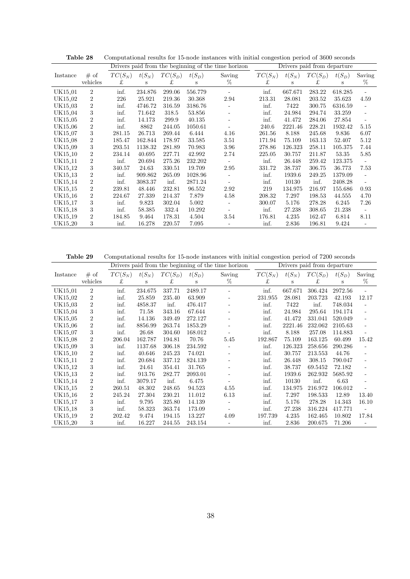|                     |                |           |          |           |          | Drivers paid from the beginning of the time horizon |           |          | Drivers paid from departure |          |                          |
|---------------------|----------------|-----------|----------|-----------|----------|-----------------------------------------------------|-----------|----------|-----------------------------|----------|--------------------------|
| Instance            | # of           | $TC(S_N)$ | $t(S_N)$ | $TC(S_D)$ | $t(S_D)$ | Saving                                              | $TC(S_N)$ | $t(S_N)$ | $TC(S_D)$                   | $t(S_D)$ | Saving                   |
|                     | vehicles       | £         | S        | £         | S        | %                                                   | £         | S        | £                           | S        | %                        |
| UK15_01             | $\overline{2}$ | inf.      | 234.876  | 299.06    | 556.779  |                                                     | inf.      | 667.671  | 283.22                      | 618.285  |                          |
| UK15_02             | $\overline{2}$ | 226       | 25.921   | 219.36    | 30.368   | 2.94                                                | 213.31    | 28.081   | 203.52                      | 35.623   | 4.59                     |
| UK15_03             | $\overline{2}$ | inf.      | 4746.72  | 316.59    | 3186.76  |                                                     | inf.      | 7422     | 300.75                      | 6316.59  | $\overline{\phantom{a}}$ |
| UK15_04             | 3              | inf.      | 71.642   | 318.5     | 53.856   | $\overline{\phantom{m}}$                            | inf.      | 24.984   | 294.74                      | 33.259   | $\overline{\phantom{0}}$ |
| UK15 <sub>-05</sub> | 2              | inf.      | 14.173   | 299.9     | 40.135   |                                                     | inf.      | 41.472   | 284.06                      | 27.854   | $\frac{1}{2}$            |
| UK15 <sub>-06</sub> | $\overline{2}$ | inf.      | 8862     | 244.05    | 1050.61  |                                                     | 240.6     | 2221.46  | 228.21                      | 1932.42  | 5.15                     |
| UK15 <sub>-07</sub> | 3              | 281.15    | 26.713   | 269.44    | 6.444    | 4.16                                                | 261.56    | 8.188    | 245.68                      | 9.836    | 6.07                     |
| UK15_08             | $\overline{2}$ | 185.47    | 162.844  | 178.97    | 33.585   | 3.51                                                | 171.94    | 75.109   | 163.13                      | 52.407   | 5.12                     |
| UK15_09             | 3              | 293.51    | 1138.32  | 281.89    | 70.983   | 3.96                                                | 278.86    | 126.323  | 258.11                      | 105.375  | 7.44                     |
| UK15 <sub>-10</sub> | $\overline{2}$ | 234.14    | 40.695   | 227.71    | 42.992   | 2.74                                                | 225.05    | 30.757   | 211.87                      | 53.35    | 5.85                     |
| UK15 <sub>-11</sub> | $\overline{2}$ | inf.      | 20.694   | 275.26    | 232.202  |                                                     | inf.      | 26.448   | 259.42                      | 123.375  |                          |
| UK15 <sub>-12</sub> | 3              | 340.57    | 24.63    | 330.51    | 19.709   | 2.95                                                | 331.72    | 38.737   | 306.75                      | 36.773   | 7.53                     |
| UK15 <sub>-13</sub> | $\overline{2}$ | inf.      | 909.862  | 265.09    | 1028.96  |                                                     | inf.      | 1939.6   | 249.25                      | 1379.09  |                          |
| UK15 <sub>-14</sub> | $\overline{2}$ | inf.      | 3083.37  | inf.      | 2871.24  |                                                     | inf.      | 10130    | inf.                        | 2408.28  | $\frac{1}{2}$            |
| UK15 <sub>-15</sub> | $\overline{2}$ | 239.81    | 48.446   | 232.81    | 96.552   | 2.92                                                | 219       | 134.975  | 216.97                      | 155.686  | 0.93                     |
| UK15 <sub>-16</sub> | $\overline{2}$ | 224.67    | 27.339   | 214.37    | 7.879    | 4.58                                                | 208.32    | 7.297    | 198.53                      | 44.555   | 4.70                     |
| UK15 <sub>-17</sub> | 3              | inf.      | 9.823    | 302.04    | 5.002    |                                                     | 300.07    | 5.176    | 278.28                      | 6.245    | 7.26                     |
| UK15 <sub>-18</sub> | 3              | inf.      | 58.385   | 332.4     | 10.292   |                                                     | inf.      | 27.238   | 308.65                      | 21.238   | $\overline{\phantom{a}}$ |
| UK15 <sub>-19</sub> | $\overline{2}$ | 184.85    | 9.464    | 178.31    | 4.504    | 3.54                                                | 176.81    | 4.235    | 162.47                      | 6.814    | 8.11                     |
| UK15 <sub>-20</sub> | 3              | inf.      | 16.278   | 220.57    | 7.095    |                                                     | inf.      | 2.836    | 196.81                      | 9.424    |                          |

Table 28 Computational results for 15-node instances with initial congestion period of 3600 seconds

**Table 29** Computational results for 15-node instances with initial congestion period of 7200 seconds

|                     |                | Drivers paid from the beginning of the time horizon |          |           |          |                          |           |          | Drivers paid from departure |          |                          |
|---------------------|----------------|-----------------------------------------------------|----------|-----------|----------|--------------------------|-----------|----------|-----------------------------|----------|--------------------------|
| Instance            | # of           | $TC(S_N)$                                           | $t(S_N)$ | $TC(S_D)$ | $t(S_D)$ | Saving                   | $TC(S_N)$ | $t(S_N)$ | $TC(S_D)$                   | $t(S_D)$ | Saving                   |
|                     | vehicles       | £                                                   | S        | £         | S        | %                        | £         | S        | £                           | S        | %                        |
| UK15_01             | $\overline{2}$ | inf.                                                | 234.675  | 337.71    | 2489.17  | $\overline{\phantom{a}}$ | inf.      | 667.671  | 306.424                     | 2972.56  |                          |
| UK15_02             | $\overline{2}$ | inf.                                                | 25.859   | 235.40    | 63.909   | $\overline{\phantom{a}}$ | 231.955   | 28.081   | 203.723                     | 42.193   | 12.17                    |
| UK15 <sub>-03</sub> | $\overline{2}$ | inf.                                                | 4858.37  | inf.      | 476.417  | $\overline{\phantom{m}}$ | inf.      | 7422     | inf.                        | 748.034  |                          |
| UK15_04             | 3              | inf.                                                | 71.58    | 343.16    | 67.644   |                          | inf.      | 24.984   | 295.64                      | 194.174  |                          |
| UK15_05             | $\overline{2}$ | inf.                                                | 14.136   | 349.49    | 272.127  |                          | inf.      | 41.472   | 331.041                     | 520.049  |                          |
| UK15 <sub>-06</sub> | $\overline{2}$ | inf.                                                | 8856.99  | 263.74    | 1853.29  |                          | inf.      | 2221.46  | 232.062                     | 2105.63  |                          |
| UK15 <sub>-07</sub> | 3              | inf.                                                | 26.68    | 304.60    | 168.012  |                          | inf.      | 8.188    | 257.08                      | 114.883  |                          |
| UK15 <sub>-08</sub> | $\overline{2}$ | 206.04                                              | 162.787  | 194.81    | 70.76    | 5.45                     | 192.867   | 75.109   | 163.125                     | 60.499   | 15.42                    |
| UK15 <sub>-09</sub> | 3              | inf.                                                | 1137.68  | 306.18    | 234.592  | $\overline{\phantom{a}}$ | inf.      | 126.323  | 258.656                     | 290.286  |                          |
| UK15 <sub>-10</sub> | $\overline{2}$ | inf.                                                | 40.646   | 245.23    | 74.021   | $\overline{\phantom{a}}$ | inf.      | 30.757   | 213.553                     | 44.76    |                          |
| UK15 <sub>-11</sub> | $\overline{2}$ | inf.                                                | 20.684   | 337.12    | 824.139  | $\overline{\phantom{m}}$ | inf.      | 26.448   | 308.15                      | 790.047  | $\overline{\phantom{a}}$ |
| UK15 <sub>-12</sub> | 3              | inf.                                                | 24.61    | 354.41    | 31.765   | $\overline{\phantom{m}}$ | inf.      | 38.737   | 69.5452                     | 72.182   |                          |
| UK15 <sub>-13</sub> | $\overline{2}$ | inf.                                                | 913.76   | 282.77    | 2093.01  |                          | inf.      | 1939.6   | 262.932                     | 5685.92  |                          |
| UK15 <sub>-14</sub> | $\overline{2}$ | inf.                                                | 3079.17  | inf.      | 6.475    |                          | inf.      | 10130    | inf.                        | 6.63     |                          |
| UK15 <sub>-15</sub> | $\overline{2}$ | 260.51                                              | 48.302   | 248.65    | 94.523   | 4.55                     | inf.      | 134.975  | 216.972                     | 106.012  |                          |
| UK15 <sub>-16</sub> | $\overline{2}$ | 245.24                                              | 27.304   | 230.21    | 11.012   | 6.13                     | inf.      | 7.297    | 198.533                     | 12.89    | 13.40                    |
| UK15 <sub>-17</sub> | 3              | inf.                                                | 9.795    | 325.80    | 14.139   |                          | inf.      | 5.176    | 278.28                      | 14.343   | 16.10                    |
| UK15 <sub>-18</sub> | 3              | inf.                                                | 58.323   | 363.74    | 173.09   |                          | inf.      | 27.238   | 316.224                     | 417.771  |                          |
| UK15 <sub>-19</sub> | $\overline{2}$ | 202.42                                              | 9.474    | 194.15    | 13.227   | 4.09                     | 197.739   | 4.235    | 162.465                     | 10.802   | 17.84                    |
| UK15 <sub>-20</sub> | 3              | inf.                                                | 16.227   | 244.55    | 243.154  |                          | inf.      | 2.836    | 200.675                     | 71.206   |                          |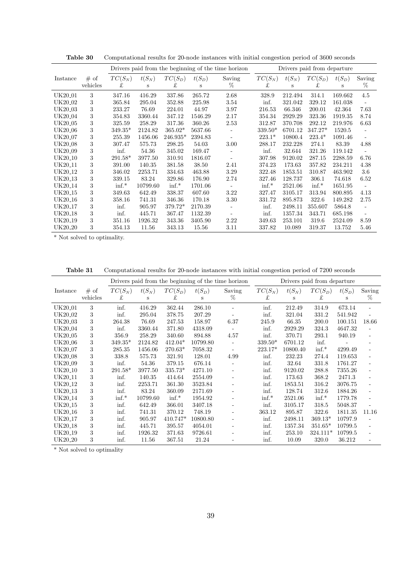|                     |          |           | Drivers paid from the beginning of the time horizon |            |          | Drivers paid from departure |           |          |           |          |        |
|---------------------|----------|-----------|-----------------------------------------------------|------------|----------|-----------------------------|-----------|----------|-----------|----------|--------|
| Instance            | # of     | $TC(S_N)$ | $t(S_N)$                                            | $TC(S_D)$  | $t(S_D)$ | Saving                      | $TC(S_N)$ | $t(S_N)$ | $TC(S_D)$ | $t(S_D)$ | Saving |
|                     | vehicles | £         | S                                                   | £          | s        | %                           | £         | S        | £         | S        | %      |
| UK20_01             | 3        | 347.16    | 416.29                                              | 337.86     | 265.72   | 2.68                        | 328.9     | 212.494  | 314.1     | 169.662  | 4.5    |
| UK20_02             | 3        | 365.84    | 295.04                                              | 352.88     | 225.98   | 3.54                        | inf.      | 321.042  | 329.12    | 161.038  | L,     |
| UK20 <sub>-03</sub> | 3        | 233.27    | 76.69                                               | 224.01     | 44.97    | 3.97                        | 216.53    | 66.346   | 200.01    | 42.364   | 7.63   |
| UK20 <sub>-04</sub> | 3        | 354.83    | 3360.44                                             | 347.12     | 1546.29  | 2.17                        | 354.34    | 2929.29  | 323.36    | 1919.35  | 8.74   |
| UK20 <sub>-05</sub> | 3        | 325.59    | 258.29                                              | 317.36     | 360.26   | 2.53                        | 312.87    | 370.708  | 292.12    | 219.976  | 6.63   |
| UK20 <sub>-06</sub> | 3        | $349.35*$ | 2124.82                                             | $365.02*$  | 5637.66  | $\overline{\phantom{a}}$    | $339.50*$ | 6701.12  | $347.27*$ | 1520.5   |        |
| UK20 <sub>-07</sub> | 3        | 255.39    | 1456.06                                             | $246.935*$ | 2394.83  | $\overline{\phantom{a}}$    | $223.1*$  | 10800.4  | $223.4*$  | 1091.46  | $\sim$ |
| UK20 <sub>-08</sub> | 3        | 307.47    | 575.73                                              | 298.25     | 54.03    | 3.00                        | 288.17    | 232.228  | 274.1     | 83.39    | 4.88   |
| UK20 <sub>-09</sub> | 3        | inf.      | 54.36                                               | 345.02     | 169.47   | ۰                           | inf.      | 32.644   | 321.26    | 119.142  | L,     |
| UK20 <sub>-10</sub> | 3        | $291.58*$ | 3977.50                                             | 310.91     | 1816.07  | ÷,                          | 307.98    | 9120.02  | 287.15    | 2288.59  | 6.76   |
| UK20 <sub>-11</sub> | 3        | 391.00    | 140.35                                              | 381.58     | 38.50    | 2.41                        | 374.23    | 173.63   | 357.82    | 234.211  | 4.38   |
| UK20 <sub>-12</sub> | 3        | 346.02    | 2253.71                                             | 334.63     | 463.88   | 3.29                        | 322.48    | 1853.51  | 310.87    | 463.902  | 3.6    |
| UK20 <sub>-13</sub> | 3        | 339.15    | 83.24                                               | 329.86     | 176.90   | 2.74                        | 327.46    | 128.737  | 306.1     | 74.618   | 6.52   |
| UK20 <sub>-14</sub> | 3        | $\inf.$   | 10799.60                                            | $\inf.$    | 1701.06  | $\overline{\phantom{a}}$    | $\inf.$   | 2521.06  | $\inf.$   | 1651.95  |        |
| UK20 <sub>-15</sub> | 3        | 349.63    | 642.49                                              | 338.37     | 607.60   | 3.22                        | 327.47    | 3105.17  | 313.94    | 800.895  | 4.13   |
| UK20 <sub>-16</sub> | 3        | 358.16    | 741.31                                              | 346.36     | 170.18   | 3.30                        | 331.72    | 895.873  | 322.6     | 149.282  | 2.75   |
| UK20 <sub>-17</sub> | 3        | inf.      | 905.97                                              | 379.72*    | 2170.39  |                             | inf.      | 2498.11  | 355.607   | 5864.8   |        |
| UK20 <sub>-18</sub> | 3        | inf.      | 445.71                                              | 367.47     | 1132.39  |                             | inf.      | 1357.34  | 343.71    | 685.198  |        |
| UK20 <sub>-19</sub> | 3        | 351.16    | 1926.32                                             | 343.36     | 3405.90  | 2.22                        | 349.63    | 253.101  | 319.6     | 2524.09  | 8.59   |
| UK20 <sub>-20</sub> | 3        | 354.13    | 11.56                                               | 343.13     | 15.56    | 3.11                        | 337.82    | 10.089   | 319.37    | 13.752   | 5.46   |

**Table 30** Computational results for 20-node instances with initial congestion period of 3600 seconds

\* Not solved to optimality.

Table 31 Computational results for 20-node instances with initial congestion period of 7200 seconds

|                     |                  |                |               |                | Drivers paid from the beginning of the time horizon | Drivers paid from departure |                |               |                |               |                          |  |
|---------------------|------------------|----------------|---------------|----------------|-----------------------------------------------------|-----------------------------|----------------|---------------|----------------|---------------|--------------------------|--|
| Instance            | # of<br>vehicles | $TC(S_N)$<br>£ | $t(S_N)$<br>S | $TC(S_D)$<br>£ | $t(S_D)$<br>S                                       | Saving<br>$\%$              | $TC(S_N)$<br>£ | $t(S_N)$<br>S | $TC(S_D)$<br>£ | $t(S_D)$<br>S | Saving<br>%              |  |
| UK20 <sub>-01</sub> | 3                | inf.           | 416.29        | 362.44         | 286.10                                              |                             | inf.           | 212.49        | 314.9          | 673.14        |                          |  |
| UK20 <sub>-02</sub> | 3                | inf.           | 295.04        | 378.75         | 207.29                                              |                             | inf.           | 321.04        | 331.2          | 541.942       |                          |  |
| UK20 <sub>-03</sub> | 3                | 264.38         | 76.69         | 247.53         | 158.97                                              | 6.37                        | 245.9          | 66.35         | 200.0          | 100.151       | 18.66                    |  |
| UK20 <sub>-04</sub> | 3                | inf.           | 3360.44       | 371.80         | 4318.09                                             |                             | inf.           | 2929.29       | 324.3          | 4647.32       | $\overline{\phantom{a}}$ |  |
| UK20 <sub>-05</sub> | 3                | 356.9          | 258.29        | 340.60         | 894.88                                              | 4.57                        | inf.           | 370.71        | 293.1          | 940.19        |                          |  |
| UK20 <sub>-06</sub> | 3                | $349.35*$      | 2124.82       | $412.04*$      | 10799.80                                            | ÷,                          | $339.50*$      | 6701.12       | inf.           |               |                          |  |
| UK20 <sub>-07</sub> | 3                | 285.35         | 1456.06       | $270.63*$      | 7058.32                                             |                             | $223.17*$      | 10800.40      | $\inf.$        | 4299.49       |                          |  |
| UK20 <sub>-08</sub> | 3                | 338.8          | 575.73        | 321.91         | 128.01                                              | 4.99                        | inf.           | 232.23        | 274.4          | 119.653       |                          |  |
| UK20 <sub>-09</sub> | 3                | inf.           | 54.36         | 379.15         | 676.14                                              |                             | inf.           | 32.64         | 331.8          | 1761.27       |                          |  |
| UK20 <sub>-10</sub> | 3                | $291.58*$      | 3977.50       | $335.73*$      | 4271.10                                             | $\overline{\phantom{0}}$    | inf.           | 9120.02       | 288.8          | 7355.26       |                          |  |
| UK20 <sub>-11</sub> | 3                | inf.           | 140.35        | 414.64         | 2554.09                                             | $\overline{\phantom{0}}$    | inf.           | 173.63        | 368.2          | 2471.3        |                          |  |
| UK20 <sub>-12</sub> | 3                | inf.           | 2253.71       | 361.30         | 3523.84                                             | ÷,                          | inf.           | 1853.51       | 316.2          | 3076.75       |                          |  |
| UK20 <sub>-13</sub> | 3                | inf.           | 83.24         | 360.09         | 2171.69                                             | ÷,                          | inf.           | 128.74        | 312.6          | 1884.26       |                          |  |
| UK20 <sub>-14</sub> | 3                | $\inf.$        | 10799.60      | $\inf.$        | 1954.92                                             | ÷,                          | $\inf.$        | 2521.06       | $\inf.$        | 1779.78       | ä,                       |  |
| UK20 <sub>-15</sub> | 3                | inf.           | 642.49        | 366.01         | 3407.18                                             |                             | inf.           | 3105.17       | 318.5          | 5048.37       |                          |  |
| UK20 <sub>-16</sub> | 3                | inf.           | 741.31        | 370.12         | 748.19                                              |                             | 363.12         | 895.87        | 322.6          | 1811.35       | 11.16                    |  |
| UK20 <sub>-17</sub> | 3                | inf.           | 905.97        | 410.747*       | 10800.80                                            | Ξ.                          | inf.           | 2498.11       | $369.13*$      | 10797.9       |                          |  |
| UK20 <sub>-18</sub> | 3                | inf.           | 445.71        | 395.57         | 4054.01                                             | Ξ.                          | inf.           | 1357.34       | $351.65*$      | 10799.5       |                          |  |
| UK20 <sub>-19</sub> | 3                | inf.           | 1926.32       | 371.63         | 9726.61                                             |                             | inf.           | 253.10        | $324.111*$     | 10799.5       |                          |  |
| UK20 <sub>-20</sub> | 3                | inf.           | 11.56         | 367.51         | 21.24                                               |                             | inf.           | 10.09         | 320.0          | 36.212        |                          |  |

\* Not solved to optimality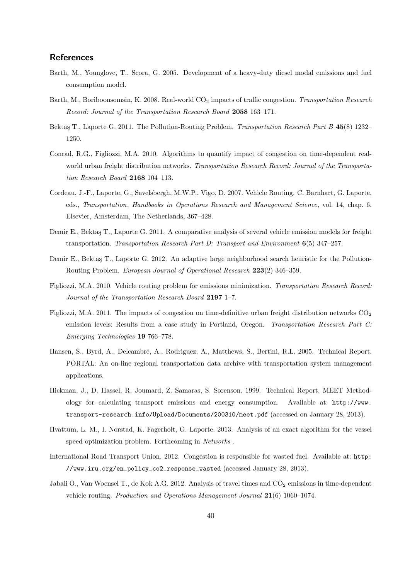# **References**

- Barth, M., Younglove, T., Scora, G. 2005. Development of a heavy-duty diesel modal emissions and fuel consumption model.
- Barth, M., Boriboonsomsin, K. 2008. Real-world CO<sub>2</sub> impacts of traffic congestion. *Transportation Research Record: Journal of the Transportation Research Board* **2058** 163–171.
- Bektaş T., Laporte G. 2011. The Pollution-Routing Problem. *Transportation Research Part B* 45(8) 1232– 1250.
- Conrad, R.G., Figliozzi, M.A. 2010. Algorithms to quantify impact of congestion on time-dependent realworld urban freight distribution networks. *Transportation Research Record: Journal of the Transportation Research Board* **2168** 104–113.
- Cordeau, J.-F., Laporte, G., Savelsbergh, M.W.P., Vigo, D. 2007. Vehicle Routing. C. Barnhart, G. Laporte, eds., *Transportation*, *Handbooks in Operations Research and Management Science*, vol. 14, chap. 6. Elsevier, Amsterdam, The Netherlands, 367–428.
- Demir E., Bektaş T., Laporte G. 2011. A comparative analysis of several vehicle emission models for freight transportation. *Transportation Research Part D: Transport and Environment* **6**(5) 347–257.
- Demir E., Bektaş T., Laporte G. 2012. An adaptive large neighborhood search heuristic for the Pollution-Routing Problem. *European Journal of Operational Research* **223**(2) 346–359.
- Figliozzi, M.A. 2010. Vehicle routing problem for emissions minimization. *Transportation Research Record: Journal of the Transportation Research Board* **2197** 1–7.
- Figliozzi, M.A. 2011. The impacts of congestion on time-definitive urban freight distribution networks  $CO<sub>2</sub>$ emission levels: Results from a case study in Portland, Oregon. *Transportation Research Part C: Emerging Technologies* **19** 766–778.
- Hansen, S., Byrd, A., Delcambre, A., Rodriguez, A., Matthews, S., Bertini, R.L. 2005. Technical Report. PORTAL: An on-line regional transportation data archive with transportation system management applications.
- Hickman, J., D. Hassel, R. Joumard, Z. Samaras, S. Sorenson. 1999. Technical Report. MEET Methodology for calculating transport emissions and energy consumption. Available at: http://www. transport-research.info/Upload/Documents/200310/meet.pdf (accessed on January 28, 2013).
- Hvattum, L. M., I. Norstad, K. Fagerholt, G. Laporte. 2013. Analysis of an exact algorithm for the vessel speed optimization problem. Forthcoming in *Networks* .
- International Road Transport Union. 2012. Congestion is responsible for wasted fuel. Available at: http: //www.iru.org/en\_policy\_co2\_response\_wasted (accessed January 28, 2013).
- Jabali O., Van Woensel T., de Kok A.G. 2012. Analysis of travel times and CO<sub>2</sub> emissions in time-dependent vehicle routing. *Production and Operations Management Journal* **21**(6) 1060–1074.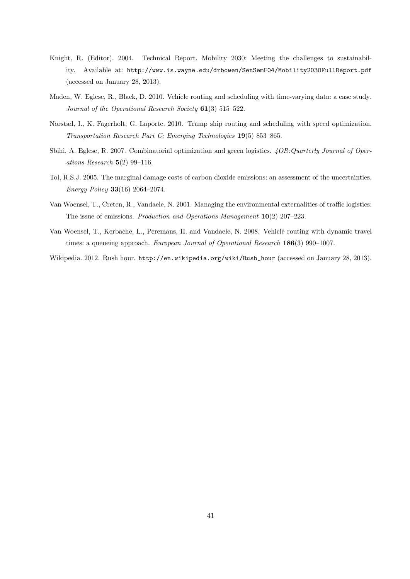- Knight, R. (Editor). 2004. Technical Report. Mobility 2030: Meeting the challenges to sustainability. Available at: http://www.is.wayne.edu/drbowen/SenSemF04/Mobility2030FullReport.pdf (accessed on January 28, 2013).
- Maden, W. Eglese, R., Black, D. 2010. Vehicle routing and scheduling with time-varying data: a case study. *Journal of the Operational Research Society* **61**(3) 515–522.
- Norstad, I., K. Fagerholt, G. Laporte. 2010. Tramp ship routing and scheduling with speed optimization. *Transportation Research Part C: Emerging Technologies* **19**(5) 853–865.
- Sbihi, A. Eglese, R. 2007. Combinatorial optimization and green logistics. *4OR:Quarterly Journal of Operations Research* **5**(2) 99–116.
- Tol, R.S.J. 2005. The marginal damage costs of carbon dioxide emissions: an assessment of the uncertainties. *Energy Policy* **33**(16) 2064–2074.
- Van Woensel, T., Creten, R., Vandaele, N. 2001. Managing the environmental externalities of traffic logistics: The issue of emissions. *Production and Operations Management* **10**(2) 207–223.
- Van Woensel, T., Kerbache, L., Peremans, H. and Vandaele, N. 2008. Vehicle routing with dynamic travel times: a queueing approach. *European Journal of Operational Research* **186**(3) 990–1007.
- Wikipedia. 2012. Rush hour. http://en.wikipedia.org/wiki/Rush\_hour (accessed on January 28, 2013).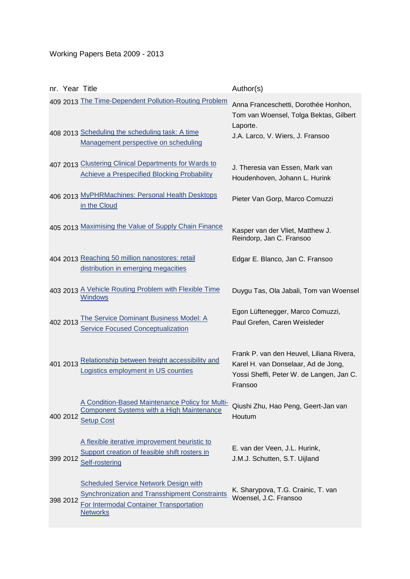# Working Papers Beta 2009 - 2013

|          | nr. Year Title                                                                                                                                                     | Author(s)                                                                                                                              |
|----------|--------------------------------------------------------------------------------------------------------------------------------------------------------------------|----------------------------------------------------------------------------------------------------------------------------------------|
|          | 409 2013 The Time-Dependent Pollution-Routing Problem                                                                                                              | Anna Franceschetti, Dorothée Honhon,<br>Tom van Woensel, Tolga Bektas, Gilbert<br>Laporte.                                             |
|          | 408 2013 Scheduling the scheduling task: A time<br>Management perspective on scheduling                                                                            | J.A. Larco, V. Wiers, J. Fransoo                                                                                                       |
|          | 407 2013 Clustering Clinical Departments for Wards to<br><b>Achieve a Prespecified Blocking Probability</b>                                                        | J. Theresia van Essen, Mark van<br>Houdenhoven, Johann L. Hurink                                                                       |
|          | 406 2013 MyPHRMachines: Personal Health Desktops<br>in the Cloud                                                                                                   | Pieter Van Gorp, Marco Comuzzi                                                                                                         |
|          | 405 2013 Maximising the Value of Supply Chain Finance                                                                                                              | Kasper van der Vliet, Matthew J.<br>Reindorp, Jan C. Fransoo                                                                           |
|          | 404 2013 Reaching 50 million nanostores: retail<br>distribution in emerging megacities                                                                             | Edgar E. Blanco, Jan C. Fransoo                                                                                                        |
|          | 403 2013 A Vehicle Routing Problem with Flexible Time<br><b>Windows</b>                                                                                            | Duygu Tas, Ola Jabali, Tom van Woensel                                                                                                 |
| 402 2013 | <b>The Service Dominant Business Model: A</b><br><b>Service Focused Conceptualization</b>                                                                          | Egon Lüftenegger, Marco Comuzzi,<br>Paul Grefen, Caren Weisleder                                                                       |
|          | 401 2013 Relationship between freight accessibility and<br>Logistics employment in US counties                                                                     | Frank P. van den Heuvel, Liliana Rivera,<br>Karel H. van Donselaar, Ad de Jong,<br>Yossi Sheffi, Peter W. de Langen, Jan C.<br>Fransoo |
| 400 2012 | A Condition-Based Maintenance Policy for Multi-<br><b>Component Systems with a High Maintenance</b><br><b>Setup Cost</b>                                           | Qiushi Zhu, Hao Peng, Geert-Jan van<br>Houtum                                                                                          |
| 399 2012 | A flexible iterative improvement heuristic to<br>Support creation of feasible shift rosters in<br>Self-rostering                                                   | E. van der Veen, J.L. Hurink,<br>J.M.J. Schutten, S.T. Uijland                                                                         |
| 398 2012 | <b>Scheduled Service Network Design with</b><br><b>Synchronization and Transshipment Constraints</b><br>For Intermodal Container Transportation<br><b>Networks</b> | K. Sharypova, T.G. Crainic, T. van<br>Woensel, J.C. Fransoo                                                                            |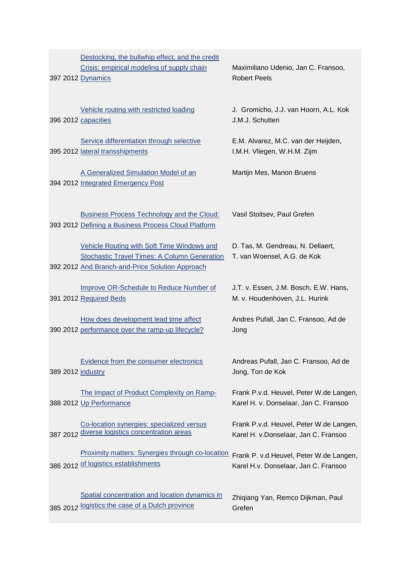|  | Destocking, the bullwhip effect, and the credit<br>Crisis: empirical modeling of supply chain<br>397 2012 Dynamics                                   | Maximiliano Udenio, Jan C. Fransoo,<br><b>Robert Peels</b>                       |
|--|------------------------------------------------------------------------------------------------------------------------------------------------------|----------------------------------------------------------------------------------|
|  | Vehicle routing with restricted loading<br>396 2012 capacities                                                                                       | J. Gromicho, J.J. van Hoorn, A.L. Kok<br>J.M.J. Schutten                         |
|  | Service differentiation through selective<br>395 2012 lateral transshipments                                                                         | E.M. Alvarez, M.C. van der Heijden,<br>I.M.H. Vliegen, W.H.M. Zijm               |
|  | A Generalized Simulation Model of an<br>394 2012 Integrated Emergency Post                                                                           | Martijn Mes, Manon Bruens                                                        |
|  | Business Process Technology and the Cloud:<br>393 2012 Defining a Business Process Cloud Platform                                                    | Vasil Stoitsev, Paul Grefen                                                      |
|  | Vehicle Routing with Soft Time Windows and<br><b>Stochastic Travel Times: A Column Generation</b><br>392 2012 And Branch-and-Price Solution Approach | D. Tas, M. Gendreau, N. Dellaert,<br>T. van Woensel, A.G. de Kok                 |
|  | Improve OR-Schedule to Reduce Number of<br>391 2012 Required Beds                                                                                    | J.T. v. Essen, J.M. Bosch, E.W. Hans,<br>M. v. Houdenhoven, J.L. Hurink          |
|  | How does development lead time affect<br>390 2012 performance over the ramp-up lifecycle?                                                            | Andres Pufall, Jan C. Fransoo, Ad de<br>Jong                                     |
|  | Evidence from the consumer electronics<br>389 2012 industry                                                                                          | Andreas Pufall, Jan C. Fransoo, Ad de<br>Jong, Ton de Kok                        |
|  | The Impact of Product Complexity on Ramp-<br>388 2012 Up Performance                                                                                 | Frank P.v.d. Heuvel, Peter W.de Langen,<br>Karel H. v. Donselaar, Jan C. Fransoo |
|  | Co-location synergies: specialized versus<br>387 2012 diverse logistics concentration areas                                                          | Frank P.v.d. Heuvel, Peter W.de Langen,<br>Karel H. v.Donselaar, Jan C. Fransoo  |
|  | <b>Proximity matters: Synergies through co-location</b><br>386 2012 of logistics establishments                                                      | Frank P. v.d. Heuvel, Peter W.de Langen,<br>Karel H.v. Donselaar, Jan C. Fransoo |
|  | Spatial concentration and location dynamics in<br>385 2012 logistics: the case of a Dutch province                                                   | Zhiqiang Yan, Remco Dijkman, Paul<br>Grefen                                      |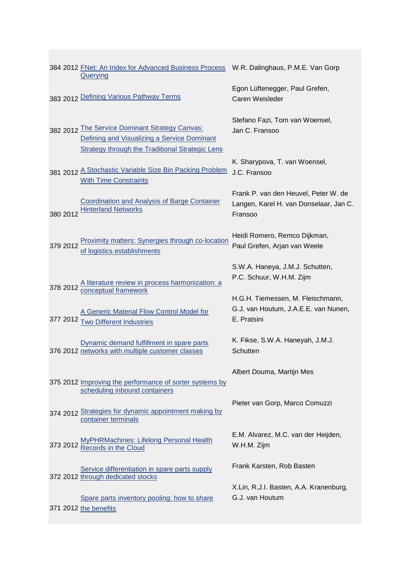|          | 384 2012 FNet: An Index for Advanced Business Process W.R. Dalinghaus, P.M.E. Van Gorp<br><b>Querying</b>                                               |                                                                                           |
|----------|---------------------------------------------------------------------------------------------------------------------------------------------------------|-------------------------------------------------------------------------------------------|
|          | 383 2012 Defining Various Pathway Terms                                                                                                                 | Egon Lüftenegger, Paul Grefen,<br>Caren Weisleder                                         |
|          | 382 2012 The Service Dominant Strategy Canvas:<br>Defining and Visualizing a Service Dominant<br><b>Strategy through the Traditional Strategic Lens</b> | Stefano Fazi, Tom van Woensel,<br>Jan C. Fransoo                                          |
|          | 381 2012 A Stochastic Variable Size Bin Packing Problem<br><b>With Time Constraints</b>                                                                 | K. Sharypova, T. van Woensel,<br>J.C. Fransoo                                             |
| 380 2012 | <b>Coordination and Analysis of Barge Container</b><br><b>Hinterland Networks</b>                                                                       | Frank P. van den Heuvel, Peter W. de<br>Langen, Karel H. van Donselaar, Jan C.<br>Fransoo |
| 379 2012 | <b>Proximity matters: Synergies through co-location</b><br>of logistics establishments                                                                  | Heidi Romero, Remco Dijkman,<br>Paul Grefen, Arjan van Weele                              |
|          | 378 2012 A literature review in process harmonization: a<br>378 2012 Conceptual framework                                                               | S.W.A. Haneya, J.M.J. Schutten,<br>P.C. Schuur, W.H.M. Zijm                               |
| 377 2012 | A Generic Material Flow Control Model for<br><b>Two Different Industries</b>                                                                            | H.G.H. Tiemessen, M. Fleischmann,<br>G.J. van Houtum, J.A.E.E. van Nunen,<br>E. Pratsini  |
|          | Dynamic demand fulfillment in spare parts<br>376 2012 networks with multiple customer classes                                                           | K. Fikse, S.W.A. Haneyah, J.M.J.<br>Schutten                                              |
|          | 375 2012 Improving the performance of sorter systems by                                                                                                 | Albert Douma, Martijn Mes                                                                 |
|          | scheduling inbound containers<br>374 2012 Strategies for dynamic appointment making by<br>container terminals                                           | Pieter van Gorp, Marco Comuzzi                                                            |
|          | 373 2012 MyPHRMachines: Lifelong Personal Health                                                                                                        | E.M. Alvarez, M.C. van der Heijden,<br>W.H.M. Zijm                                        |
|          | Service differentiation in spare parts supply<br>372 2012 through dedicated stocks                                                                      | Frank Karsten, Rob Basten                                                                 |
|          | Spare parts inventory pooling: how to share<br>371 2012 the benefits                                                                                    | X.Lin, R.J.I. Basten, A.A. Kranenburg,<br>G.J. van Houtum                                 |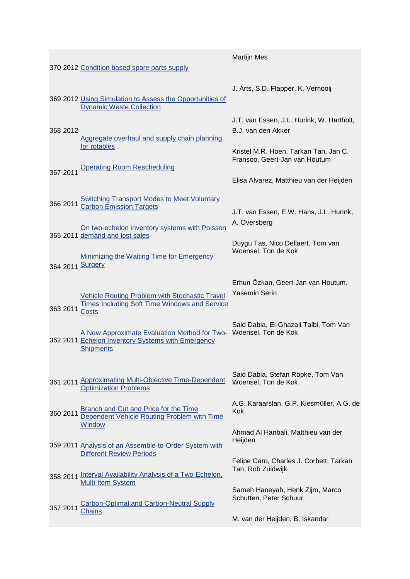|                  |                                                                                                                        | <b>Martijn Mes</b>                                                                                       |
|------------------|------------------------------------------------------------------------------------------------------------------------|----------------------------------------------------------------------------------------------------------|
|                  | 370 2012 Condition based spare parts supply                                                                            |                                                                                                          |
|                  | 369 2012 Using Simulation to Assess the Opportunities of<br><b>Dynamic Waste Collection</b>                            | J. Arts, S.D. Flapper, K. Vernooij                                                                       |
| 368 2012         | Aggregate overhaul and supply chain planning<br>for rotables                                                           | J.T. van Essen, J.L. Hurink, W. Hartholt,<br>B.J. van den Akker<br>Kristel M.R. Hoen, Tarkan Tan, Jan C. |
| 367 2011         | <b>Operating Room Rescheduling</b>                                                                                     | Fransoo, Geert-Jan van Houtum<br>Elisa Alvarez, Matthieu van der Heijden                                 |
| 366 2011         | <b>Switching Transport Modes to Meet Voluntary</b><br><b>Carbon Emission Targets</b>                                   | J.T. van Essen, E.W. Hans, J.L. Hurink,                                                                  |
|                  | On two-echelon inventory systems with Poisson<br>365 2011 demand and lost sales                                        | A. Oversberg                                                                                             |
| 364 2011 Surgery | <b>Minimizing the Waiting Time for Emergency</b>                                                                       | Duygu Tas, Nico Dellaert, Tom van<br>Woensel, Ton de Kok                                                 |
| 363 2011         | <b>Vehicle Routing Problem with Stochastic Travel</b><br>Times Including Soft Time Windows and Service<br><b>Costs</b> | Erhun Özkan, Geert-Jan van Houtum,<br><b>Yasemin Serin</b>                                               |
|                  | A New Approximate Evaluation Method for Two-<br>362 2011 Echelon Inventory Systems with Emergency<br><b>Shipments</b>  | Said Dabia, El-Ghazali Talbi, Tom Van<br>Woensel, Ton de Kok                                             |
|                  | 361 2011 Approximating Multi-Objective Time-Dependent<br><b>Optimization Problems</b>                                  | Said Dabia, Stefan Röpke, Tom Van<br>Woensel, Ton de Kok                                                 |
| 360 2011         | <b>Branch and Cut and Price for the Time</b><br>Dependent Vehicle Routing Problem with Time<br>Window                  | A.G. Karaarslan, G.P. Kiesmüller, A.G. de<br>Kok                                                         |
|                  | 359 2011 Analysis of an Assemble-to-Order System with<br><b>Different Review Periods</b>                               | Ahmad Al Hanbali, Matthieu van der<br>Heijden                                                            |
| 358 2011         | <b>Interval Availability Analysis of a Two-Echelon,</b><br><b>Multi-Item System</b>                                    | Felipe Caro, Charles J. Corbett, Tarkan<br>Tan, Rob Zuidwijk                                             |
| 357 2011         | <b>Carbon-Optimal and Carbon-Neutral Supply</b><br>hains:                                                              | Sameh Haneyah, Henk Zijm, Marco<br>Schutten, Peter Schuur                                                |
|                  |                                                                                                                        | M. van der Heijden, B. Iskandar                                                                          |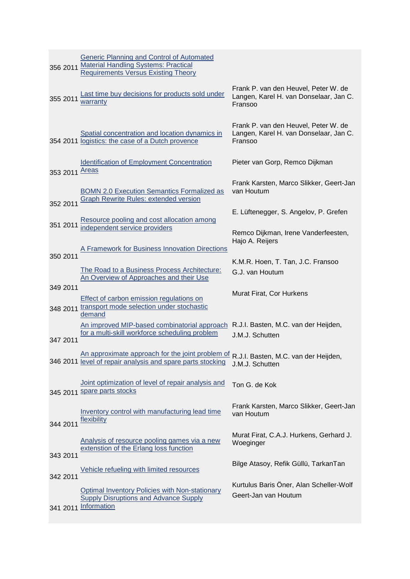| 356 2011       | <b>Generic Planning and Control of Automated</b><br><b>Material Handling Systems: Practical</b><br><b>Requirements Versus Existing Theory</b>       |                                                                                           |
|----------------|-----------------------------------------------------------------------------------------------------------------------------------------------------|-------------------------------------------------------------------------------------------|
| 355 2011       | Last time buy decisions for products sold under<br>warranty                                                                                         | Frank P. van den Heuvel, Peter W. de<br>Langen, Karel H. van Donselaar, Jan C.<br>Fransoo |
|                | Spatial concentration and location dynamics in<br>354 2011 logistics: the case of a Dutch provence                                                  | Frank P. van den Heuvel, Peter W. de<br>Langen, Karel H. van Donselaar, Jan C.<br>Fransoo |
| 353 2011 Areas | <b>Identification of Employment Concentration</b>                                                                                                   | Pieter van Gorp, Remco Dijkman                                                            |
| 352 2011       | <b>BOMN 2.0 Execution Semantics Formalized as</b><br><b>Graph Rewrite Rules: extended version</b>                                                   | Frank Karsten, Marco Slikker, Geert-Jan<br>van Houtum                                     |
|                |                                                                                                                                                     | E. Lüftenegger, S. Angelov, P. Grefen                                                     |
| 351 2011       | Resource pooling and cost allocation among<br>independent service providers                                                                         | Remco Dijkman, Irene Vanderfeesten,<br>Hajo A. Reijers                                    |
| 350 2011       | A Framework for Business Innovation Directions                                                                                                      |                                                                                           |
|                |                                                                                                                                                     | K.M.R. Hoen, T. Tan, J.C. Fransoo                                                         |
|                | The Road to a Business Process Architecture:<br>An Overview of Approaches and their Use                                                             | G.J. van Houtum                                                                           |
| 349 2011       |                                                                                                                                                     | Murat Firat, Cor Hurkens                                                                  |
| 348 2011       | Effect of carbon emission regulations on<br>transport mode selection under stochastic<br>demand                                                     |                                                                                           |
| 347 2011       | An improved MIP-based combinatorial approach<br>for a multi-skill workforce scheduling problem                                                      | R.J.I. Basten, M.C. van der Heijden,<br>J.M.J. Schutten                                   |
|                | An approximate approach for the joint problem of R.J.I. Basten, M.C. van der Heijden,<br>346 2011 level of repair analysis and spare parts stocking | J.M.J. Schutten                                                                           |
|                | Joint optimization of level of repair analysis and<br>345 2011 Spare parts stocks                                                                   | Ton G. de Kok                                                                             |
| 344 2011       | Inventory control with manufacturing lead time<br>flexibility                                                                                       | Frank Karsten, Marco Slikker, Geert-Jan<br>van Houtum                                     |
|                | Analysis of resource pooling games via a new<br>extenstion of the Erlang loss function                                                              | Murat Firat, C.A.J. Hurkens, Gerhard J.<br>Woeginger                                      |
| 343 2011       | Vehicle refueling with limited resources                                                                                                            | Bilge Atasoy, Refik Güllü, TarkanTan                                                      |
| 342 2011       |                                                                                                                                                     | Kurtulus Baris Öner, Alan Scheller-Wolf                                                   |
|                | <b>Optimal Inventory Policies with Non-stationary</b><br><b>Supply Disruptions and Advance Supply</b><br>341 2011 Information                       | Geert-Jan van Houtum                                                                      |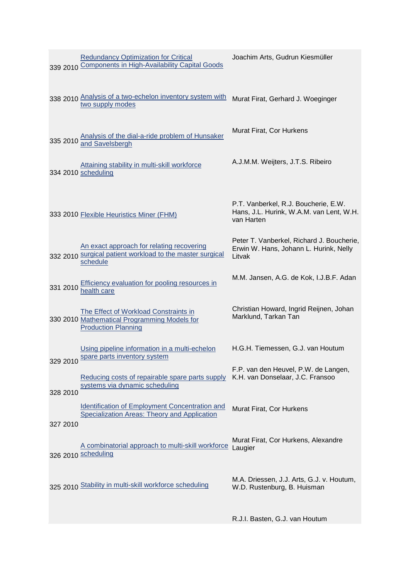|          | <b>Redundancy Optimization for Critical</b><br>339 2010 Components in High-Availability Capital Goods               | Joachim Arts, Gudrun Kiesmüller                                                                |
|----------|---------------------------------------------------------------------------------------------------------------------|------------------------------------------------------------------------------------------------|
|          | 338 2010 Analysis of a two-echelon inventory system with<br>two supply modes                                        | Murat Firat, Gerhard J. Woeginger                                                              |
|          | Analysis of the dial-a-ride problem of Hunsaker<br>335 2010 and Savelsbergh                                         | Murat Firat, Cor Hurkens                                                                       |
|          | Attaining stability in multi-skill workforce<br>334 2010 scheduling                                                 | A.J.M.M. Weijters, J.T.S. Ribeiro                                                              |
|          | 333 2010 Flexible Heuristics Miner (FHM)                                                                            | P.T. Vanberkel, R.J. Boucherie, E.W.<br>Hans, J.L. Hurink, W.A.M. van Lent, W.H.<br>van Harten |
|          | An exact approach for relating recovering<br>332 2010 surgical patient workload to the master surgical<br>schedule  | Peter T. Vanberkel, Richard J. Boucherie,<br>Erwin W. Hans, Johann L. Hurink, Nelly<br>Litvak  |
| 331 2010 | Efficiency evaluation for pooling resources in<br>health care                                                       | M.M. Jansen, A.G. de Kok, I.J.B.F. Adan                                                        |
|          | The Effect of Workload Constraints in<br>330 2010 Mathematical Programming Models for<br><b>Production Planning</b> | Christian Howard, Ingrid Reijnen, Johan<br>Marklund, Tarkan Tan                                |
| 329 2010 | Using pipeline information in a multi-echelon<br>spare parts inventory system                                       | H.G.H. Tiemessen, G.J. van Houtum                                                              |
| 328 2010 | Reducing costs of repairable spare parts supply<br>systems via dynamic scheduling                                   | F.P. van den Heuvel, P.W. de Langen,<br>K.H. van Donselaar, J.C. Fransoo                       |
| 327 2010 | <b>Identification of Employment Concentration and</b><br>Specialization Areas: Theory and Application               | Murat Firat, Cor Hurkens                                                                       |
|          | A combinatorial approach to multi-skill workforce<br>326 2010 scheduling                                            | Murat Firat, Cor Hurkens, Alexandre<br>Laugier                                                 |
|          | 325 2010 Stability in multi-skill workforce scheduling                                                              | M.A. Driessen, J.J. Arts, G.J. v. Houtum,<br>W.D. Rustenburg, B. Huisman                       |
|          |                                                                                                                     | R.J.I. Basten, G.J. van Houtum                                                                 |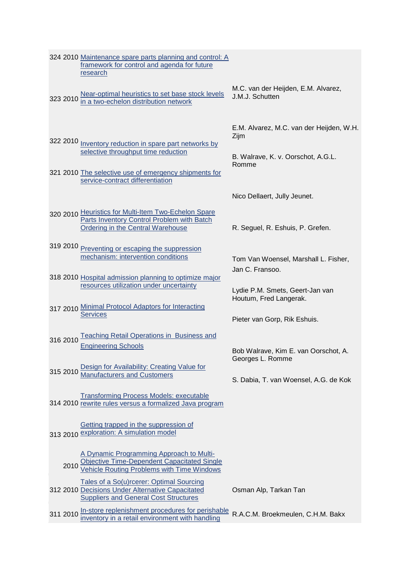|          | 324 2010 Maintenance spare parts planning and control: A<br>framework for control and agenda for future<br>research                                                                        |                                                                                                 |
|----------|--------------------------------------------------------------------------------------------------------------------------------------------------------------------------------------------|-------------------------------------------------------------------------------------------------|
|          | Near-optimal heuristics to set base stock levels<br>323 2010 in a two-echelon distribution network                                                                                         | M.C. van der Heijden, E.M. Alvarez,<br>J.M.J. Schutten                                          |
|          | 322 2010 Inventory reduction in spare part networks by<br>selective throughput time reduction<br>321 2010 The selective use of emergency shipments for<br>service-contract differentiation | E.M. Alvarez, M.C. van der Heijden, W.H.<br>Zijm<br>B. Walrave, K. v. Oorschot, A.G.L.<br>Romme |
|          |                                                                                                                                                                                            | Nico Dellaert, Jully Jeunet.                                                                    |
|          | 320 2010 Heuristics for Multi-Item Two-Echelon Spare<br>Parts Inventory Control Problem with Batch<br><b>Ordering in the Central Warehouse</b>                                             | R. Seguel, R. Eshuis, P. Grefen.                                                                |
| 319 2010 | Preventing or escaping the suppression<br>mechanism: intervention conditions                                                                                                               | Tom Van Woensel, Marshall L. Fisher,                                                            |
|          | 318 2010 Hospital admission planning to optimize major<br>resources utilization under uncertainty                                                                                          | Jan C. Fransoo.<br>Lydie P.M. Smets, Geert-Jan van                                              |
|          | 317 2010 Minimal Protocol Adaptors for Interacting                                                                                                                                         | Houtum, Fred Langerak.                                                                          |
|          | <b>Services</b>                                                                                                                                                                            | Pieter van Gorp, Rik Eshuis.                                                                    |
| 316 2010 | <b>Teaching Retail Operations in Business and</b><br><b>Engineering Schools</b>                                                                                                            | Bob Walrave, Kim E. van Oorschot, A.                                                            |
| 315 2010 | Design for Availability: Creating Value for<br>Manufacturers and Customers                                                                                                                 | Georges L. Romme                                                                                |
|          |                                                                                                                                                                                            | S. Dabia, T. van Woensel, A.G. de Kok                                                           |
|          | <b>Transforming Process Models: executable</b><br>314 2010 rewrite rules versus a formalized Java program                                                                                  |                                                                                                 |
|          | Getting trapped in the suppression of<br>313 2010 exploration: A simulation model                                                                                                          |                                                                                                 |
| 2010     | A Dynamic Programming Approach to Multi-<br>Objective Time-Dependent Capacitated Single<br>Vehicle Routing Problems with Time Windows                                                      |                                                                                                 |
|          | Tales of a So(u)rcerer: Optimal Sourcing<br>312 2010 Decisions Under Alternative Capacitated<br><b>Suppliers and General Cost Structures</b>                                               | Osman Alp, Tarkan Tan                                                                           |
|          | 311 2010 In-store replenishment procedures for perishable<br>inventory in a retail environment with handling                                                                               | R.A.C.M. Broekmeulen, C.H.M. Bakx                                                               |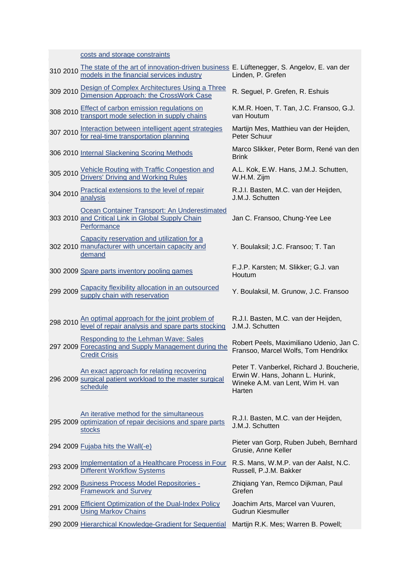|          | costs and storage constraints                                                                                                          |                                                                                                                             |
|----------|----------------------------------------------------------------------------------------------------------------------------------------|-----------------------------------------------------------------------------------------------------------------------------|
| 310 2010 | The state of the art of innovation-driven business E. Lüftenegger, S. Angelov, E. van der<br>models in the financial services industry | Linden, P. Grefen                                                                                                           |
| 309 2010 | Design of Complex Architectures Using a Three<br>Dimension Approach: the CrossWork Case                                                | R. Seguel, P. Grefen, R. Eshuis                                                                                             |
| 308 2010 | <b>Effect of carbon emission regulations on</b><br>transport mode selection in supply chains                                           | K.M.R. Hoen, T. Tan, J.C. Fransoo, G.J.<br>van Houtum                                                                       |
| 307 2010 | Interaction between intelligent agent strategies<br>for real-time transportation planning                                              | Martijn Mes, Matthieu van der Heijden,<br>Peter Schuur                                                                      |
|          | 306 2010 Internal Slackening Scoring Methods                                                                                           | Marco Slikker, Peter Borm, René van den<br><b>Brink</b>                                                                     |
|          | 305 2010 Vehicle Routing with Traffic Congestion and<br><b>Drivers' Driving and Working Rules</b>                                      | A.L. Kok, E.W. Hans, J.M.J. Schutten,<br>W.H.M. Zijm                                                                        |
| 304 2010 | Practical extensions to the level of repair<br>analysis                                                                                | R.J.I. Basten, M.C. van der Heijden,<br>J.M.J. Schutten                                                                     |
|          | Ocean Container Transport: An Underestimated<br>303 2010 and Critical Link in Global Supply Chain<br>Performance                       | Jan C. Fransoo, Chung-Yee Lee                                                                                               |
|          | Capacity reservation and utilization for a<br>302 2010 manufacturer with uncertain capacity and<br>demand                              | Y. Boulaksil; J.C. Fransoo; T. Tan                                                                                          |
|          | 300 2009 Spare parts inventory pooling games                                                                                           | F.J.P. Karsten; M. Slikker; G.J. van<br>Houtum                                                                              |
|          | 299 2009 Capacity flexibility allocation in an outsourced<br>supply chain with reservation                                             | Y. Boulaksil, M. Grunow, J.C. Fransoo                                                                                       |
| 298 2010 | An optimal approach for the joint problem of<br>level of repair analysis and spare parts stocking                                      | R.J.I. Basten, M.C. van der Heijden,<br>J.M.J. Schutten                                                                     |
|          | Responding to the Lehman Wave: Sales<br>297 2009 Forecasting and Supply Management during the<br><b>Credit Crisis</b>                  | Robert Peels, Maximiliano Udenio, Jan C.<br>Fransoo, Marcel Wolfs, Tom Hendrikx                                             |
|          | An exact approach for relating recovering<br>296 2009 surgical patient workload to the master surgical<br>schedule                     | Peter T. Vanberkel, Richard J. Boucherie,<br>Erwin W. Hans, Johann L. Hurink,<br>Wineke A.M. van Lent, Wim H. van<br>Harten |
|          | An iterative method for the simultaneous<br>295 2009 optimization of repair decisions and spare parts<br><b>stocks</b>                 | R.J.I. Basten, M.C. van der Heijden,<br>J.M.J. Schutten                                                                     |
|          | 294 2009 Fujaba hits the Wall(-e)                                                                                                      | Pieter van Gorp, Ruben Jubeh, Bernhard<br>Grusie, Anne Keller                                                               |
| 293 2009 | Implementation of a Healthcare Process in Four<br><b>Different Workflow Systems</b>                                                    | R.S. Mans, W.M.P. van der Aalst, N.C.<br>Russell, P.J.M. Bakker                                                             |
| 292 2009 | <b>Business Process Model Repositories -</b><br><b>Framework and Survey</b>                                                            | Zhiqiang Yan, Remco Dijkman, Paul<br>Grefen                                                                                 |
| 291 2009 | <b>Efficient Optimization of the Dual-Index Policy</b><br><b>Using Markov Chains</b>                                                   | Joachim Arts, Marcel van Vuuren,<br><b>Gudrun Kiesmuller</b>                                                                |
|          | 290 2009 Hierarchical Knowledge-Gradient for Sequential                                                                                | Martijn R.K. Mes; Warren B. Powell;                                                                                         |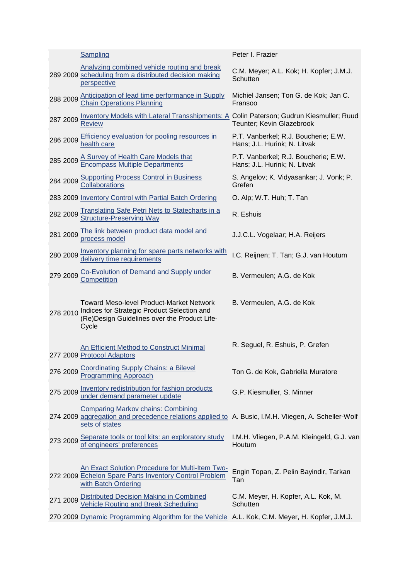|          | Sampling                                                                                                                                                           | Peter I. Frazier                                                     |
|----------|--------------------------------------------------------------------------------------------------------------------------------------------------------------------|----------------------------------------------------------------------|
|          | Analyzing combined vehicle routing and break<br>289 2009 scheduling from a distributed decision making<br>perspective                                              | C.M. Meyer; A.L. Kok; H. Kopfer; J.M.J.<br>Schutten                  |
| 288 2009 | Anticipation of lead time performance in Supply<br><b>Chain Operations Planning</b>                                                                                | Michiel Jansen; Ton G. de Kok; Jan C.<br>Fransoo                     |
| 287 2009 | Inventory Models with Lateral Transshipments: A Colin Paterson; Gudrun Kiesmuller; Ruud<br><b>Review</b>                                                           | Teunter; Kevin Glazebrook                                            |
| 286 2009 | <b>Efficiency evaluation for pooling resources in</b><br>health care                                                                                               | P.T. Vanberkel; R.J. Boucherie; E.W.<br>Hans; J.L. Hurink; N. Litvak |
| 285 2009 | A Survey of Health Care Models that<br>Encompass Multiple Departments                                                                                              | P.T. Vanberkel; R.J. Boucherie; E.W.<br>Hans; J.L. Hurink; N. Litvak |
| 284 2009 | <b>Supporting Process Control in Business</b><br><b>Collaborations</b>                                                                                             | S. Angelov; K. Vidyasankar; J. Vonk; P.<br>Grefen                    |
|          | 283 2009 Inventory Control with Partial Batch Ordering                                                                                                             | O. Alp; W.T. Huh; T. Tan                                             |
| 282 2009 | <b>Translating Safe Petri Nets to Statecharts in a</b><br><b>Structure-Preserving Way</b>                                                                          | R. Eshuis                                                            |
| 281 2009 | The link between product data model and<br>process model                                                                                                           | J.J.C.L. Vogelaar; H.A. Reijers                                      |
| 280 2009 | Inventory planning for spare parts networks with<br>delivery time requirements                                                                                     | I.C. Reijnen; T. Tan; G.J. van Houtum                                |
| 279 2009 | Co-Evolution of Demand and Supply under<br>Competition                                                                                                             | B. Vermeulen; A.G. de Kok                                            |
| 278 2010 | <b>Toward Meso-level Product-Market Network</b><br>Indices for Strategic Product Selection and<br>(Re) Design Guidelines over the Product Life-<br>Cycle           | B. Vermeulen, A.G. de Kok                                            |
|          | <b>An Efficient Method to Construct Minimal</b><br>277 2009 Protocol Adaptors                                                                                      | R. Seguel, R. Eshuis, P. Grefen                                      |
| 276 2009 | <b>Coordinating Supply Chains: a Bilevel</b><br><b>Programming Approach</b>                                                                                        | Ton G. de Kok, Gabriella Muratore                                    |
| 275 2009 | Inventory redistribution for fashion products<br>under demand parameter update                                                                                     | G.P. Kiesmuller, S. Minner                                           |
|          | <b>Comparing Markov chains: Combining</b><br>274 2009 aggregation and precedence relations applied to A. Busic, I.M.H. Vliegen, A. Scheller-Wolf<br>sets of states |                                                                      |
| 273 2009 | Separate tools or tool kits: an exploratory study<br>of engineers' preferences                                                                                     | I.M.H. Vliegen, P.A.M. Kleingeld, G.J. van<br>Houtum                 |
|          | An Exact Solution Procedure for Multi-Item Two-<br>272 2009 Echelon Spare Parts Inventory Control Problem<br>with Batch Ordering                                   | Engin Topan, Z. Pelin Bayindir, Tarkan<br>Tan                        |
| 271 2009 | Distributed Decision Making in Combined<br>Vehicle Routing and Break Scheduling                                                                                    | C.M. Meyer, H. Kopfer, A.L. Kok, M.<br>Schutten                      |
|          | 270 2009 Dynamic Programming Algorithm for the Vehicle A.L. Kok, C.M. Meyer, H. Kopfer, J.M.J.                                                                     |                                                                      |